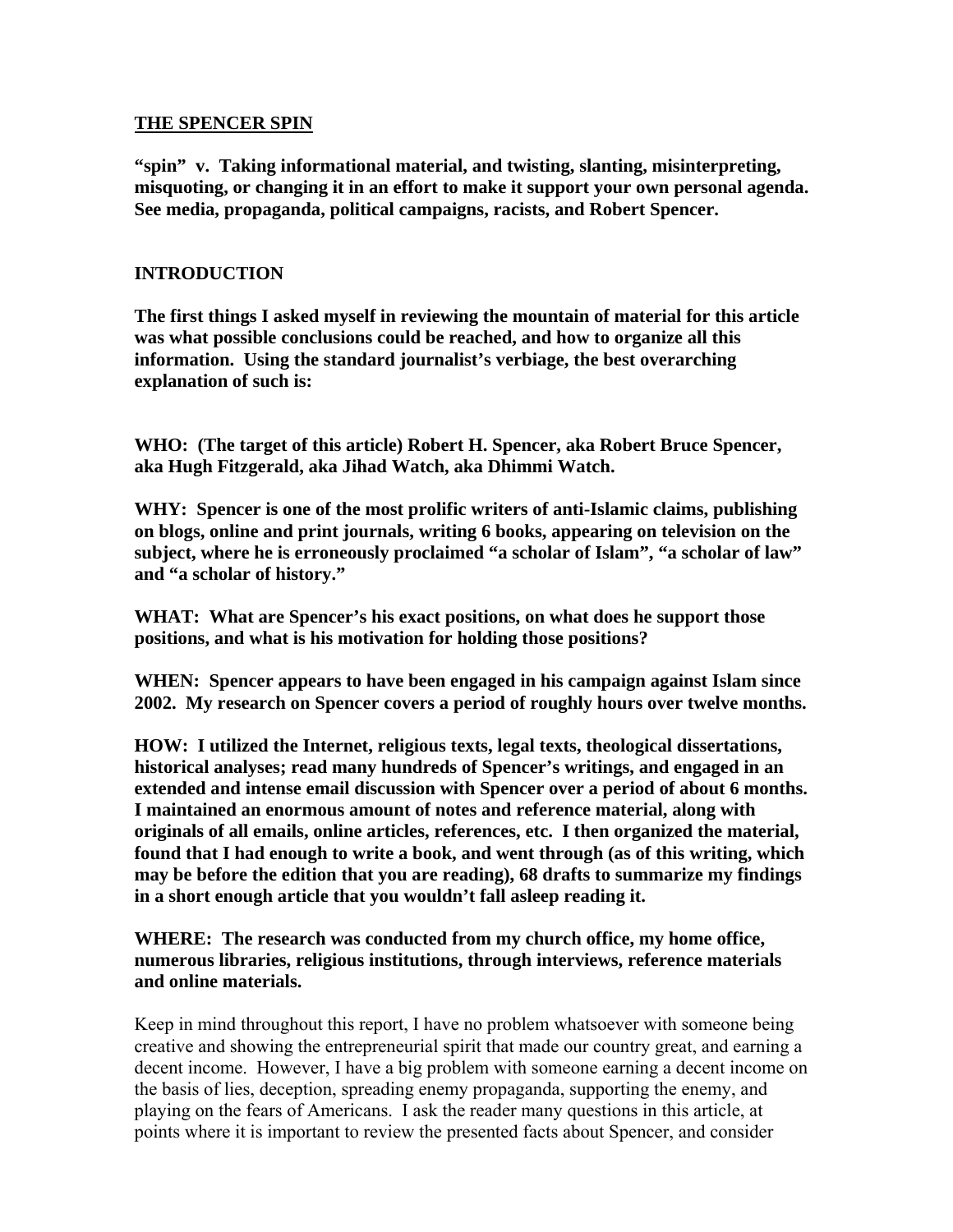#### **THE SPENCER SPIN**

**"spin" v. Taking informational material, and twisting, slanting, misinterpreting, misquoting, or changing it in an effort to make it support your own personal agenda. See media, propaganda, political campaigns, racists, and Robert Spencer.** 

### **INTRODUCTION**

**The first things I asked myself in reviewing the mountain of material for this article was what possible conclusions could be reached, and how to organize all this information. Using the standard journalist's verbiage, the best overarching explanation of such is:** 

**WHO: (The target of this article) Robert H. Spencer, aka Robert Bruce Spencer, aka Hugh Fitzgerald, aka Jihad Watch, aka Dhimmi Watch.** 

**WHY: Spencer is one of the most prolific writers of anti-Islamic claims, publishing on blogs, online and print journals, writing 6 books, appearing on television on the subject, where he is erroneously proclaimed "a scholar of Islam", "a scholar of law" and "a scholar of history."** 

**WHAT: What are Spencer's his exact positions, on what does he support those positions, and what is his motivation for holding those positions?** 

**WHEN: Spencer appears to have been engaged in his campaign against Islam since 2002. My research on Spencer covers a period of roughly hours over twelve months.** 

**HOW: I utilized the Internet, religious texts, legal texts, theological dissertations, historical analyses; read many hundreds of Spencer's writings, and engaged in an extended and intense email discussion with Spencer over a period of about 6 months. I maintained an enormous amount of notes and reference material, along with originals of all emails, online articles, references, etc. I then organized the material, found that I had enough to write a book, and went through (as of this writing, which may be before the edition that you are reading), 68 drafts to summarize my findings in a short enough article that you wouldn't fall asleep reading it.** 

**WHERE: The research was conducted from my church office, my home office, numerous libraries, religious institutions, through interviews, reference materials and online materials.** 

Keep in mind throughout this report, I have no problem whatsoever with someone being creative and showing the entrepreneurial spirit that made our country great, and earning a decent income. However, I have a big problem with someone earning a decent income on the basis of lies, deception, spreading enemy propaganda, supporting the enemy, and playing on the fears of Americans. I ask the reader many questions in this article, at points where it is important to review the presented facts about Spencer, and consider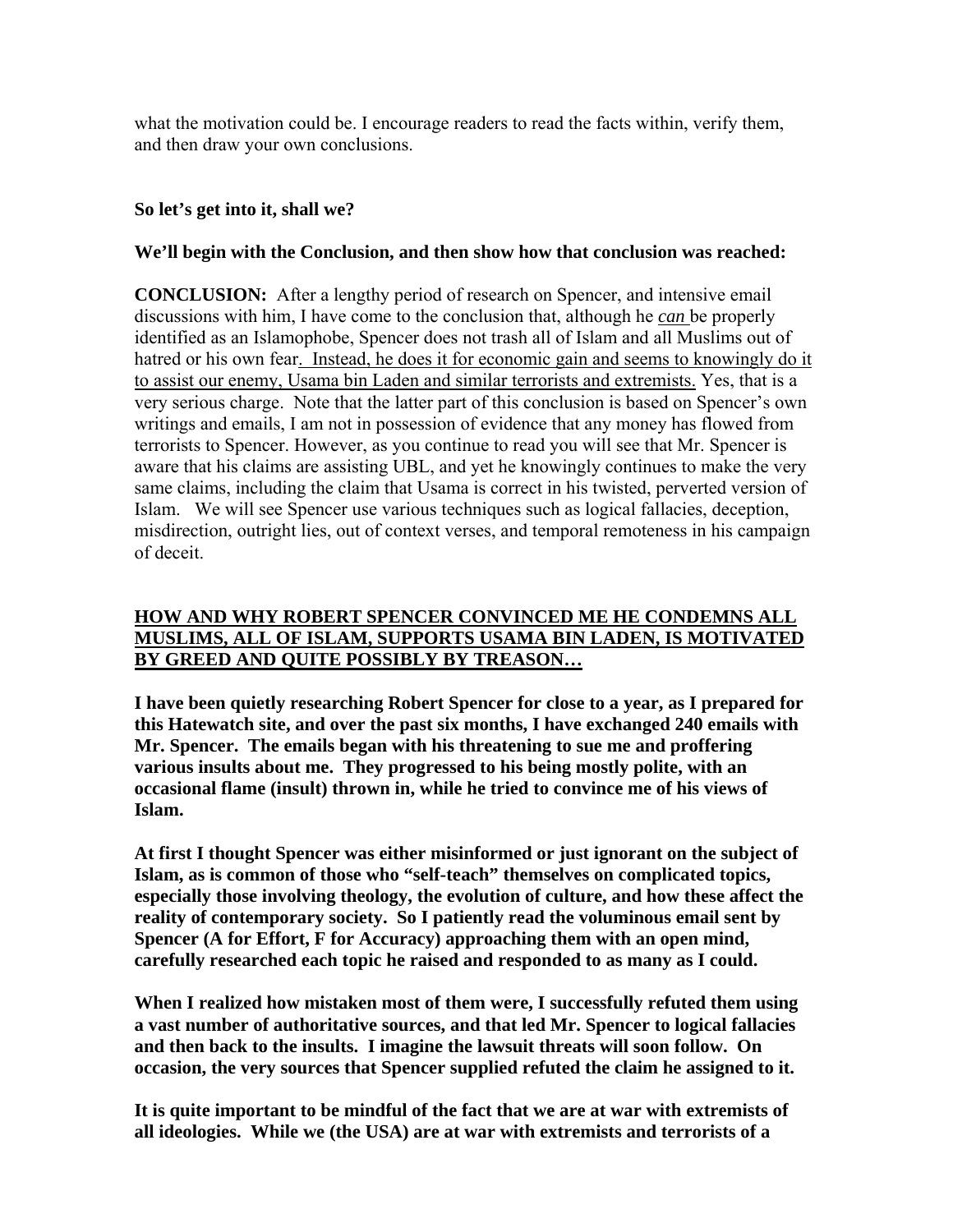what the motivation could be. I encourage readers to read the facts within, verify them, and then draw your own conclusions.

### **So let's get into it, shall we?**

### **We'll begin with the Conclusion, and then show how that conclusion was reached:**

**CONCLUSION:** After a lengthy period of research on Spencer, and intensive email discussions with him, I have come to the conclusion that, although he *can* be properly identified as an Islamophobe, Spencer does not trash all of Islam and all Muslims out of hatred or his own fear. Instead, he does it for economic gain and seems to knowingly do it to assist our enemy, Usama bin Laden and similar terrorists and extremists. Yes, that is a very serious charge. Note that the latter part of this conclusion is based on Spencer's own writings and emails, I am not in possession of evidence that any money has flowed from terrorists to Spencer. However, as you continue to read you will see that Mr. Spencer is aware that his claims are assisting UBL, and yet he knowingly continues to make the very same claims, including the claim that Usama is correct in his twisted, perverted version of Islam. We will see Spencer use various techniques such as logical fallacies, deception, misdirection, outright lies, out of context verses, and temporal remoteness in his campaign of deceit.

### **HOW AND WHY ROBERT SPENCER CONVINCED ME HE CONDEMNS ALL MUSLIMS, ALL OF ISLAM, SUPPORTS USAMA BIN LADEN, IS MOTIVATED BY GREED AND QUITE POSSIBLY BY TREASON…**

**I have been quietly researching Robert Spencer for close to a year, as I prepared for this Hatewatch site, and over the past six months, I have exchanged 240 emails with Mr. Spencer. The emails began with his threatening to sue me and proffering various insults about me. They progressed to his being mostly polite, with an occasional flame (insult) thrown in, while he tried to convince me of his views of Islam.** 

**At first I thought Spencer was either misinformed or just ignorant on the subject of Islam, as is common of those who "self-teach" themselves on complicated topics, especially those involving theology, the evolution of culture, and how these affect the reality of contemporary society. So I patiently read the voluminous email sent by Spencer (A for Effort, F for Accuracy) approaching them with an open mind, carefully researched each topic he raised and responded to as many as I could.** 

**When I realized how mistaken most of them were, I successfully refuted them using a vast number of authoritative sources, and that led Mr. Spencer to logical fallacies and then back to the insults. I imagine the lawsuit threats will soon follow. On occasion, the very sources that Spencer supplied refuted the claim he assigned to it.** 

**It is quite important to be mindful of the fact that we are at war with extremists of all ideologies. While we (the USA) are at war with extremists and terrorists of a**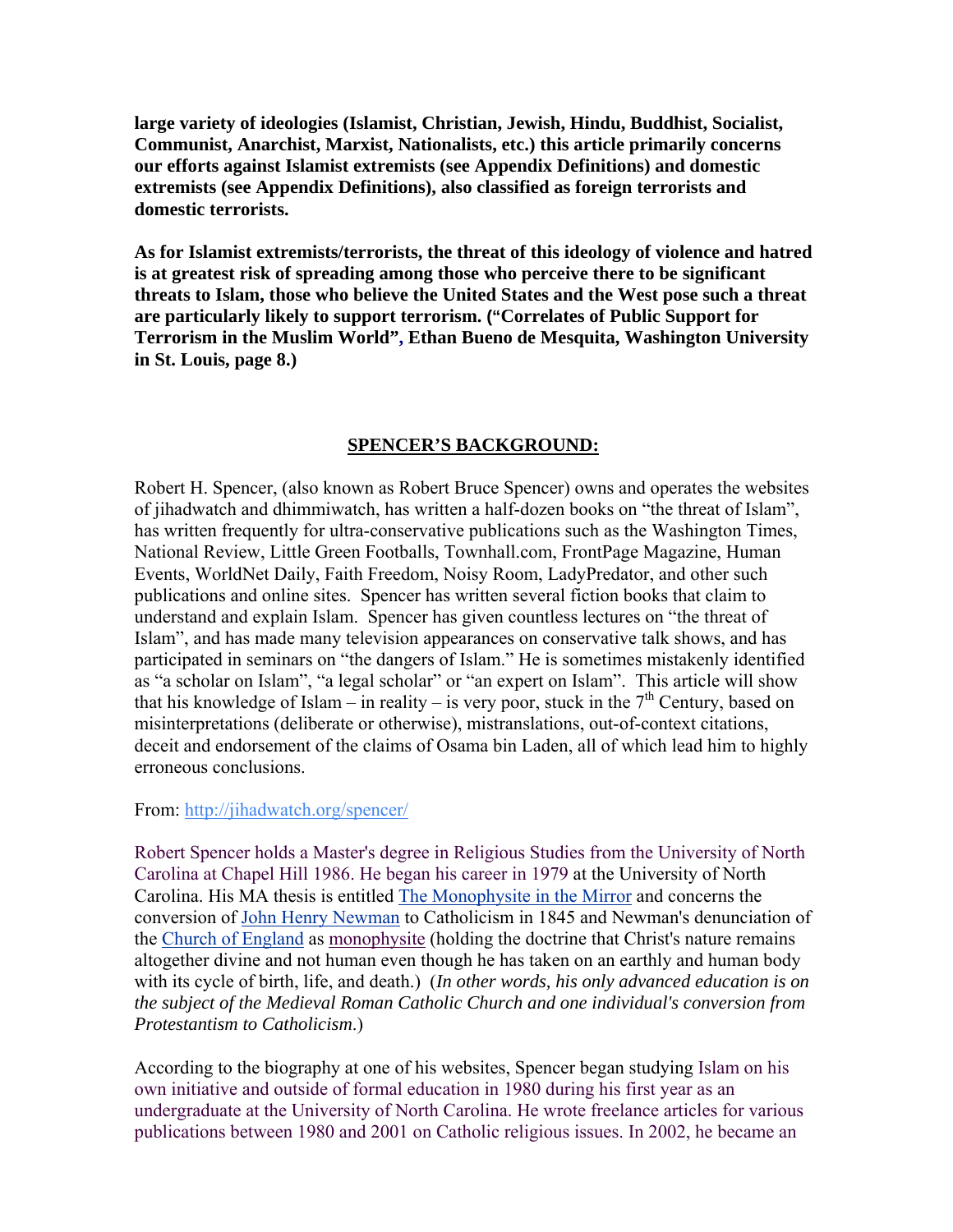**large variety of ideologies (Islamist, Christian, Jewish, Hindu, Buddhist, Socialist, Communist, Anarchist, Marxist, Nationalists, etc.) this article primarily concerns our efforts against Islamist extremists (see Appendix Definitions) and domestic extremists (see Appendix Definitions), also classified as foreign terrorists and domestic terrorists.** 

**As for Islamist extremists/terrorists, the threat of this ideology of violence and hatred is at greatest risk of spreading among those who perceive there to be significant threats to Islam, those who believe the United States and the West pose such a threat are particularly likely to support terrorism. ("Correlates of Public Support for Terrorism in the Muslim World", Ethan Bueno de Mesquita, Washington University in St. Louis, page 8.)** 

### **SPENCER'S BACKGROUND:**

Robert H. Spencer, (also known as Robert Bruce Spencer) owns and operates the websites of jihadwatch and dhimmiwatch, has written a half-dozen books on "the threat of Islam", has written frequently for ultra-conservative publications such as the Washington Times, National Review, Little Green Footballs, Townhall.com, FrontPage Magazine, Human Events, WorldNet Daily, Faith Freedom, Noisy Room, LadyPredator, and other such publications and online sites. Spencer has written several fiction books that claim to understand and explain Islam. Spencer has given countless lectures on "the threat of Islam", and has made many television appearances on conservative talk shows, and has participated in seminars on "the dangers of Islam." He is sometimes mistakenly identified as "a scholar on Islam", "a legal scholar" or "an expert on Islam". This article will show that his knowledge of Islam – in reality – is very poor, stuck in the  $7<sup>th</sup>$  Century, based on misinterpretations (deliberate or otherwise), mistranslations, out-of-context citations, deceit and endorsement of the claims of Osama bin Laden, all of which lead him to highly erroneous conclusions.

From: <http://jihadwatch.org/spencer/>

Robert Spencer holds a Master's degree in Religious Studies from the University of North Carolina at Chapel Hill 1986. He began his career in 1979 at the University of North Carolina. His MA thesis is entitled [The Monophysite in the Mirror](http://webcat.lib.unc.edu/search/aspencer%2C+robert/aspencer+robert/1%2C15%2C59%2CB/frameset&FF=aspencer+robert+bruce&1%2C1%2C) and concerns the conversion of [John Henry Newman](http://www.answers.com/topic/john-henry-cardinal-newman) to Catholicism in 1845 and Newman's denunciation of the [Church of England](http://www.answers.com/topic/church-of-england) as [monophysite](http://www.answers.com/topic/monophysitism) (holding the doctrine that Christ's nature remains altogether divine and not human even though he has taken on an earthly and human body with its cycle of birth, life, and death.) (*In other words, his only advanced education is on the subject of the Medieval Roman Catholic Church and one individual's conversion from Protestantism to Catholicism*.)

According to the biography at one of his websites, Spencer began studying Islam on his own initiative and outside of formal education in 1980 during his first year as an undergraduate at the University of North Carolina. He wrote freelance articles for various publications between 1980 and 2001 on Catholic religious issues. In 2002, he became an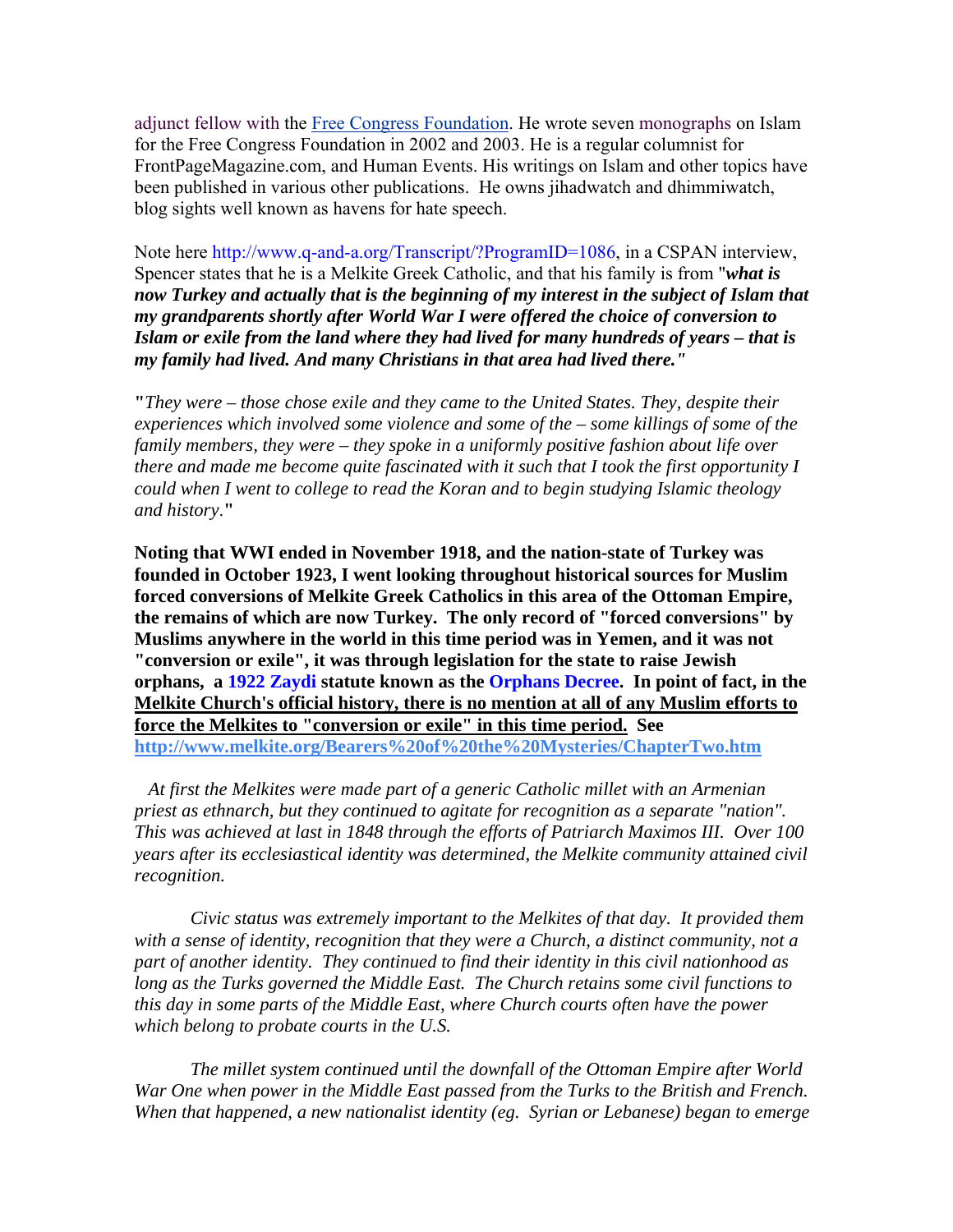adjunct fellow with the [Free Congress Foundation](http://www.answers.com/topic/free-congress-foundation). He wrote seven monographs on Islam for the Free Congress Foundation in 2002 and 2003. He is a regular columnist for FrontPageMagazine.com, and Human Events. His writings on Islam and other topics have been published in various other publications. He owns jihadwatch and dhimmiwatch, blog sights well known as havens for hate speech.

Note here [http://www.q-and-a.org/Transcript/?ProgramID=1086,](http://www.q-and-a.org/Transcript/?ProgramID=1086) in a CSPAN interview, Spencer states that he is a Melkite Greek Catholic, and that his family is from "*what is now Turkey and actually that is the beginning of my interest in the subject of Islam that my grandparents shortly after World War I were offered the choice of conversion to Islam or exile from the land where they had lived for many hundreds of years – that is my family had lived. And many Christians in that area had lived there."*

**"***They were – those chose exile and they came to the United States. They, despite their experiences which involved some violence and some of the – some killings of some of the family members, they were – they spoke in a uniformly positive fashion about life over there and made me become quite fascinated with it such that I took the first opportunity I could when I went to college to read the Koran and to begin studying Islamic theology and history*.**"** 

**Noting that WWI ended in November 1918, and the nation-state of Turkey was founded in October 1923, I went looking throughout historical sources for Muslim forced conversions of Melkite Greek Catholics in this area of the Ottoman Empire, the remains of which are now Turkey. The only record of "forced conversions" by Muslims anywhere in the world in this time period was in Yemen, and it was not "conversion or exile", it was through legislation for the state to raise Jewish orphans, a [1922](http://en.wikipedia.org/wiki/1922) [Zaydi](http://en.wikipedia.org/wiki/Zaydi) statute known as the [Orphans Decree](http://en.wikipedia.org/w/index.php?title=Orphans_Decree&action=edit). In point of fact, in the Melkite Church's official history, there is no mention at all of any Muslim efforts to force the Melkites to "conversion or exile" in this time period. See <http://www.melkite.org/Bearers%20of%20the%20Mysteries/ChapterTwo.htm>**

 *At first the Melkites were made part of a generic Catholic millet with an Armenian priest as ethnarch, but they continued to agitate for recognition as a separate "nation". This was achieved at last in 1848 through the efforts of Patriarch Maximos III. Over 100 years after its ecclesiastical identity was determined, the Melkite community attained civil recognition.*

*Civic status was extremely important to the Melkites of that day. It provided them with a sense of identity, recognition that they were a Church, a distinct community, not a part of another identity. They continued to find their identity in this civil nationhood as long as the Turks governed the Middle East. The Church retains some civil functions to this day in some parts of the Middle East, where Church courts often have the power which belong to probate courts in the U.S.*

 *The millet system continued until the downfall of the Ottoman Empire after World War One when power in the Middle East passed from the Turks to the British and French. When that happened, a new nationalist identity (eg. Syrian or Lebanese) began to emerge*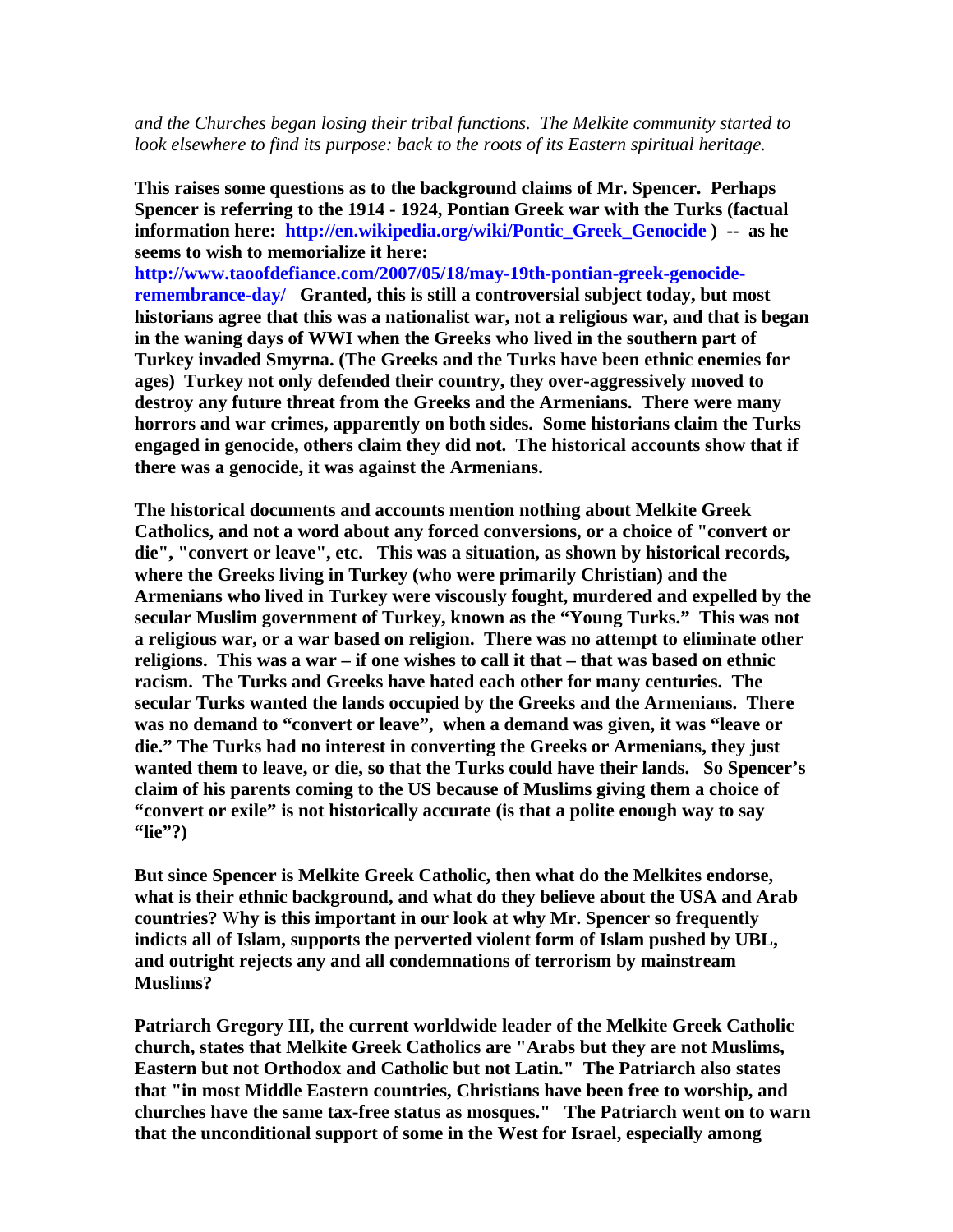*and the Churches began losing their tribal functions. The Melkite community started to look elsewhere to find its purpose: back to the roots of its Eastern spiritual heritage.*

**This raises some questions as to the background claims of Mr. Spencer. Perhaps Spencer is referring to the 1914 - 1924, Pontian Greek war with the Turks (factual information here: [http://en.wikipedia.org/wiki/Pontic\\_Greek\\_Genocide](http://en.wikipedia.org/wiki/Pontic_Greek_Genocide) ) -- as he seems to wish to memorialize it here:** 

**[http://www.taoofdefiance.com/2007/05/18/may-19th-pontian-greek-genocide](http://www.taoofdefiance.com/2007/05/18/may-19th-pontian-greek-genocide-remembrance-day/)[remembrance-day/](http://www.taoofdefiance.com/2007/05/18/may-19th-pontian-greek-genocide-remembrance-day/) Granted, this is still a controversial subject today, but most historians agree that this was a nationalist war, not a religious war, and that is began in the waning days of WWI when the Greeks who lived in the southern part of Turkey invaded Smyrna. (The Greeks and the Turks have been ethnic enemies for ages) Turkey not only defended their country, they over-aggressively moved to destroy any future threat from the Greeks and the Armenians. There were many horrors and war crimes, apparently on both sides. Some historians claim the Turks engaged in genocide, others claim they did not. The historical accounts show that if there was a genocide, it was against the Armenians.** 

**The historical documents and accounts mention nothing about Melkite Greek Catholics, and not a word about any forced conversions, or a choice of "convert or die", "convert or leave", etc. This was a situation, as shown by historical records, where the Greeks living in Turkey (who were primarily Christian) and the Armenians who lived in Turkey were viscously fought, murdered and expelled by the secular Muslim government of Turkey, known as the "Young Turks." This was not a religious war, or a war based on religion. There was no attempt to eliminate other religions. This was a war – if one wishes to call it that – that was based on ethnic racism. The Turks and Greeks have hated each other for many centuries. The secular Turks wanted the lands occupied by the Greeks and the Armenians. There was no demand to "convert or leave", when a demand was given, it was "leave or die." The Turks had no interest in converting the Greeks or Armenians, they just wanted them to leave, or die, so that the Turks could have their lands. So Spencer's claim of his parents coming to the US because of Muslims giving them a choice of "convert or exile" is not historically accurate (is that a polite enough way to say "lie"?)**

**But since Spencer is Melkite Greek Catholic, then what do the Melkites endorse, what is their ethnic background, and what do they believe about the USA and Arab countries?** W**hy is this important in our look at why Mr. Spencer so frequently indicts all of Islam, supports the perverted violent form of Islam pushed by UBL, and outright rejects any and all condemnations of terrorism by mainstream Muslims?**

**Patriarch Gregory III, the current worldwide leader of the Melkite Greek Catholic church, states that Melkite Greek Catholics are "Arabs but they are not Muslims, Eastern but not Orthodox and Catholic but not Latin." The Patriarch also states that "in most Middle Eastern countries, Christians have been free to worship, and churches have the same tax-free status as mosques." The Patriarch went on to warn that the unconditional support of some in the West for Israel, especially among**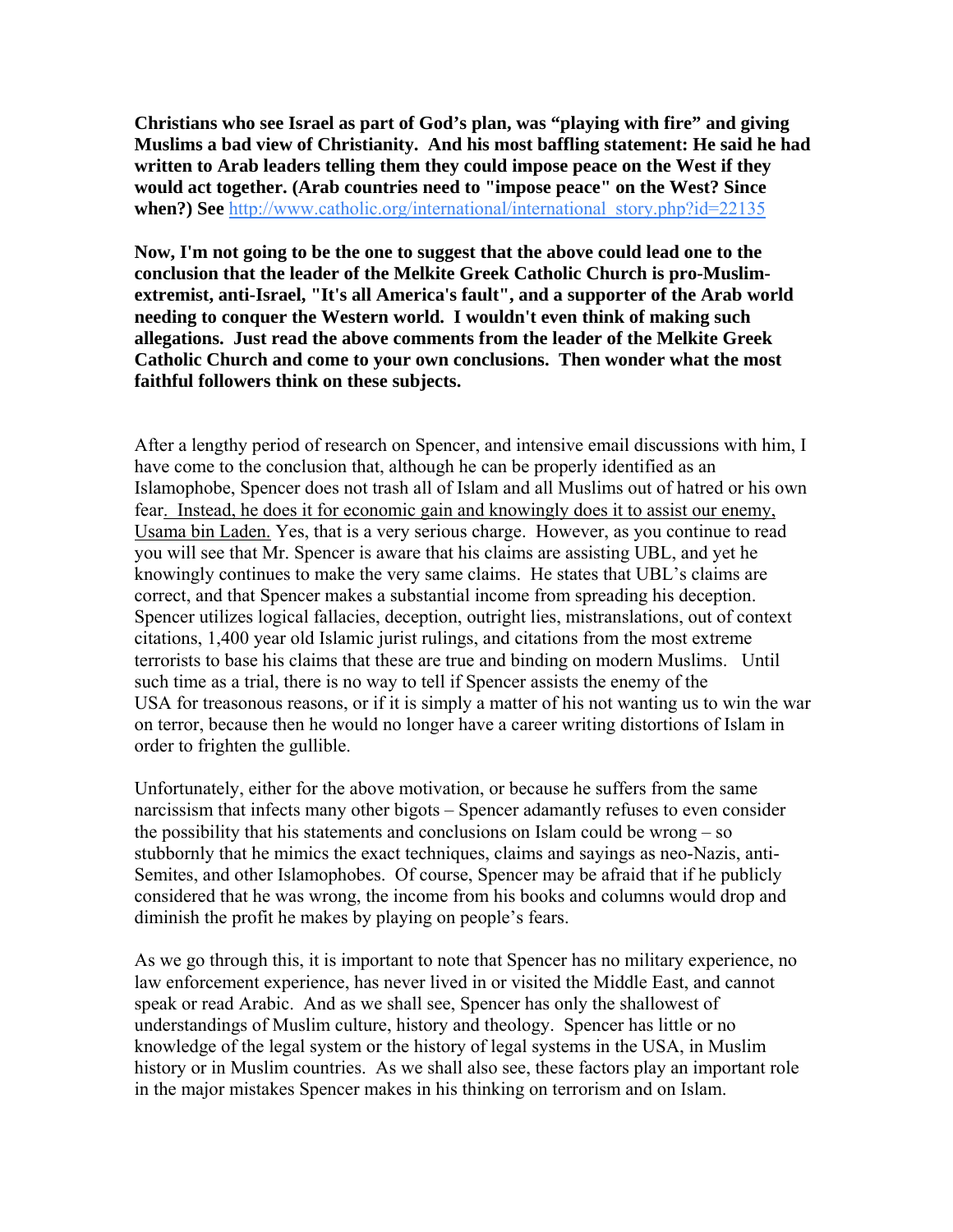**Christians who see Israel as part of God's plan, was "playing with fire" and giving Muslims a bad view of Christianity. And his most baffling statement: He said he had written to Arab leaders telling them they could impose peace on the West if they would act together. (Arab countries need to "impose peace" on the West? Since when?) See** [http://www.catholic.org/international/international\\_story.php?id=22135](http://www.catholic.org/international/international_story.php?id=22135)

**Now, I'm not going to be the one to suggest that the above could lead one to the conclusion that the leader of the Melkite Greek Catholic Church is pro-Muslimextremist, anti-Israel, "It's all America's fault", and a supporter of the Arab world needing to conquer the Western world. I wouldn't even think of making such allegations. Just read the above comments from the leader of the Melkite Greek Catholic Church and come to your own conclusions. Then wonder what the most faithful followers think on these subjects.** 

After a lengthy period of research on Spencer, and intensive email discussions with him, I have come to the conclusion that, although he can be properly identified as an Islamophobe, Spencer does not trash all of Islam and all Muslims out of hatred or his own fear. Instead, he does it for economic gain and knowingly does it to assist our enemy, Usama bin Laden. Yes, that is a very serious charge. However, as you continue to read you will see that Mr. Spencer is aware that his claims are assisting UBL, and yet he knowingly continues to make the very same claims. He states that UBL's claims are correct, and that Spencer makes a substantial income from spreading his deception. Spencer utilizes logical fallacies, deception, outright lies, mistranslations, out of context citations, 1,400 year old Islamic jurist rulings, and citations from the most extreme terrorists to base his claims that these are true and binding on modern Muslims. Until such time as a trial, there is no way to tell if Spencer assists the enemy of the USA for treasonous reasons, or if it is simply a matter of his not wanting us to win the war on terror, because then he would no longer have a career writing distortions of Islam in order to frighten the gullible.

Unfortunately, either for the above motivation, or because he suffers from the same narcissism that infects many other bigots – Spencer adamantly refuses to even consider the possibility that his statements and conclusions on Islam could be wrong – so stubbornly that he mimics the exact techniques, claims and sayings as neo-Nazis, anti-Semites, and other Islamophobes. Of course, Spencer may be afraid that if he publicly considered that he was wrong, the income from his books and columns would drop and diminish the profit he makes by playing on people's fears.

As we go through this, it is important to note that Spencer has no military experience, no law enforcement experience, has never lived in or visited the Middle East, and cannot speak or read Arabic. And as we shall see, Spencer has only the shallowest of understandings of Muslim culture, history and theology. Spencer has little or no knowledge of the legal system or the history of legal systems in the USA, in Muslim history or in Muslim countries. As we shall also see, these factors play an important role in the major mistakes Spencer makes in his thinking on terrorism and on Islam.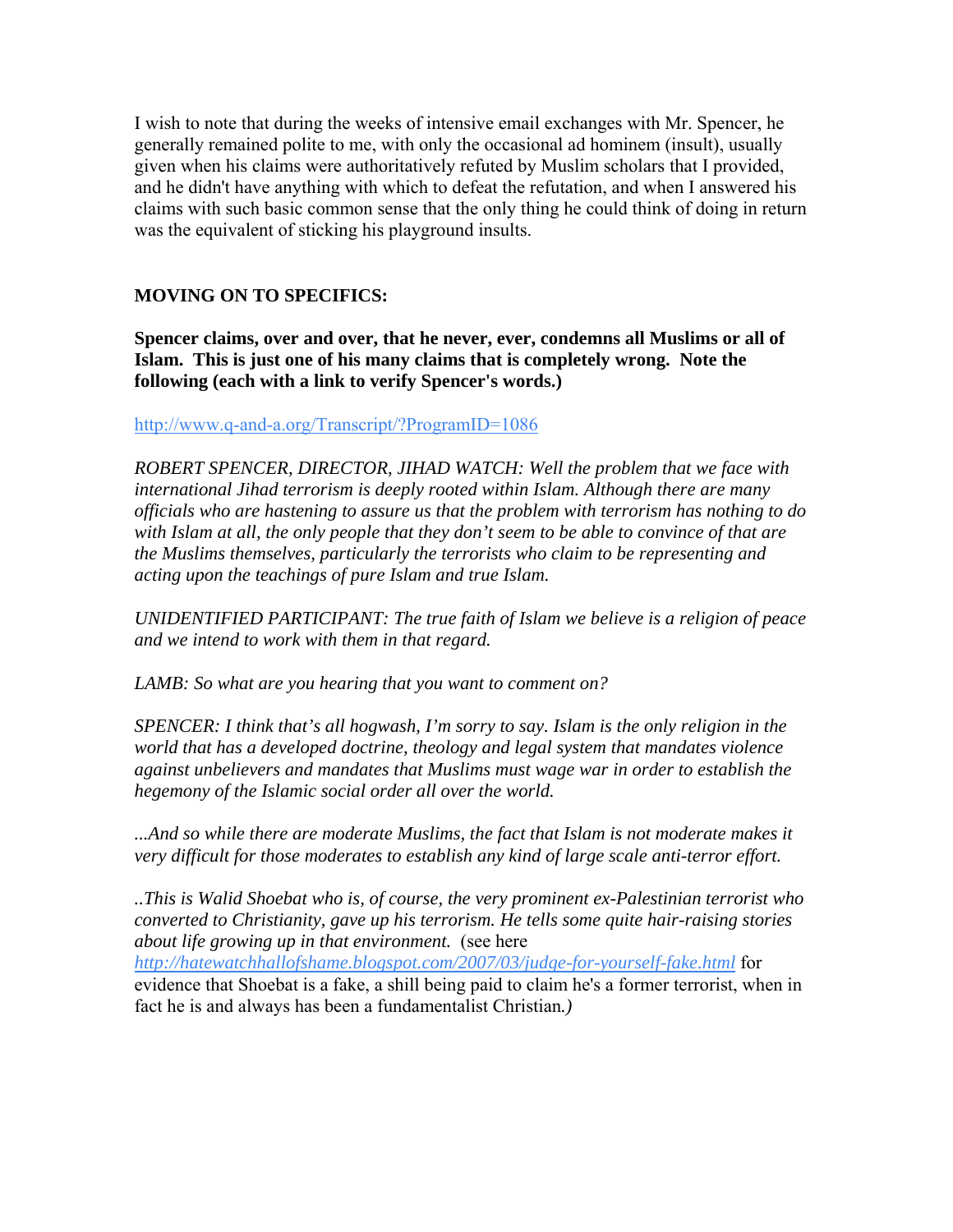I wish to note that during the weeks of intensive email exchanges with Mr. Spencer, he generally remained polite to me, with only the occasional ad hominem (insult), usually given when his claims were authoritatively refuted by Muslim scholars that I provided, and he didn't have anything with which to defeat the refutation, and when I answered his claims with such basic common sense that the only thing he could think of doing in return was the equivalent of sticking his playground insults.

### **MOVING ON TO SPECIFICS:**

**Spencer claims, over and over, that he never, ever, condemns all Muslims or all of Islam. This is just one of his many claims that is completely wrong. Note the following (each with a link to verify Spencer's words.)**

<http://www.q-and-a.org/Transcript/?ProgramID=1086>

*ROBERT SPENCER, DIRECTOR, JIHAD WATCH: Well the problem that we face with international Jihad terrorism is deeply rooted within Islam. Although there are many officials who are hastening to assure us that the problem with terrorism has nothing to do with Islam at all, the only people that they don't seem to be able to convince of that are the Muslims themselves, particularly the terrorists who claim to be representing and acting upon the teachings of pure Islam and true Islam.* 

*UNIDENTIFIED PARTICIPANT: The true faith of Islam we believe is a religion of peace and we intend to work with them in that regard.* 

*LAMB: So what are you hearing that you want to comment on?* 

*SPENCER: I think that's all hogwash, I'm sorry to say. Islam is the only religion in the world that has a developed doctrine, theology and legal system that mandates violence against unbelievers and mandates that Muslims must wage war in order to establish the hegemony of the Islamic social order all over the world.* 

*...And so while there are moderate Muslims, the fact that Islam is not moderate makes it very difficult for those moderates to establish any kind of large scale anti-terror effort.* 

*..This is Walid Shoebat who is, of course, the very prominent ex-Palestinian terrorist who converted to Christianity, gave up his terrorism. He tells some quite hair-raising stories about life growing up in that environment.* (see here *<http://hatewatchhallofshame.blogspot.com/2007/03/judge-for-yourself-fake.html>* for

evidence that Shoebat is a fake, a shill being paid to claim he's a former terrorist, when in fact he is and always has been a fundamentalist Christian*.)*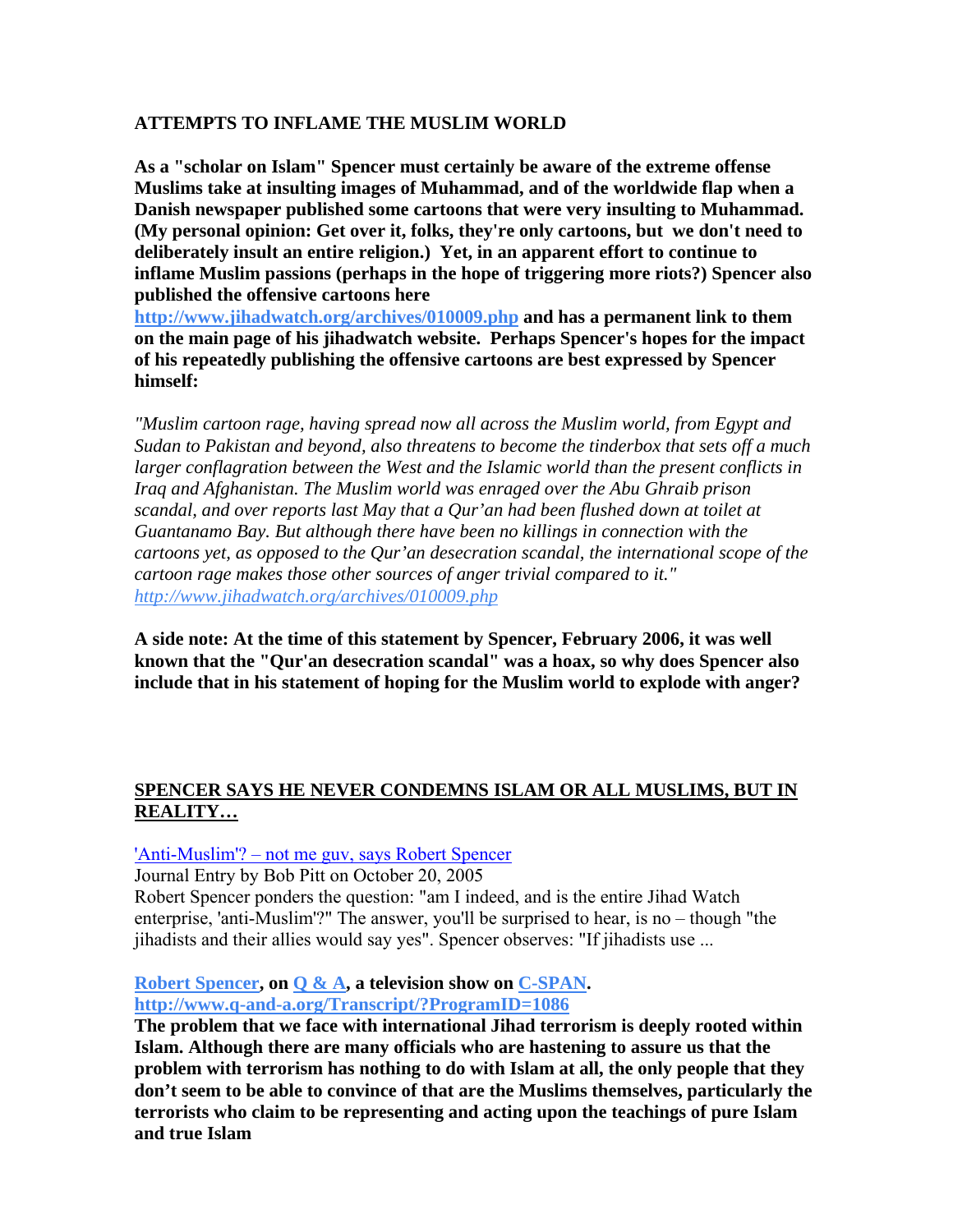### **ATTEMPTS TO INFLAME THE MUSLIM WORLD**

**As a "scholar on Islam" Spencer must certainly be aware of the extreme offense Muslims take at insulting images of Muhammad, and of the worldwide flap when a Danish newspaper published some cartoons that were very insulting to Muhammad. (My personal opinion: Get over it, folks, they're only cartoons, but we don't need to deliberately insult an entire religion.) Yet, in an apparent effort to continue to inflame Muslim passions (perhaps in the hope of triggering more riots?) Spencer also published the offensive cartoons here** 

**<http://www.jihadwatch.org/archives/010009.php> and has a permanent link to them on the main page of his jihadwatch website. Perhaps Spencer's hopes for the impact of his repeatedly publishing the offensive cartoons are best expressed by Spencer himself:**

*"Muslim cartoon rage, having spread now all across the Muslim world, from Egypt and Sudan to Pakistan and beyond, also threatens to become the tinderbox that sets off a much larger conflagration between the West and the Islamic world than the present conflicts in Iraq and Afghanistan. The Muslim world was enraged over the Abu Ghraib prison scandal, and over reports last May that a Qur'an had been flushed down at toilet at Guantanamo Bay. But although there have been no killings in connection with the cartoons yet, as opposed to the Qur'an desecration scandal, the international scope of the cartoon rage makes those other sources of anger trivial compared to it." <http://www.jihadwatch.org/archives/010009.php>*

**A side note: At the time of this statement by Spencer, February 2006, it was well known that the "Qur'an desecration scandal" was a hoax, so why does Spencer also include that in his statement of hoping for the Muslim world to explode with anger?**

### **SPENCER SAYS HE NEVER CONDEMNS ISLAM OR ALL MUSLIMS, BUT IN REALITY…**

### ['Anti-Muslim'? – not me guv, says Robert Spencer](http://www.islamophobia-watch.com/islamophobia-watch/2005/10/20/anti-muslim-not-me-guv-says-robert-spencer.html)

Journal Entry by Bob Pitt on October 20, 2005

Robert Spencer ponders the question: "am I indeed, and is the entire Jihad Watch enterprise, 'anti-Muslim'?" The answer, you'll be surprised to hear, is no – though "the jihadists and their allies would say yes". Spencer observes: "If jihadists use ...

### **[Robert Spencer,](http://www.q-and-a.org/Transcript/?ProgramID=1086) on [Q & A](http://en.wikipedia.org/wiki/Q_%26_A), a television show on [C-SPAN](http://en.wikipedia.org/wiki/C-SPAN). <http://www.q-and-a.org/Transcript/?ProgramID=1086>**

**The problem that we face with international Jihad terrorism is deeply rooted within Islam. Although there are many officials who are hastening to assure us that the problem with terrorism has nothing to do with Islam at all, the only people that they don't seem to be able to convince of that are the Muslims themselves, particularly the terrorists who claim to be representing and acting upon the teachings of pure Islam and true Islam**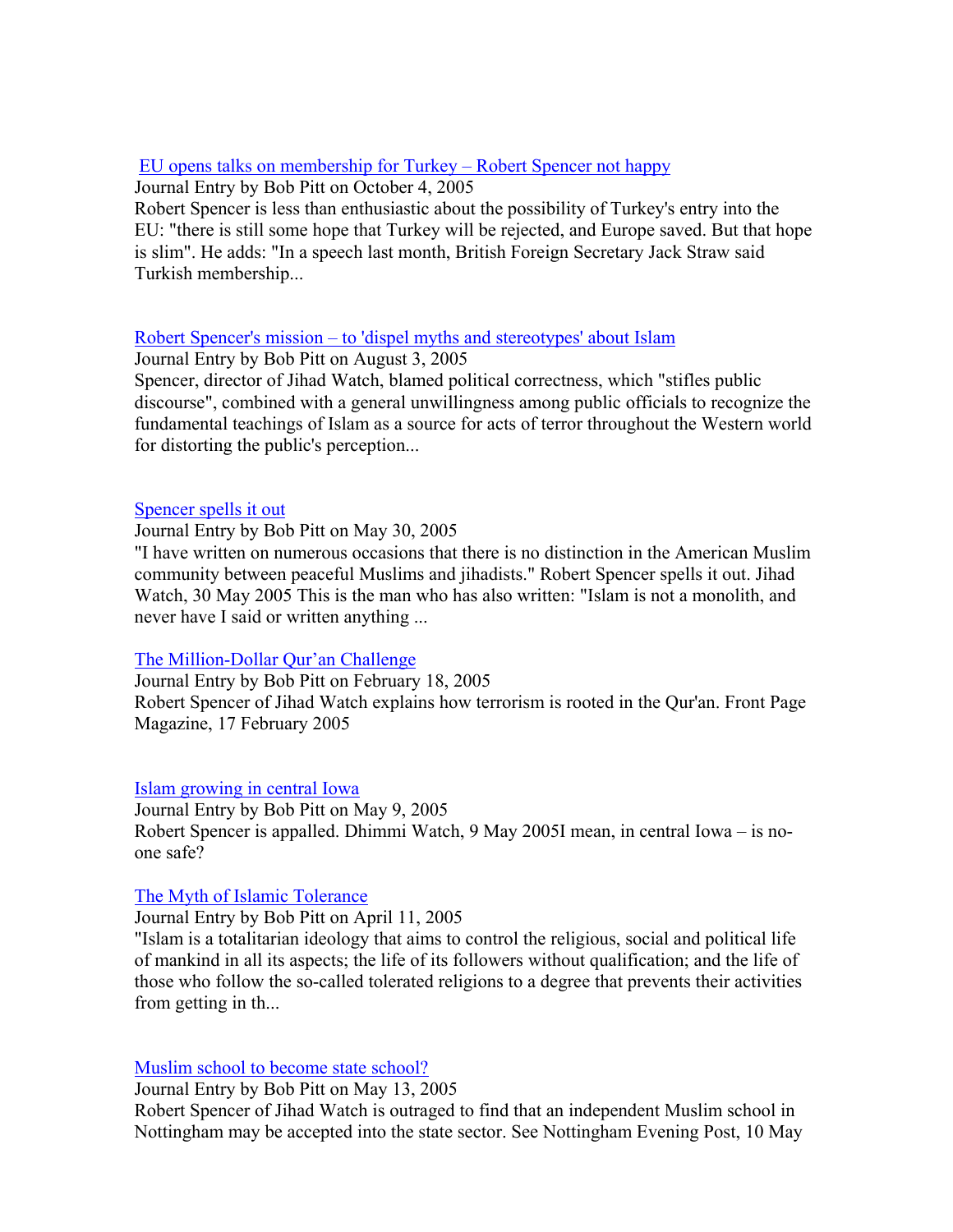### [EU opens talks on membership for Turkey – Robert Spencer not happy](http://www.islamophobia-watch.com/islamophobia-watch/2005/10/4/eu-opens-talks-on-membership-for-turkey-robert-spencer-not-happy.html)

Journal Entry by Bob Pitt on October 4, 2005

Robert Spencer is less than enthusiastic about the possibility of Turkey's entry into the EU: "there is still some hope that Turkey will be rejected, and Europe saved. But that hope is slim". He adds: "In a speech last month, British Foreign Secretary Jack Straw said Turkish membership...

### [Robert Spencer's mission – to 'dispel myths and stereotypes' about Islam](http://www.islamophobia-watch.com/islamophobia-watch/2005/8/3/robert-spencers-mission-to-dispel-myths-and-stereotypes-about-islam.html)

Journal Entry by Bob Pitt on August 3, 2005

Spencer, director of Jihad Watch, blamed political correctness, which "stifles public discourse", combined with a general unwillingness among public officials to recognize the fundamental teachings of Islam as a source for acts of terror throughout the Western world for distorting the public's perception...

### [Spencer spells it out](http://www.islamophobia-watch.com/islamophobia-watch/2005/5/30/spencer-spells-it-out.html)

Journal Entry by Bob Pitt on May 30, 2005

"I have written on numerous occasions that there is no distinction in the American Muslim community between peaceful Muslims and jihadists." Robert Spencer spells it out. Jihad Watch, 30 May 2005 This is the man who has also written: "Islam is not a monolith, and never have I said or written anything ...

### [The Million-Dollar Qur'an Challenge](http://www.islamophobia-watch.com/islamophobia-watch/2005/3/21/the-million-dollar-quran-challenge.html)

Journal Entry by Bob Pitt on February 18, 2005 Robert Spencer of Jihad Watch explains how terrorism is rooted in the Qur'an. Front Page Magazine, 17 February 2005

[Islam growing in central Iowa](http://www.islamophobia-watch.com/islamophobia-watch/2005/5/9/islam-growing-in-central-iowa.html)

Journal Entry by Bob Pitt on May 9, 2005 Robert Spencer is appalled. Dhimmi Watch, 9 May 2005I mean, in central Iowa – is noone safe?

### [The Myth of Islamic Tolerance](http://www.islamophobia-watch.com/islamophobia-watch/2005/4/11/the-myth-of-islamic-tolerance.html)

Journal Entry by Bob Pitt on April 11, 2005

"Islam is a totalitarian ideology that aims to control the religious, social and political life of mankind in all its aspects; the life of its followers without qualification; and the life of those who follow the so-called tolerated religions to a degree that prevents their activities from getting in th...

### [Muslim school to become state school?](http://www.islamophobia-watch.com/islamophobia-watch/2005/5/13/muslim-school-to-become-state-school.html)

Journal Entry by Bob Pitt on May 13, 2005

Robert Spencer of Jihad Watch is outraged to find that an independent Muslim school in Nottingham may be accepted into the state sector. See Nottingham Evening Post, 10 May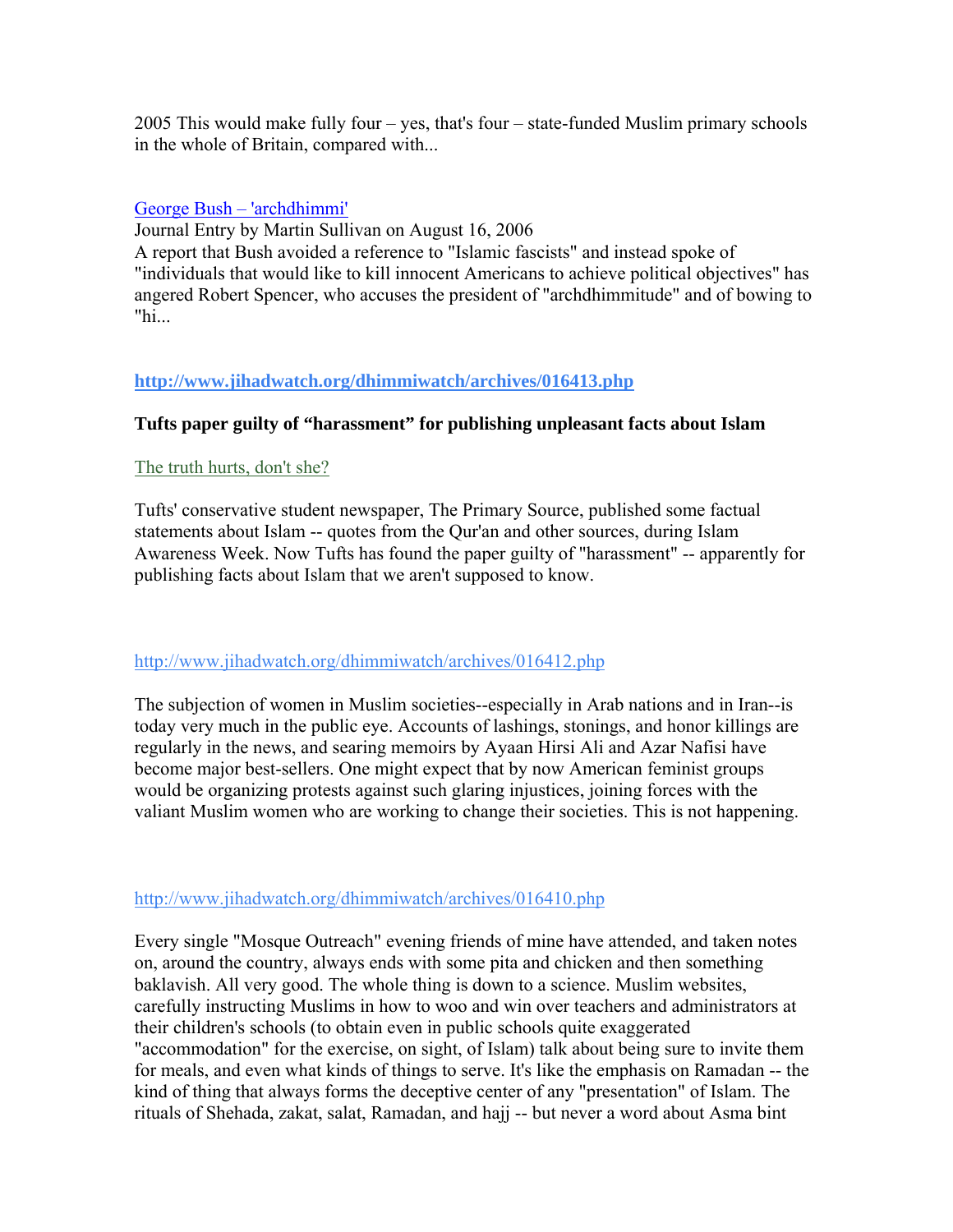2005 This would make fully four – yes, that's four – state-funded Muslim primary schools in the whole of Britain, compared with...

### [George Bush – 'archdhimmi'](http://www.islamophobia-watch.com/islamophobia-watch/2006/8/16/george-bush-archdhimmi.html)

Journal Entry by Martin Sullivan on August 16, 2006

A report that Bush avoided a reference to "Islamic fascists" and instead spoke of "individuals that would like to kill innocent Americans to achieve political objectives" has angered Robert Spencer, who accuses the president of "archdhimmitude" and of bowing to "hi...

### **<http://www.jihadwatch.org/dhimmiwatch/archives/016413.php>**

### **Tufts paper guilty of "harassment" for publishing unpleasant facts about Islam**

### [The truth hurts, don't she?](http://www.frontpagemagazine.com/Articles/ReadArticle.asp?ID=17523)

Tufts' conservative student newspaper, The Primary Source, published some factual statements about Islam -- quotes from the Qur'an and other sources, during Islam Awareness Week. Now Tufts has found the paper guilty of "harassment" -- apparently for publishing facts about Islam that we aren't supposed to know.

### <http://www.jihadwatch.org/dhimmiwatch/archives/016412.php>

The subjection of women in Muslim societies--especially in Arab nations and in Iran--is today very much in the public eye. Accounts of lashings, stonings, and honor killings are regularly in the news, and searing memoirs by Ayaan Hirsi Ali and Azar Nafisi have become major best-sellers. One might expect that by now American feminist groups would be organizing protests against such glaring injustices, joining forces with the valiant Muslim women who are working to change their societies. This is not happening.

### <http://www.jihadwatch.org/dhimmiwatch/archives/016410.php>

Every single "Mosque Outreach" evening friends of mine have attended, and taken notes on, around the country, always ends with some pita and chicken and then something baklavish. All very good. The whole thing is down to a science. Muslim websites, carefully instructing Muslims in how to woo and win over teachers and administrators at their children's schools (to obtain even in public schools quite exaggerated "accommodation" for the exercise, on sight, of Islam) talk about being sure to invite them for meals, and even what kinds of things to serve. It's like the emphasis on Ramadan -- the kind of thing that always forms the deceptive center of any "presentation" of Islam. The rituals of Shehada, zakat, salat, Ramadan, and hajj -- but never a word about Asma bint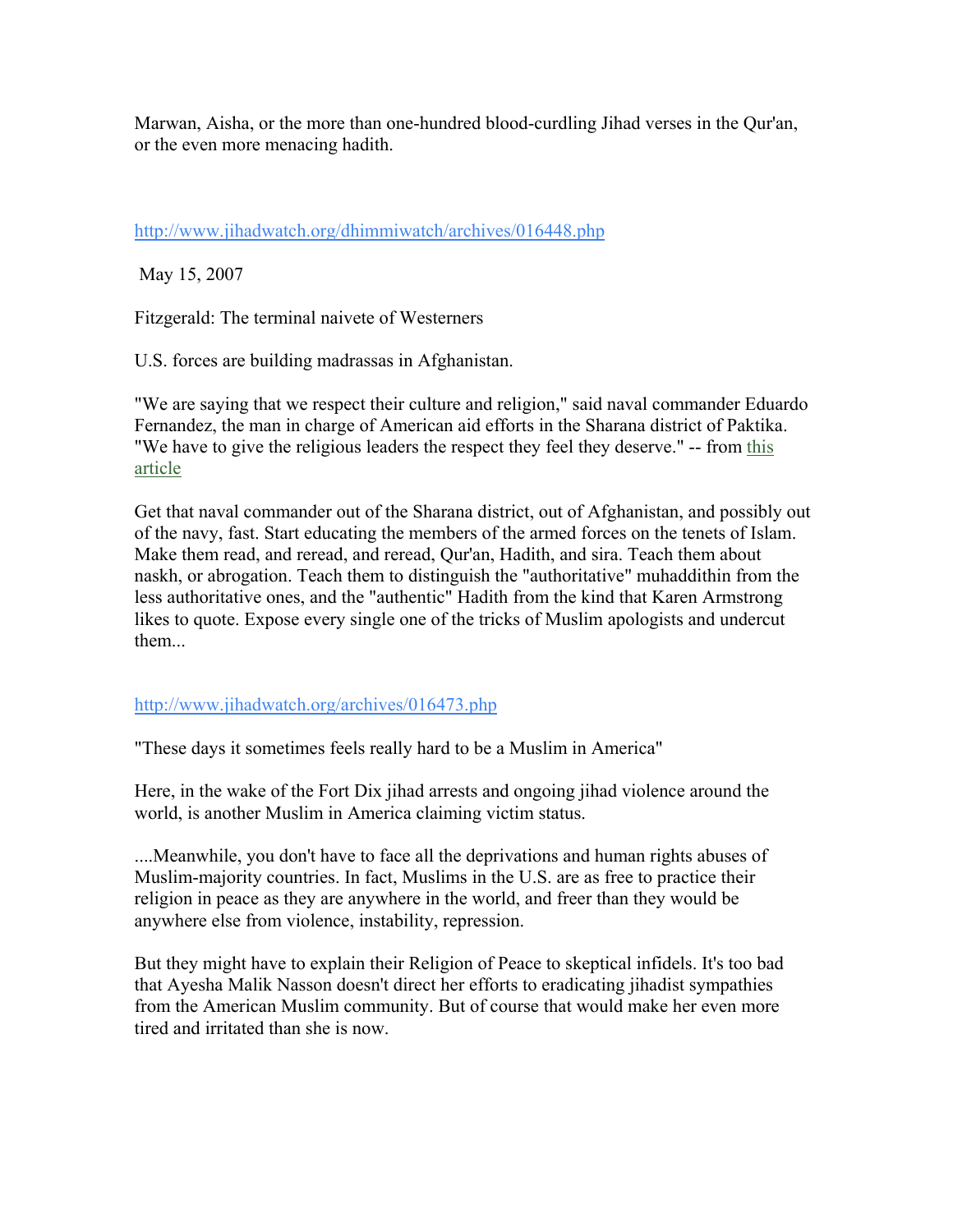Marwan, Aisha, or the more than one-hundred blood-curdling Jihad verses in the Qur'an, or the even more menacing hadith.

<http://www.jihadwatch.org/dhimmiwatch/archives/016448.php>

May 15, 2007

Fitzgerald: The terminal naivete of Westerners

U.S. forces are building madrassas in Afghanistan.

"We are saying that we respect their culture and religion," said naval commander Eduardo Fernandez, the man in charge of American aid efforts in the Sharana district of Paktika. "We have to give the religious leaders the respect they feel they deserve." -- from [this](http://www.telegraph.co.uk/news/main.jhtml?xml=/news/2007/05/13/wafg13.xml)  [article](http://www.telegraph.co.uk/news/main.jhtml?xml=/news/2007/05/13/wafg13.xml)

Get that naval commander out of the Sharana district, out of Afghanistan, and possibly out of the navy, fast. Start educating the members of the armed forces on the tenets of Islam. Make them read, and reread, and reread, Qur'an, Hadith, and sira. Teach them about naskh, or abrogation. Teach them to distinguish the "authoritative" muhaddithin from the less authoritative ones, and the "authentic" Hadith from the kind that Karen Armstrong likes to quote. Expose every single one of the tricks of Muslim apologists and undercut them...

### <http://www.jihadwatch.org/archives/016473.php>

"These days it sometimes feels really hard to be a Muslim in America"

Here, in the wake of the Fort Dix jihad arrests and ongoing jihad violence around the world, is another Muslim in America claiming victim status.

....Meanwhile, you don't have to face all the deprivations and human rights abuses of Muslim-majority countries. In fact, Muslims in the U.S. are as free to practice their religion in peace as they are anywhere in the world, and freer than they would be anywhere else from violence, instability, repression.

But they might have to explain their Religion of Peace to skeptical infidels. It's too bad that Ayesha Malik Nasson doesn't direct her efforts to eradicating jihadist sympathies from the American Muslim community. But of course that would make her even more tired and irritated than she is now.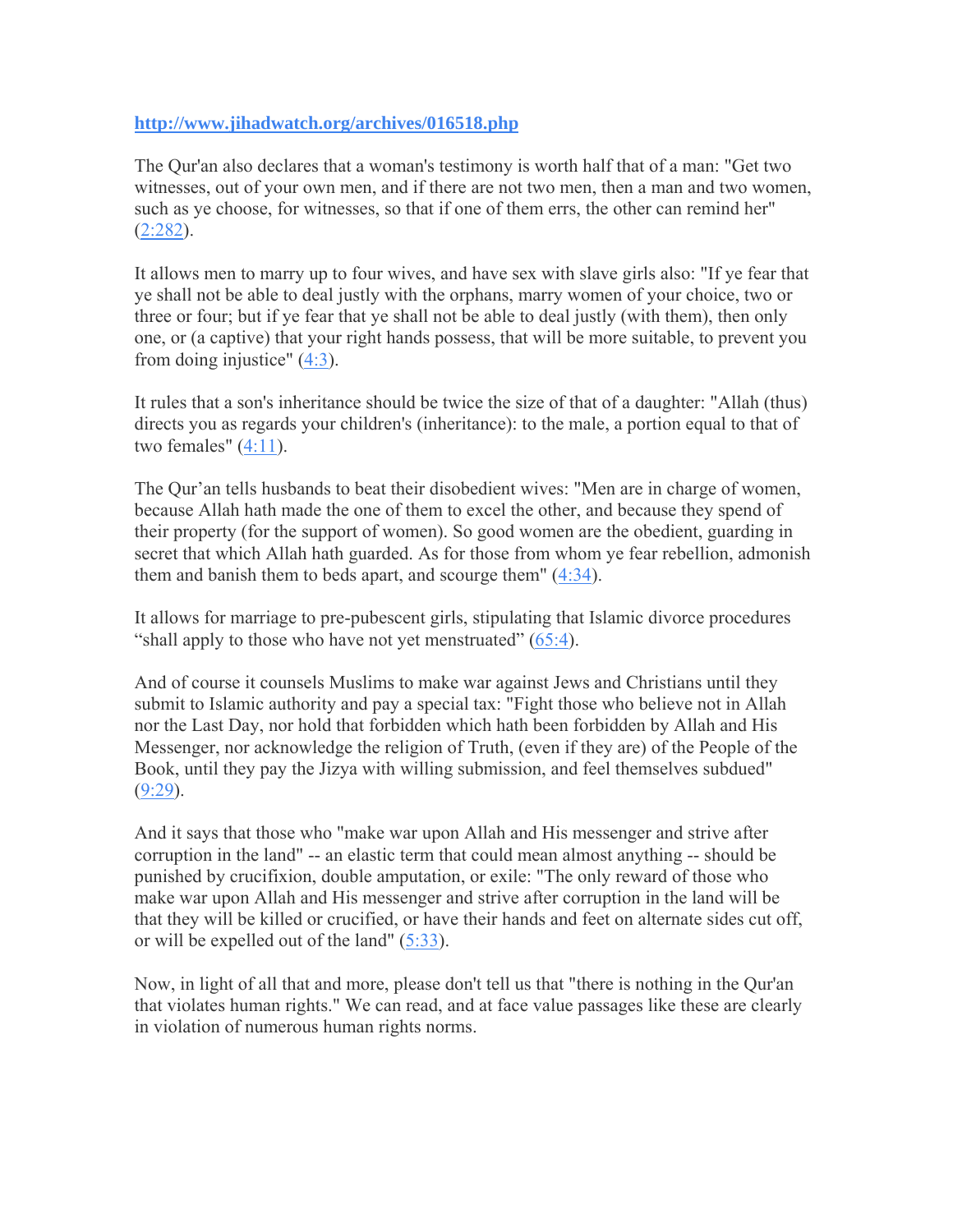### **<http://www.jihadwatch.org/archives/016518.php>**

The Qur'an also declares that a woman's testimony is worth half that of a man: "Get two witnesses, out of your own men, and if there are not two men, then a man and two women, such as ye choose, for witnesses, so that if one of them errs, the other can remind her"  $(2:282)$ .

It allows men to marry up to four wives, and have sex with slave girls also: "If ye fear that ye shall not be able to deal justly with the orphans, marry women of your choice, two or three or four; but if ye fear that ye shall not be able to deal justly (with them), then only one, or (a captive) that your right hands possess, that will be more suitable, to prevent you from doing injustice" ([4:3\)](http://www.usc.edu/dept/MSA/quran/004.qmt.html#004.003).

It rules that a son's inheritance should be twice the size of that of a daughter: "Allah (thus) directs you as regards your children's (inheritance): to the male, a portion equal to that of two females"  $(4:11)$  $(4:11)$ .

The Qur'an tells husbands to beat their disobedient wives: "Men are in charge of women, because Allah hath made the one of them to excel the other, and because they spend of their property (for the support of women). So good women are the obedient, guarding in secret that which Allah hath guarded. As for those from whom ye fear rebellion, admonish them and banish them to beds apart, and scourge them" ([4:34](http://www.usc.edu/dept/MSA/quran/004.qmt.html#004.034)).

It allows for marriage to pre-pubescent girls, stipulating that Islamic divorce procedures "shall apply to those who have not yet menstruated" [\(65:4](http://www.usc.edu/dept/MSA/quran/065.qmt.html#065.004)).

And of course it counsels Muslims to make war against Jews and Christians until they submit to Islamic authority and pay a special tax: "Fight those who believe not in Allah nor the Last Day, nor hold that forbidden which hath been forbidden by Allah and His Messenger, nor acknowledge the religion of Truth, (even if they are) of the People of the Book, until they pay the Jizya with willing submission, and feel themselves subdued"  $(9:29)$ .

And it says that those who "make war upon Allah and His messenger and strive after corruption in the land" -- an elastic term that could mean almost anything -- should be punished by crucifixion, double amputation, or exile: "The only reward of those who make war upon Allah and His messenger and strive after corruption in the land will be that they will be killed or crucified, or have their hands and feet on alternate sides cut off, or will be expelled out of the land" ([5:33\)](http://www.usc.edu/dept/MSA/quran/005.qmt.html#005.033).

Now, in light of all that and more, please don't tell us that "there is nothing in the Qur'an that violates human rights." We can read, and at face value passages like these are clearly in violation of numerous human rights norms.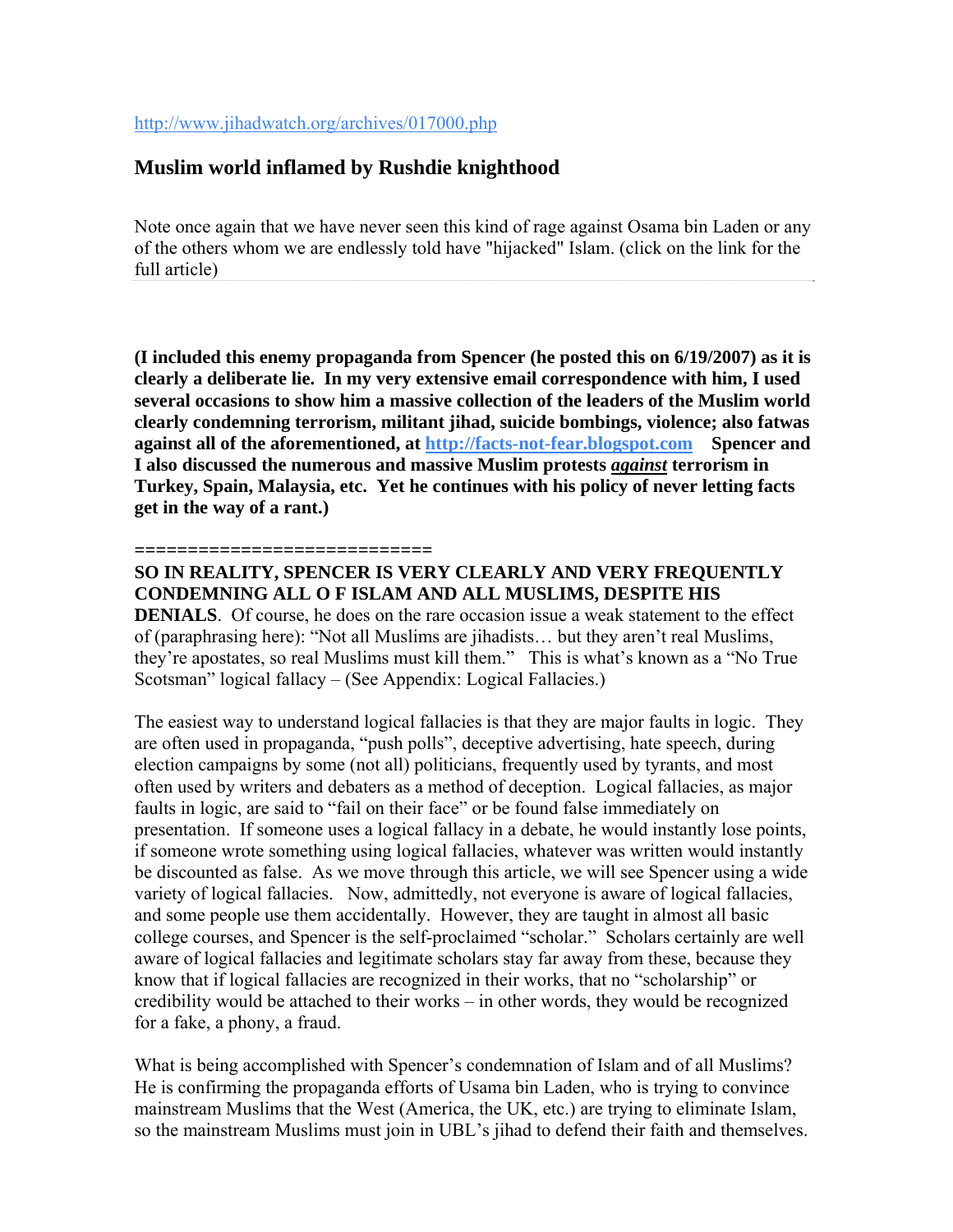<http://www.jihadwatch.org/archives/017000.php>

### **Muslim world inflamed by Rushdie knighthood**

Note once again that we have never seen this kind of rage against Osama bin Laden or any of the others whom we are endlessly told have "hijacked" Islam. (click on the link for the full article)

**(I included this enemy propaganda from Spencer (he posted this on 6/19/2007) as it is clearly a deliberate lie. In my very extensive email correspondence with him, I used several occasions to show him a massive collection of the leaders of the Muslim world clearly condemning terrorism, militant jihad, suicide bombings, violence; also fatwas against all of the aforementioned, at [http://facts-not-fear.blogspot.com](http://facts-not-fear.blogspot.com/) Spencer and I also discussed the numerous and massive Muslim protests** *against* **terrorism in Turkey, Spain, Malaysia, etc. Yet he continues with his policy of never letting facts get in the way of a rant.)** 

#### **============================**

### **SO IN REALITY, SPENCER IS VERY CLEARLY AND VERY FREQUENTLY CONDEMNING ALL O F ISLAM AND ALL MUSLIMS, DESPITE HIS**

**DENIALS**. Of course, he does on the rare occasion issue a weak statement to the effect of (paraphrasing here): "Not all Muslims are jihadists… but they aren't real Muslims, they're apostates, so real Muslims must kill them." This is what's known as a "No True Scotsman" logical fallacy – (See Appendix: Logical Fallacies.)

The easiest way to understand logical fallacies is that they are major faults in logic. They are often used in propaganda, "push polls", deceptive advertising, hate speech, during election campaigns by some (not all) politicians, frequently used by tyrants, and most often used by writers and debaters as a method of deception. Logical fallacies, as major faults in logic, are said to "fail on their face" or be found false immediately on presentation. If someone uses a logical fallacy in a debate, he would instantly lose points, if someone wrote something using logical fallacies, whatever was written would instantly be discounted as false. As we move through this article, we will see Spencer using a wide variety of logical fallacies. Now, admittedly, not everyone is aware of logical fallacies, and some people use them accidentally. However, they are taught in almost all basic college courses, and Spencer is the self-proclaimed "scholar." Scholars certainly are well aware of logical fallacies and legitimate scholars stay far away from these, because they know that if logical fallacies are recognized in their works, that no "scholarship" or credibility would be attached to their works – in other words, they would be recognized for a fake, a phony, a fraud.

What is being accomplished with Spencer's condemnation of Islam and of all Muslims? He is confirming the propaganda efforts of Usama bin Laden, who is trying to convince mainstream Muslims that the West (America, the UK, etc.) are trying to eliminate Islam, so the mainstream Muslims must join in UBL's jihad to defend their faith and themselves.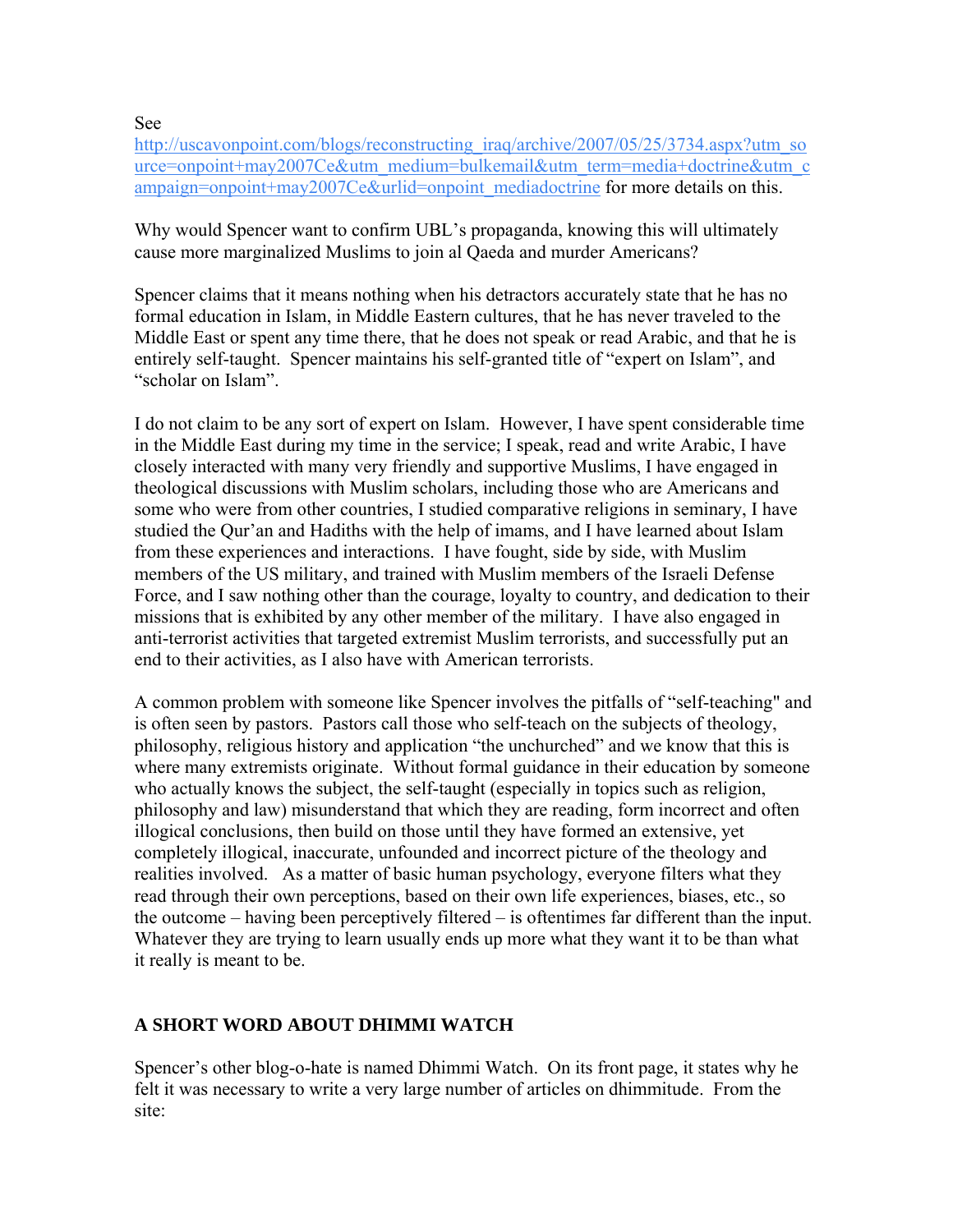See

[http://uscavonpoint.com/blogs/reconstructing\\_iraq/archive/2007/05/25/3734.aspx?utm\\_so](http://uscavonpoint.com/blogs/reconstructing_iraq/archive/2007/05/25/3734.aspx?utm_source=onpoint+may2007Ce&utm_medium=bulkemail&utm_term=media+doctrine&utm_campaign=onpoint+may2007Ce&urlid=onpoint_mediadoctrine) [urce=onpoint+may2007Ce&utm\\_medium=bulkemail&utm\\_term=media+doctrine&utm\\_c](http://uscavonpoint.com/blogs/reconstructing_iraq/archive/2007/05/25/3734.aspx?utm_source=onpoint+may2007Ce&utm_medium=bulkemail&utm_term=media+doctrine&utm_campaign=onpoint+may2007Ce&urlid=onpoint_mediadoctrine) [ampaign=onpoint+may2007Ce&urlid=onpoint\\_mediadoctrine](http://uscavonpoint.com/blogs/reconstructing_iraq/archive/2007/05/25/3734.aspx?utm_source=onpoint+may2007Ce&utm_medium=bulkemail&utm_term=media+doctrine&utm_campaign=onpoint+may2007Ce&urlid=onpoint_mediadoctrine) for more details on this.

Why would Spencer want to confirm UBL's propaganda, knowing this will ultimately cause more marginalized Muslims to join al Qaeda and murder Americans?

Spencer claims that it means nothing when his detractors accurately state that he has no formal education in Islam, in Middle Eastern cultures, that he has never traveled to the Middle East or spent any time there, that he does not speak or read Arabic, and that he is entirely self-taught. Spencer maintains his self-granted title of "expert on Islam", and "scholar on Islam".

I do not claim to be any sort of expert on Islam. However, I have spent considerable time in the Middle East during my time in the service; I speak, read and write Arabic, I have closely interacted with many very friendly and supportive Muslims, I have engaged in theological discussions with Muslim scholars, including those who are Americans and some who were from other countries, I studied comparative religions in seminary, I have studied the Qur'an and Hadiths with the help of imams, and I have learned about Islam from these experiences and interactions. I have fought, side by side, with Muslim members of the US military, and trained with Muslim members of the Israeli Defense Force, and I saw nothing other than the courage, loyalty to country, and dedication to their missions that is exhibited by any other member of the military. I have also engaged in anti-terrorist activities that targeted extremist Muslim terrorists, and successfully put an end to their activities, as I also have with American terrorists.

A common problem with someone like Spencer involves the pitfalls of "self-teaching" and is often seen by pastors. Pastors call those who self-teach on the subjects of theology, philosophy, religious history and application "the unchurched" and we know that this is where many extremists originate. Without formal guidance in their education by someone who actually knows the subject, the self-taught (especially in topics such as religion, philosophy and law) misunderstand that which they are reading, form incorrect and often illogical conclusions, then build on those until they have formed an extensive, yet completely illogical, inaccurate, unfounded and incorrect picture of the theology and realities involved. As a matter of basic human psychology, everyone filters what they read through their own perceptions, based on their own life experiences, biases, etc., so the outcome – having been perceptively filtered – is oftentimes far different than the input. Whatever they are trying to learn usually ends up more what they want it to be than what it really is meant to be.

### **A SHORT WORD ABOUT DHIMMI WATCH**

Spencer's other blog-o-hate is named Dhimmi Watch. On its front page, it states why he felt it was necessary to write a very large number of articles on dhimmitude. From the site: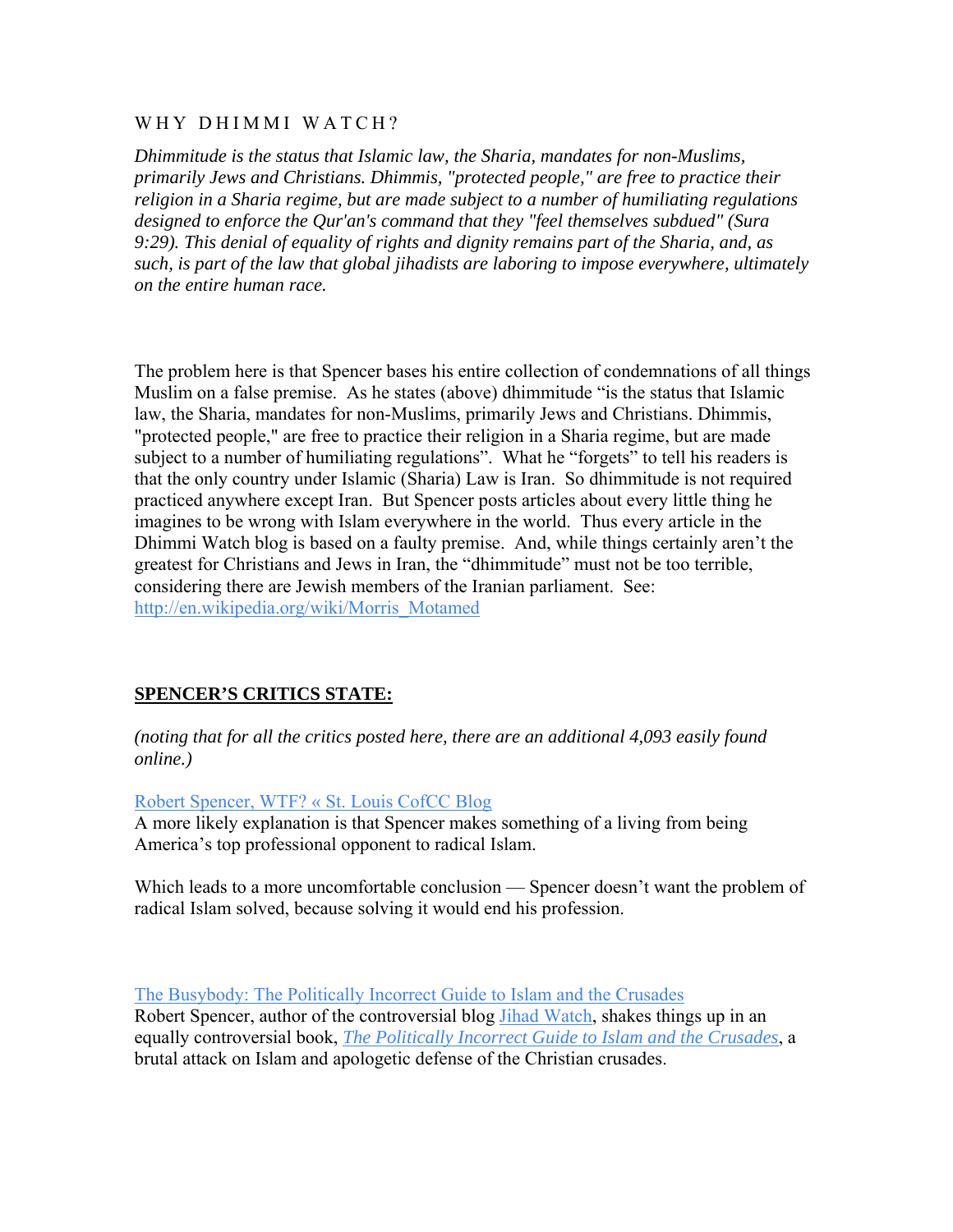#### WHY DHIMMI WATCH?

*Dhimmitude is the status that Islamic law, the Sharia, mandates for non-Muslims, primarily Jews and Christians. Dhimmis, "protected people," are free to practice their religion in a Sharia regime, but are made subject to a number of humiliating regulations designed to enforce the Qur'an's command that they "feel themselves subdued" (Sura 9:29). This denial of equality of rights and dignity remains part of the Sharia, and, as such, is part of the law that global jihadists are laboring to impose everywhere, ultimately on the entire human race.* 

The problem here is that Spencer bases his entire collection of condemnations of all things Muslim on a false premise. As he states (above) dhimmitude "is the status that Islamic law, the Sharia, mandates for non-Muslims, primarily Jews and Christians. Dhimmis, "protected people," are free to practice their religion in a Sharia regime, but are made subject to a number of humiliating regulations". What he "forgets" to tell his readers is that the only country under Islamic (Sharia) Law is Iran. So dhimmitude is not required practiced anywhere except Iran. But Spencer posts articles about every little thing he imagines to be wrong with Islam everywhere in the world. Thus every article in the Dhimmi Watch blog is based on a faulty premise. And, while things certainly aren't the greatest for Christians and Jews in Iran, the "dhimmitude" must not be too terrible, considering there are Jewish members of the Iranian parliament. See: [http://en.wikipedia.org/wiki/Morris\\_Motamed](http://en.wikipedia.org/wiki/Morris_Motamed)

### **SPENCER'S CRITICS STATE:**

*(noting that for all the critics posted here, there are an additional 4,093 easily found online.)* 

[Robert Spencer, WTF? « St. Louis CofCC Blog](http://countenance.wordpress.com/2007/01/10/robert-spencer-wtf/)

A more likely explanation is that Spencer makes something of a living from being America's top professional opponent to radical Islam.

Which leads to a more uncomfortable conclusion — Spencer doesn't want the problem of radical Islam solved, because solving it would end his profession.

[The Busybody: The Politically Incorrect Guide to Islam and the Crusades](http://lorenrosson.blogspot.com/2007/01/politically-incorrect-guide-to-islam.html)  Robert Spencer, author of the controversial blog [Jihad Watch,](http://www.jihadwatch.org/) shakes things up in an equally controversial book, *[The Politically Incorrect Guide to Islam and the Crusades](http://www.amazon.com/Politically-Incorrect-Guide-Islam-Crusades/dp/0895260131/sr=1-1/qid=1168432774/ref=sr_1_1/002-1179065-0246422?ie=UTF8&s=books)*, a brutal attack on Islam and apologetic defense of the Christian crusades.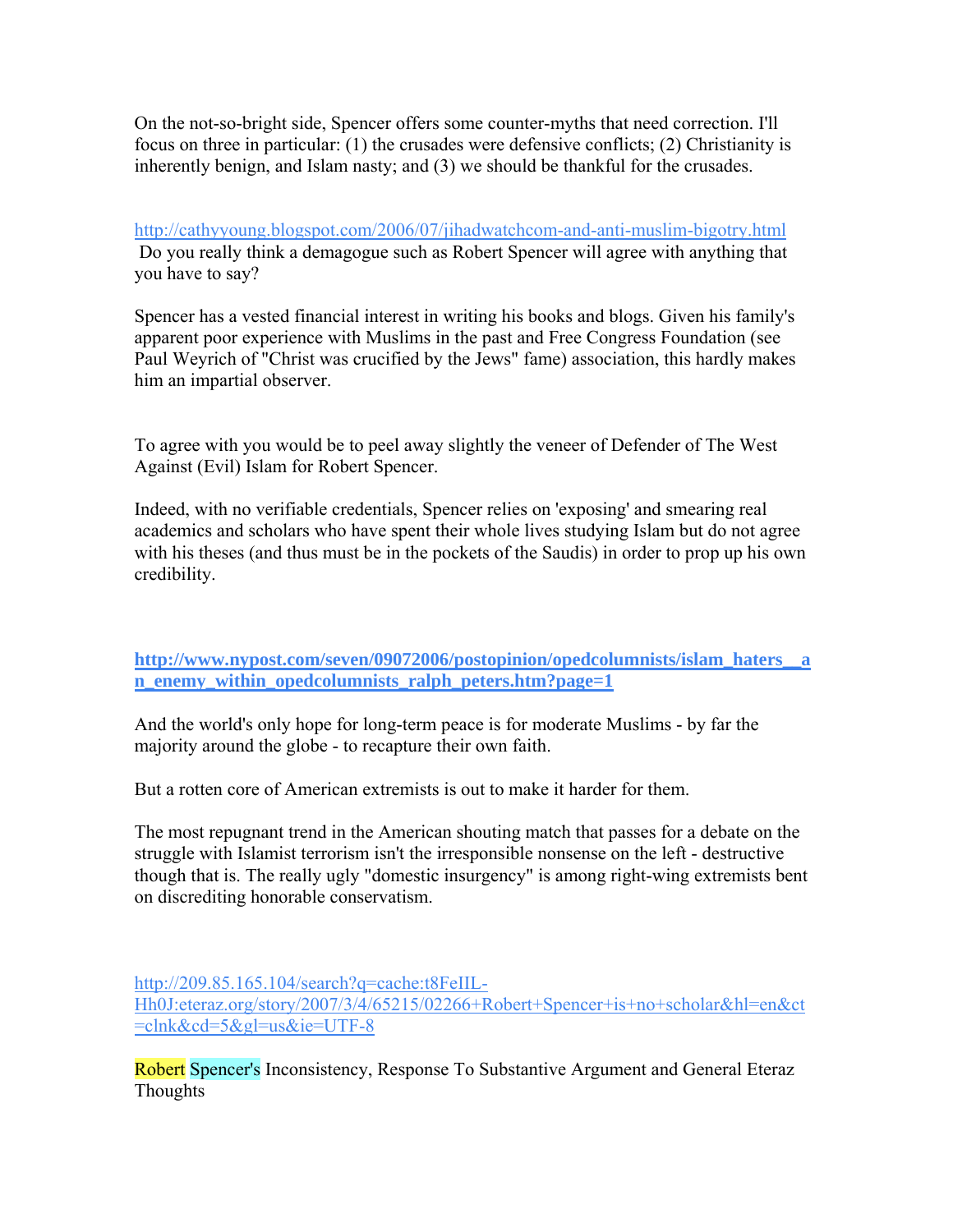On the not-so-bright side, Spencer offers some counter-myths that need correction. I'll focus on three in particular: (1) the crusades were defensive conflicts; (2) Christianity is inherently benign, and Islam nasty; and (3) we should be thankful for the crusades.

<http://cathyyoung.blogspot.com/2006/07/jihadwatchcom-and-anti-muslim-bigotry.html> Do you really think a demagogue such as Robert Spencer will agree with anything that you have to say?

Spencer has a vested financial interest in writing his books and blogs. Given his family's apparent poor experience with Muslims in the past and Free Congress Foundation (see Paul Weyrich of "Christ was crucified by the Jews" fame) association, this hardly makes him an impartial observer.

To agree with you would be to peel away slightly the veneer of Defender of The West Against (Evil) Islam for Robert Spencer.

Indeed, with no verifiable credentials, Spencer relies on 'exposing' and smearing real academics and scholars who have spent their whole lives studying Islam but do not agree with his theses (and thus must be in the pockets of the Saudis) in order to prop up his own credibility.

**[http://www.nypost.com/seven/09072006/postopinion/opedcolumnists/islam\\_haters\\_\\_a](http://www.nypost.com/seven/09072006/postopinion/opedcolumnists/islam_haters__an_enemy_within_opedcolumnists_ralph_peters.htm?page=1) [n\\_enemy\\_within\\_opedcolumnists\\_ralph\\_peters.htm?page=1](http://www.nypost.com/seven/09072006/postopinion/opedcolumnists/islam_haters__an_enemy_within_opedcolumnists_ralph_peters.htm?page=1)**

And the world's only hope for long-term peace is for moderate Muslims - by far the majority around the globe - to recapture their own faith.

But a rotten core of American extremists is out to make it harder for them.

The most repugnant trend in the American shouting match that passes for a debate on the struggle with Islamist terrorism isn't the irresponsible nonsense on the left - destructive though that is. The really ugly "domestic insurgency" is among right-wing extremists bent on discrediting honorable conservatism.

[http://209.85.165.104/search?q=cache:t8FeIIL-](http://209.85.165.104/search?q=cache:t8FeIIL-Hh0J:eteraz.org/story/2007/3/4/65215/02266+Robert+Spencer+is+no+scholar&hl=en&ct=clnk&cd=5&gl=us&ie=UTF-8)[Hh0J:eteraz.org/story/2007/3/4/65215/02266+Robert+Spencer+is+no+scholar&hl=en&ct](http://209.85.165.104/search?q=cache:t8FeIIL-Hh0J:eteraz.org/story/2007/3/4/65215/02266+Robert+Spencer+is+no+scholar&hl=en&ct=clnk&cd=5&gl=us&ie=UTF-8) [=clnk&cd=5&gl=us&ie=UTF-8](http://209.85.165.104/search?q=cache:t8FeIIL-Hh0J:eteraz.org/story/2007/3/4/65215/02266+Robert+Spencer+is+no+scholar&hl=en&ct=clnk&cd=5&gl=us&ie=UTF-8)

Robert Spencer's Inconsistency, Response To Substantive Argument and General Eteraz Thoughts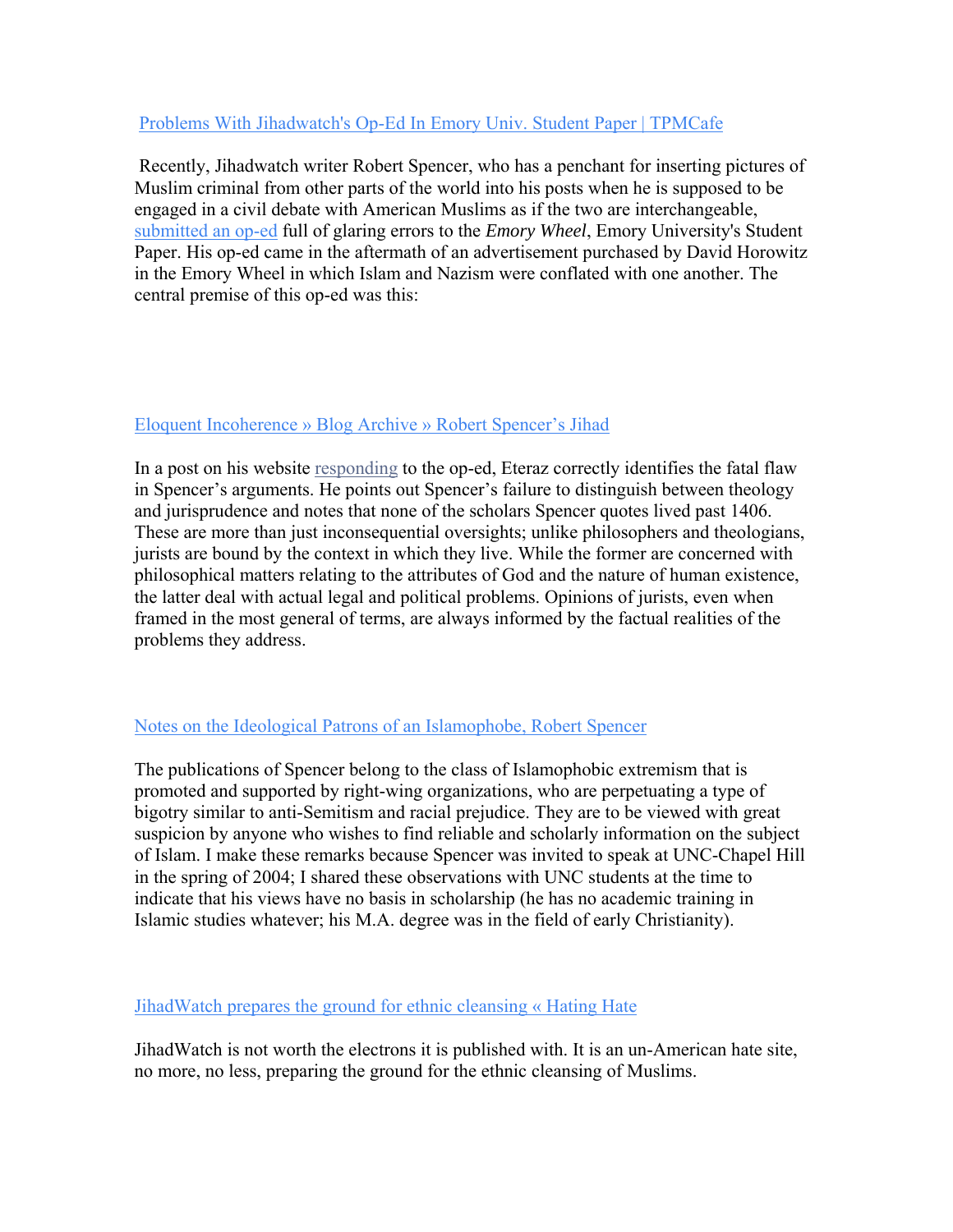### [Problems With Jihadwatch's Op-Ed In Emory Univ. Student Paper | TPMCafe](http://www.tpmcafe.com/blog/eteraz/2007/mar/20/problems_with_jihadwatchs_op_ed_in_emory_univ_student_paper)

 Recently, Jihadwatch writer Robert Spencer, who has a penchant for inserting pictures of Muslim criminal from other parts of the world into his posts when he is supposed to be engaged in a civil debate with American Muslims as if the two are interchangeable, [submitted an op-ed](http://www.emorywheel.com/home/index.cfm?event=displayArticlePrinterFriendly&uStory_id=a9feffcc-8cd9-4cb6-8507-bee2ebfd83b1) full of glaring errors to the *Emory Wheel*, Emory University's Student Paper. His op-ed came in the aftermath of an advertisement purchased by David Horowitz in the Emory Wheel in which Islam and Nazism were conflated with one another. The central premise of this op-ed was this:

### [Eloquent Incoherence » Blog Archive » Robert Spencer's Jihad](http://www.eloquentincoherence.com/2007/03/04/robert-spencers-jihad/)

In a post on his website [responding](http://www.eteraz.org/story/2007/3/1/1421/36075) to the op-ed, Eteraz correctly identifies the fatal flaw in Spencer's arguments. He points out Spencer's failure to distinguish between theology and jurisprudence and notes that none of the scholars Spencer quotes lived past 1406. These are more than just inconsequential oversights; unlike philosophers and theologians, jurists are bound by the context in which they live. While the former are concerned with philosophical matters relating to the attributes of God and the nature of human existence, the latter deal with actual legal and political problems. Opinions of jurists, even when framed in the most general of terms, are always informed by the factual realities of the problems they address.

### [Notes on the Ideological Patrons of an Islamophobe, Robert Spencer](http://www.unc.edu/%7Ecernst/courses/2004/026/001/spencer.htm)

The publications of Spencer belong to the class of Islamophobic extremism that is promoted and supported by right-wing organizations, who are perpetuating a type of bigotry similar to anti-Semitism and racial prejudice. They are to be viewed with great suspicion by anyone who wishes to find reliable and scholarly information on the subject of Islam. I make these remarks because Spencer was invited to speak at UNC-Chapel Hill in the spring of 2004; I shared these observations with UNC students at the time to indicate that his views have no basis in scholarship (he has no academic training in Islamic studies whatever; his M.A. degree was in the field of early Christianity).

### [JihadWatch prepares the ground for ethnic cleansing « Hating Hate](http://hatinghate.wordpress.com/2006/02/06/jihadwatch-prepares-the-ground-for-ethnic-cleansing/)

JihadWatch is not worth the electrons it is published with. It is an un-American hate site, no more, no less, preparing the ground for the ethnic cleansing of Muslims.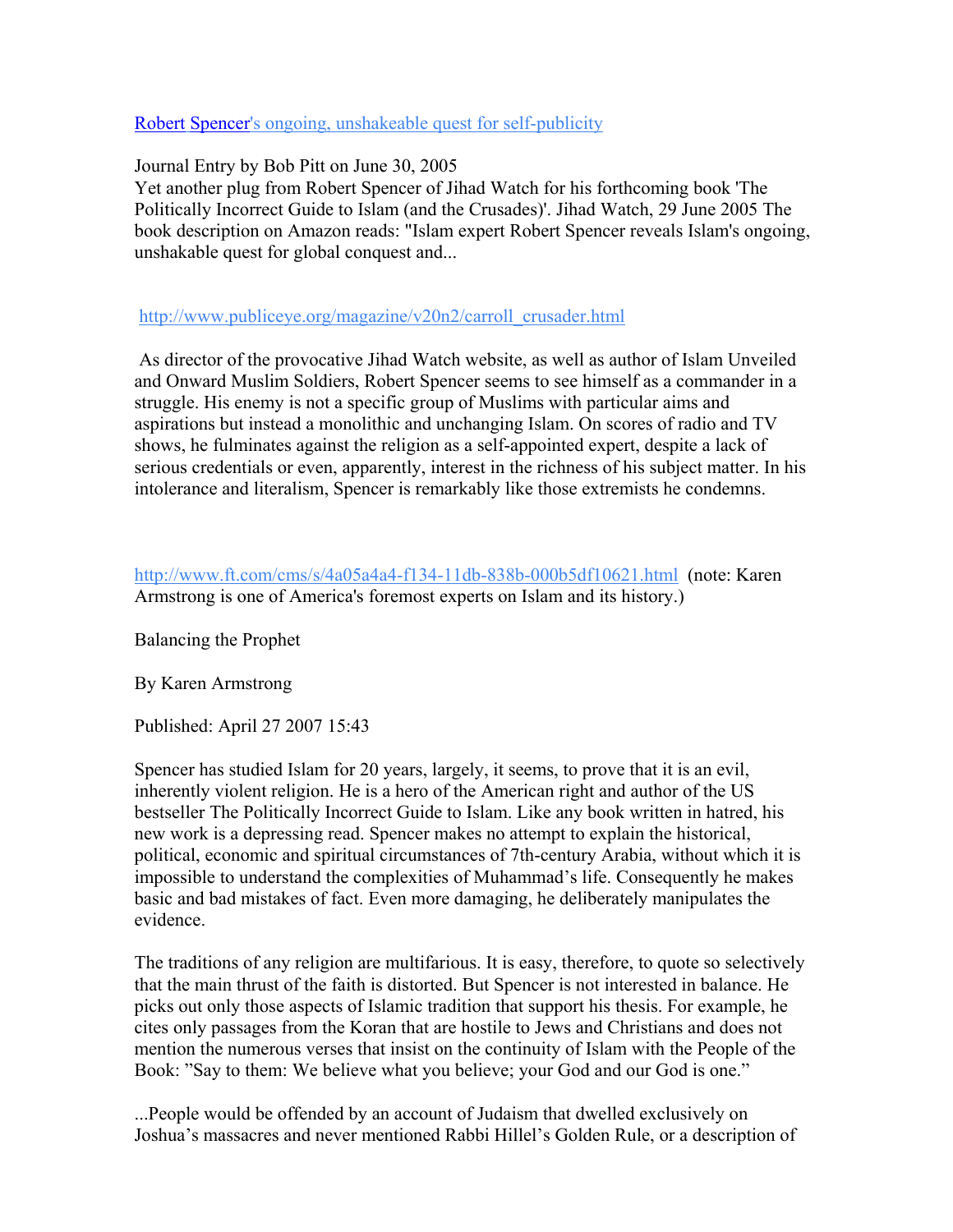#### Robert [Spencer's ongoing, unshakeable quest for self-publicity](http://www.islamophobia-watch.com/islamophobia-watch/2005/6/30/robert-spencers-ongoing-unshakeable-quest-for-self-publicity.html)

Journal Entry by Bob Pitt on June 30, 2005

Yet another plug from Robert Spencer of Jihad Watch for his forthcoming book 'The Politically Incorrect Guide to Islam (and the Crusades)'. Jihad Watch, 29 June 2005 The book description on Amazon reads: "Islam expert Robert Spencer reveals Islam's ongoing, unshakable quest for global conquest and...

[http://www.publiceye.org/magazine/v20n2/carroll\\_crusader.html](http://www.publiceye.org/magazine/v20n2/carroll_crusader.html)

 As director of the provocative Jihad Watch website, as well as author of Islam Unveiled and Onward Muslim Soldiers, Robert Spencer seems to see himself as a commander in a struggle. His enemy is not a specific group of Muslims with particular aims and aspirations but instead a monolithic and unchanging Islam. On scores of radio and TV shows, he fulminates against the religion as a self-appointed expert, despite a lack of serious credentials or even, apparently, interest in the richness of his subject matter. In his intolerance and literalism, Spencer is remarkably like those extremists he condemns.

<http://www.ft.com/cms/s/4a05a4a4-f134-11db-838b-000b5df10621.html> (note: Karen Armstrong is one of America's foremost experts on Islam and its history.)

Balancing the Prophet

By Karen Armstrong

Published: April 27 2007 15:43

Spencer has studied Islam for 20 years, largely, it seems, to prove that it is an evil, inherently violent religion. He is a hero of the American right and author of the US bestseller The Politically Incorrect Guide to Islam. Like any book written in hatred, his new work is a depressing read. Spencer makes no attempt to explain the historical, political, economic and spiritual circumstances of 7th-century Arabia, without which it is impossible to understand the complexities of Muhammad's life. Consequently he makes basic and bad mistakes of fact. Even more damaging, he deliberately manipulates the evidence.

The traditions of any religion are multifarious. It is easy, therefore, to quote so selectively that the main thrust of the faith is distorted. But Spencer is not interested in balance. He picks out only those aspects of Islamic tradition that support his thesis. For example, he cites only passages from the Koran that are hostile to Jews and Christians and does not mention the numerous verses that insist on the continuity of Islam with the People of the Book: "Say to them: We believe what you believe; your God and our God is one."

...People would be offended by an account of Judaism that dwelled exclusively on Joshua's massacres and never mentioned Rabbi Hillel's Golden Rule, or a description of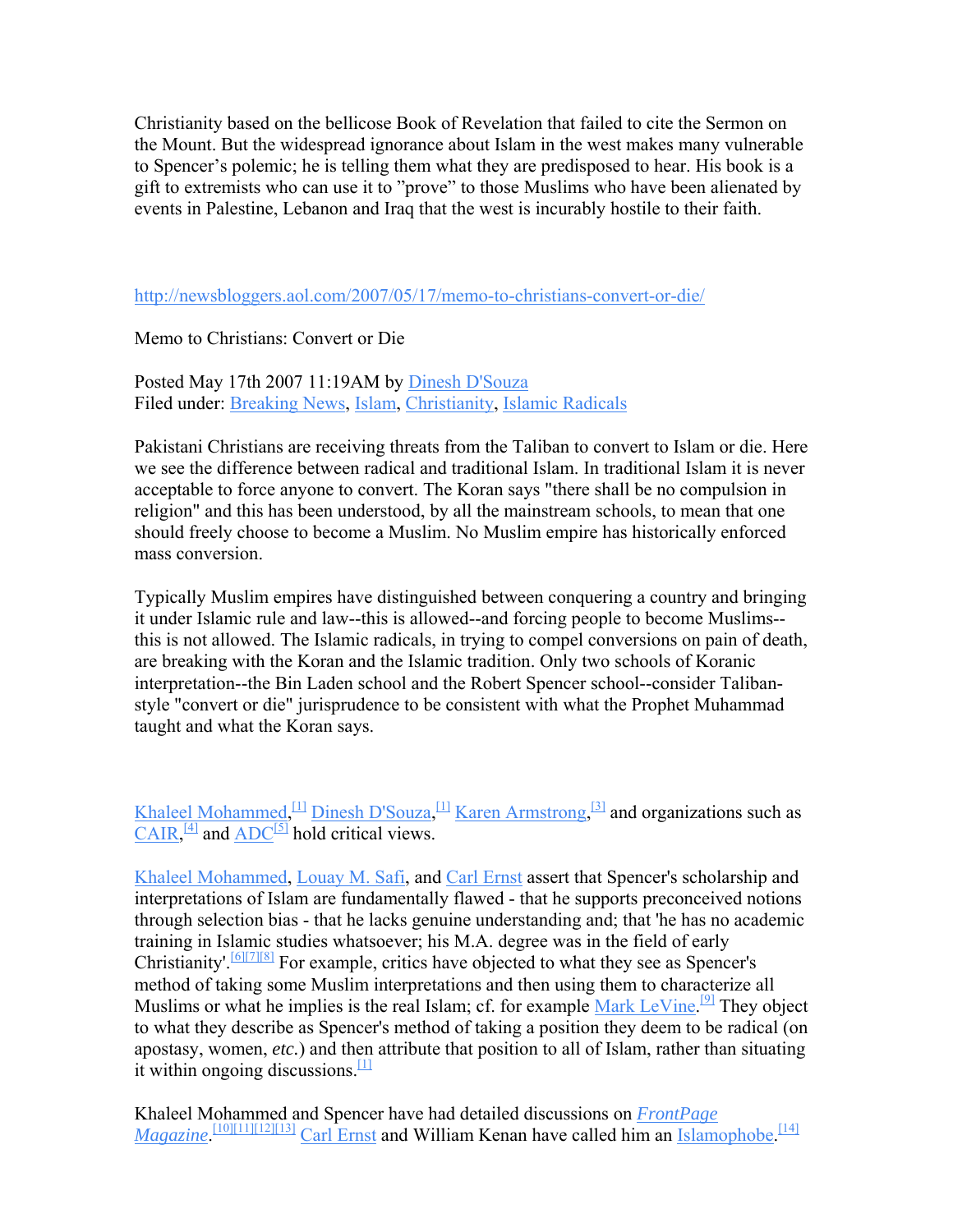Christianity based on the bellicose Book of Revelation that failed to cite the Sermon on the Mount. But the widespread ignorance about Islam in the west makes many vulnerable to Spencer's polemic; he is telling them what they are predisposed to hear. His book is a gift to extremists who can use it to "prove" to those Muslims who have been alienated by events in Palestine, Lebanon and Iraq that the west is incurably hostile to their faith.

<http://newsbloggers.aol.com/2007/05/17/memo-to-christians-convert-or-die/>

Memo to Christians: Convert or Die

Posted May 17th 2007 11:19AM by [Dinesh D'Souza](http://newsbloggers.aol.com/bloggers/dinesh-dsouza) Filed under: [Breaking News](http://newsbloggers.aol.com/category/breaking-news/), [Islam,](http://newsbloggers.aol.com/category/islam/) [Christianity](http://newsbloggers.aol.com/category/christianity/), [Islamic Radicals](http://newsbloggers.aol.com/category/islamic-radicals/)

Pakistani Christians are receiving threats from the Taliban to convert to Islam or die. Here we see the difference between radical and traditional Islam. In traditional Islam it is never acceptable to force anyone to convert. The Koran says "there shall be no compulsion in religion" and this has been understood, by all the mainstream schools, to mean that one should freely choose to become a Muslim. No Muslim empire has historically enforced mass conversion.

Typically Muslim empires have distinguished between conquering a country and bringing it under Islamic rule and law--this is allowed--and forcing people to become Muslims- this is not allowed. The Islamic radicals, in trying to compel conversions on pain of death, are breaking with the Koran and the Islamic tradition. Only two schools of Koranic interpretation--the Bin Laden school and the Robert Spencer school--consider Talibanstyle "convert or die" jurisprudence to be consistent with what the Prophet Muhammad taught and what the Koran says.

[Khaleel Mohammed,](http://en.wikipedia.org/wiki/Khaleel_Mohammed)  $\frac{11}{2}$  [Dinesh D'Souza](http://en.wikipedia.org/wiki/Dinesh_D%27Souza),  $\frac{11}{2}$  [Karen Armstrong,](http://en.wikipedia.org/wiki/Karen_Armstrong)  $\frac{31}{2}$  and organizations such as  $CAIR$ ,  $^{[4]}$  $^{[4]}$  $^{[4]}$  and  $ADC^{[5]}$  $ADC^{[5]}$  $ADC^{[5]}$  $ADC^{[5]}$  hold critical views.

[Khaleel Mohammed,](http://en.wikipedia.org/wiki/Khaleel_Mohammed) [Louay M. Safi](http://en.wikipedia.org/wiki/Louay_M._Safi), and [Carl Ernst](http://en.wikipedia.org/wiki/Carl_Ernst) assert that Spencer's scholarship and interpretations of Islam are fundamentally flawed - that he supports preconceived notions through selection bias - that he lacks genuine understanding and; that 'he has no academic training in Islamic studies whatsoever; his M.A. degree was in the field of early Christianity'.[\[6\]](http://en.wikipedia.org/wiki/Robert_Spencer#_note-9)[\[7\]](http://en.wikipedia.org/wiki/Robert_Spencer#_note-KhaleelOnFrontPage)[\[8\]](http://en.wikipedia.org/wiki/Robert_Spencer#_note-rohan) For example, critics have objected to what they see as Spencer's method of taking some Muslim interpretations and then using them to characterize all Muslims or what he implies is the real Islam; cf. for example [Mark LeVine](http://en.wikipedia.org/wiki/Mark_LeVine).<sup>[\[9\]](http://en.wikipedia.org/wiki/Robert_Spencer#_note-10)</sup> They object to what they describe as Spencer's method of taking a position they deem to be radical (on apostasy, women, *etc.*) and the[n](http://en.wikipedia.org/wiki/Robert_Spencer#_note-Khaleel) attribute that position to all of Islam, rather than situating it within ongoing discussions. $[1]$ 

Khaleel Mohammed and Spencer have had detailed discussions on *[FrontPage](http://en.wikipedia.org/wiki/FrontPage_Magazine)  [Magazine](http://en.wikipedia.org/wiki/FrontPage_Magazine)*.<sup>[\[10\]](http://en.wikipedia.org/wiki/Robert_Spencer#_note-11)[\[11\]](http://en.wikipedia.org/wiki/Robert_Spencer#_note-KhaleelOnFrontPage)[\[12\]](http://en.wikipedia.org/wiki/Robert_Spencer#_note-12)[\[13\]](http://en.wikipedia.org/wiki/Robert_Spencer#_note-13) [Carl Ernst](http://en.wikipedia.org/wiki/Carl_Ernst) and William Kenan have called him an [Islamophobe](http://en.wikipedia.org/wiki/Islamophobe).<sup>[\[14\]](http://en.wikipedia.org/wiki/Robert_Spencer#_note-HoC)</sup></sup>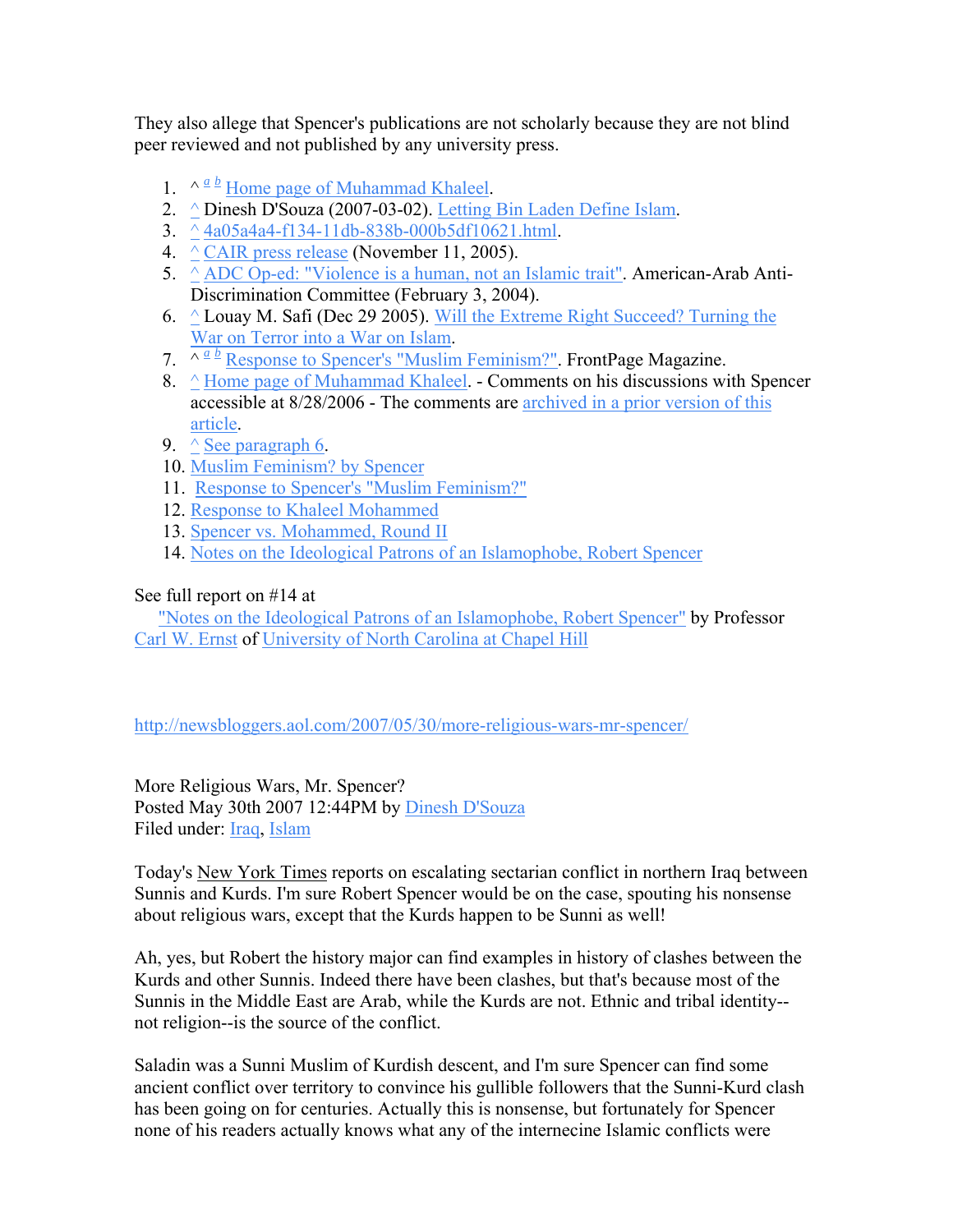They also allege that Spencer's publications are not scholarly because they are not blind peer reviewed and not published by any university press.

- 1.  $\wedge \frac{a}{b}$  $\wedge \frac{a}{b}$  $\wedge \frac{a}{b}$  $\wedge \frac{a}{b}$  $\wedge \frac{a}{b}$  [Home page of Muhammad Khaleel](http://www-rohan.sdsu.edu/%7Ekhaleel/).
- 2. [^](http://en.wikipedia.org/wiki/Robert_Spencer#_ref-5) Dinesh D'Souza (2007-03-02). [Letting Bin Laden Define Islam](http://newsbloggers.aol.com/2007/03/02/letting-bin-laden-define-islam/).
- 3.  $\hat{\triangle}$  [4a05a4a4-f134-11db-838b-000b5df10621.html](http://www.ft.com/cms/s/4a05a4a4-f134-11db-838b-000b5df10621.html).
- 4.  $\wedge$  [CAIR press release](http://www.cair-net.org/default.asp?Page=articleView&id=1853&theType=NR) (November 11, 2005).
- 5.  $\triangle$  [ADC Op-ed: "Violence is a human, not an Islamic trait"](http://www.adc.org/index.php?id=2153&type=100). American-Arab Anti-Discrimination Committee (February 3, 2004).
- 6.  $\triangle$  Louay M. Safi (Dec 29 2005). Will the Extreme Right Succeed? Turning the [War on Terror into a War on Islam.](http://usa.mediamonitors.net/content/view/full/24568)
- 7.  $\sqrt{a} \cdot \frac{b}{c}$  $\sqrt{a} \cdot \frac{b}{c}$  $\sqrt{a} \cdot \frac{b}{c}$  $\sqrt{a} \cdot \frac{b}{c}$  $\sqrt{a} \cdot \frac{b}{c}$  [Response to Spencer's "Muslim Feminism?"](http://www.frontpagemag.com/Articles/ReadArticle.asp?ID=17727). FrontPage Magazine.
- 8. [^](http://en.wikipedia.org/wiki/Robert_Spencer#_ref-rohan_0) [Home page of Muhammad Khaleel](http://www-rohan.sdsu.edu/%7Ekhaleel/). Comments on his discussions with Spencer accessible at 8/28/2006 - The comments are [archived in a prior version of this](http://en.wikipedia.org/w/index.php?title=Talk%3ARobert_Spencer&diff=72355508&oldid=72338443)  [article](http://en.wikipedia.org/w/index.php?title=Talk%3ARobert_Spencer&diff=72355508&oldid=72338443).
- 9.  $\wedge$  [See paragraph 6](http://www.juancole.com/2004/12/mark-levine-replies-to-robert-spencer.html).
- 10. [Muslim Feminism? by Spencer](http://www.frontpagemag.com/Articles/ReadArticle.asp?ID=17696)
- 11. [Response to Spencer's "Muslim Feminism?"](http://www.frontpagemag.com/Articles/ReadArticle.asp?ID=17727)
- 12. [Response to Khaleel Mohammed](http://www.frontpagemag.com/Articles/ReadArticle.asp?ID=17769)
- 13. [Spencer vs. Mohammed, Round II](http://www.frontpagemag.com/Articles/ReadArticle.asp?ID=18001)
- 14. [Notes on the Ideological Patrons of an Islamophobe, Robert Spencer](http://www.unc.edu/%7Ecernst/courses/2004/026/001/spencer.htm)

### See full report on #14 at

 ["Notes on the Ideological Patrons of an Islamophobe, Robert Spencer"](http://www.unc.edu/%7Ecernst/courses/2004/026/001/spencer.htm) by Professor [Carl W. Ernst](http://www.unc.edu/%7Ecernst/index.html) of [University of North Carolina at Chapel Hill](http://en.wikipedia.org/wiki/University_of_North_Carolina_at_Chapel_Hill)

<http://newsbloggers.aol.com/2007/05/30/more-religious-wars-mr-spencer/>

More Religious Wars, Mr. Spencer? Posted May 30th 2007 12:44PM by [Dinesh D'Souza](http://newsbloggers.aol.com/bloggers/dinesh-dsouza) Filed under: [Iraq](http://newsbloggers.aol.com/category/iraq/), [Islam](http://newsbloggers.aol.com/category/islam/)

Today's New York Times reports on escalating sectarian conflict in northern Iraq between Sunnis and Kurds. I'm sure Robert Spencer would be on the case, spouting his nonsense about religious wars, except that the Kurds happen to be Sunni as well!

Ah, yes, but Robert the history major can find examples in history of clashes between the Kurds and other Sunnis. Indeed there have been clashes, but that's because most of the Sunnis in the Middle East are Arab, while the Kurds are not. Ethnic and tribal identity- not religion--is the source of the conflict.

Saladin was a Sunni Muslim of Kurdish descent, and I'm sure Spencer can find some ancient conflict over territory to convince his gullible followers that the Sunni-Kurd clash has been going on for centuries. Actually this is nonsense, but fortunately for Spencer none of his readers actually knows what any of the internecine Islamic conflicts were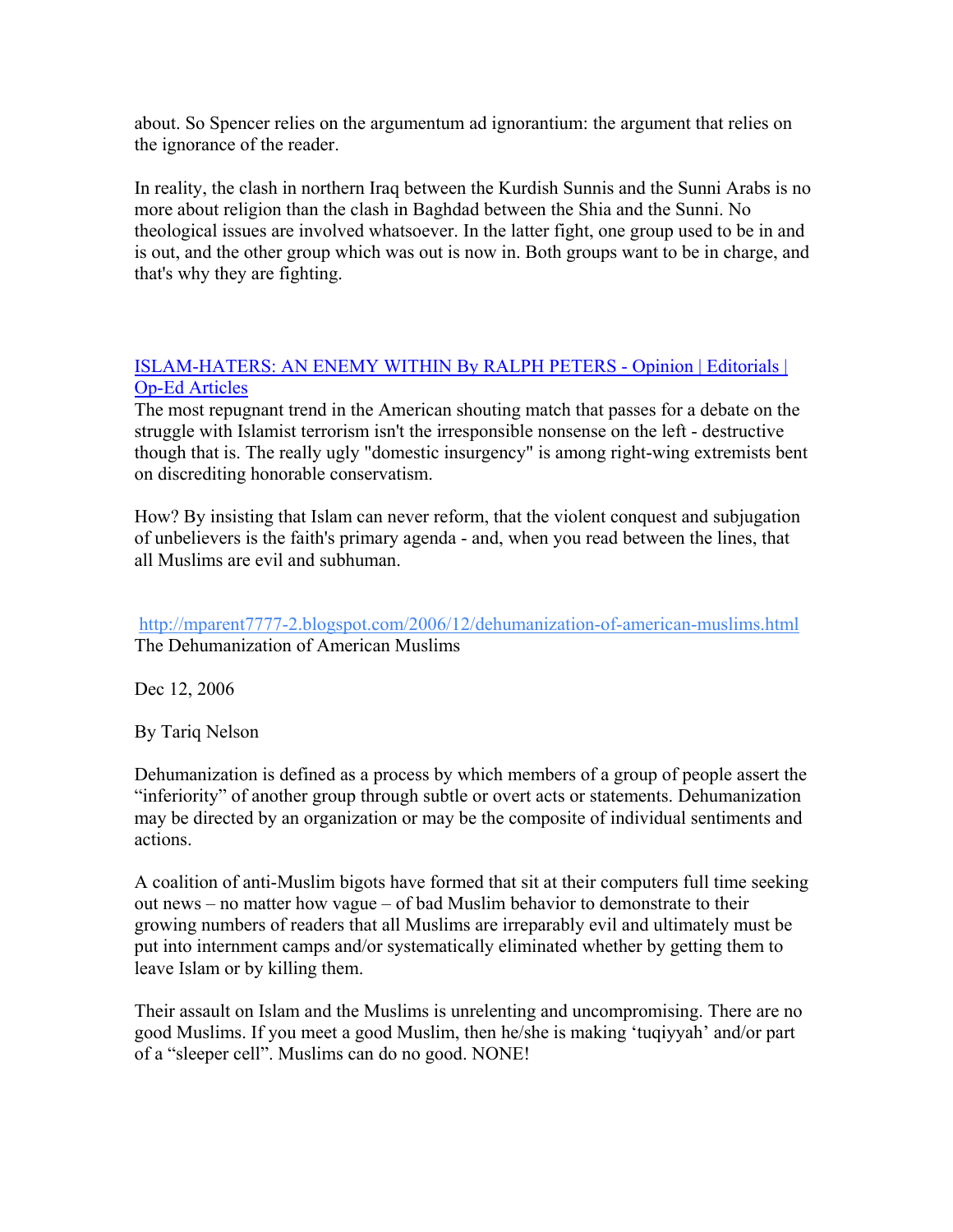about. So Spencer relies on the argumentum ad ignorantium: the argument that relies on the ignorance of the reader.

In reality, the clash in northern Iraq between the Kurdish Sunnis and the Sunni Arabs is no more about religion than the clash in Baghdad between the Shia and the Sunni. No theological issues are involved whatsoever. In the latter fight, one group used to be in and is out, and the other group which was out is now in. Both groups want to be in charge, and that's why they are fighting.

### [ISLAM-HATERS: AN ENEMY WITHIN By RALPH PETERS - Opinion | Editorials |](http://www.nypost.com/seven/09072006/postopinion/opedcolumnists/islam_haters__an_enemy_within_opedcolumnists_ralph_peters.htm?page=1)  [Op-Ed Articles](http://www.nypost.com/seven/09072006/postopinion/opedcolumnists/islam_haters__an_enemy_within_opedcolumnists_ralph_peters.htm?page=1)

The most repugnant trend in the American shouting match that passes for a debate on the struggle with Islamist terrorism isn't the irresponsible nonsense on the left - destructive though that is. The really ugly "domestic insurgency" is among right-wing extremists bent on discrediting honorable conservatism.

How? By insisting that Islam can never reform, that the violent conquest and subjugation of unbelievers is the faith's primary agenda - and, when you read between the lines, that all Muslims are evil and subhuman.

<http://mparent7777-2.blogspot.com/2006/12/dehumanization-of-american-muslims.html> [The Dehumanization of American Muslims](http://mparent7777-2.blogspot.com/2006/12/dehumanization-of-american-muslims.html) 

Dec 12, 2006

By Tariq Nelson

Dehumanization is defined as a process by which members of a group of people assert the "inferiority" of another group through subtle or overt acts or statements. Dehumanization may be directed by an organization or may be the composite of individual sentiments and actions.

A coalition of anti-Muslim bigots have formed that sit at their computers full time seeking out news – no matter how vague – of bad Muslim behavior to demonstrate to their growing numbers of readers that all Muslims are irreparably evil and ultimately must be put into internment camps and/or systematically eliminated whether by getting them to leave Islam or by killing them.

Their assault on Islam and the Muslims is unrelenting and uncompromising. There are no good Muslims. If you meet a good Muslim, then he/she is making 'tuqiyyah' and/or part of a "sleeper cell". Muslims can do no good. NONE!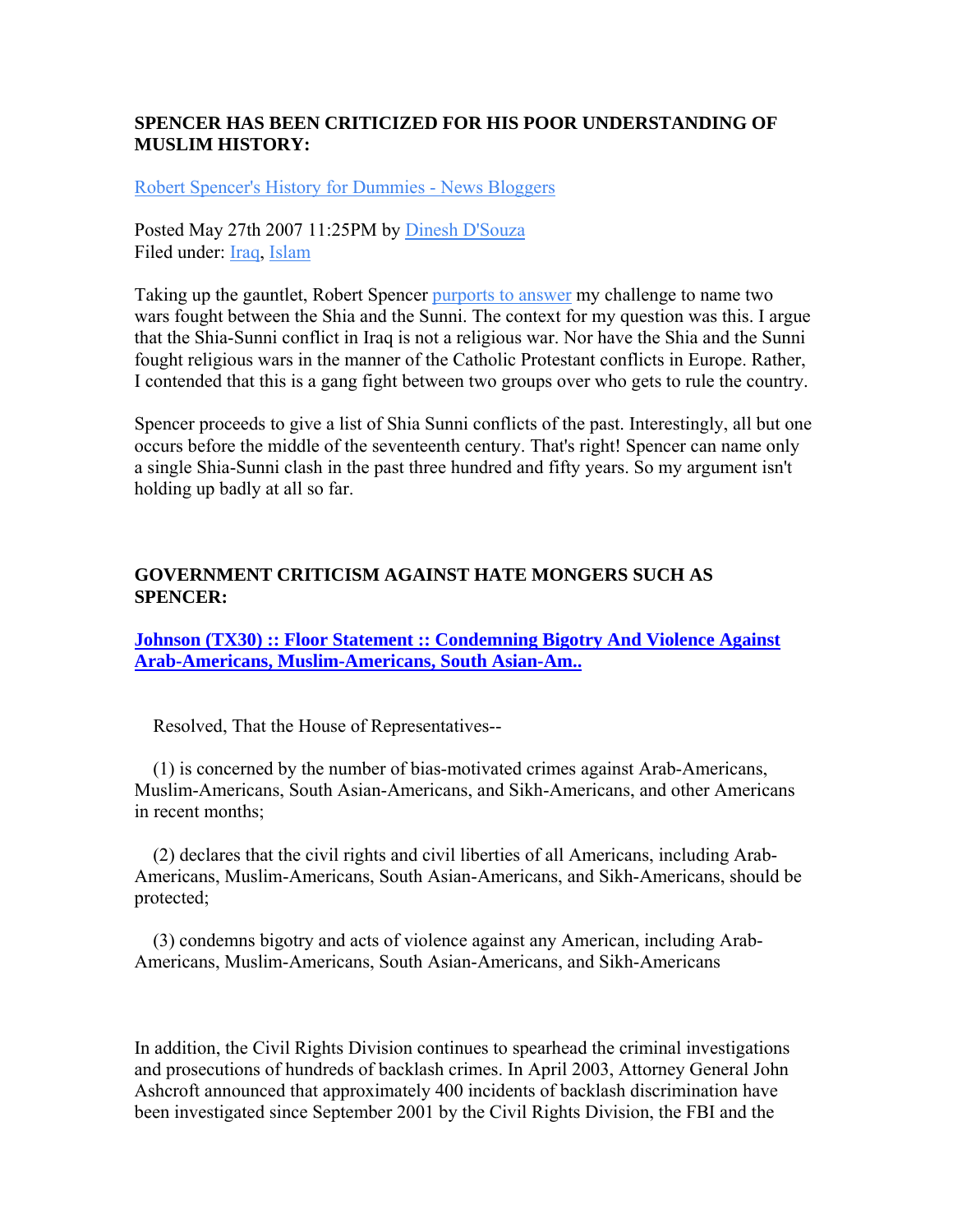### **SPENCER HAS BEEN CRITICIZED FOR HIS POOR UNDERSTANDING OF MUSLIM HISTORY:**

[Robert Spencer's History for Dummies - News Bloggers](http://newsbloggers.aol.com/2007/05/27/robert-spencers-history-for-dummies/) 

Posted May 27th 2007 11:25PM by [Dinesh D'Souza](http://newsbloggers.aol.com/bloggers/dinesh-dsouza) Filed under: [Iraq](http://newsbloggers.aol.com/category/iraq/), [Islam](http://newsbloggers.aol.com/category/islam/)

Taking up the gauntlet, Robert Spencer [purports to answer](http://www.jihadwatch.org/archives/016622.php) my challenge to name two wars fought between the Shia and the Sunni. The context for my question was this. I argue that the Shia-Sunni conflict in Iraq is not a religious war. Nor have the Shia and the Sunni fought religious wars in the manner of the Catholic Protestant conflicts in Europe. Rather, I contended that this is a gang fight between two groups over who gets to rule the country.

Spencer proceeds to give a list of Shia Sunni conflicts of the past. Interestingly, all but one occurs before the middle of the seventeenth century. That's right! Spencer can name only a single Shia-Sunni clash in the past three hundred and fifty years. So my argument isn't holding up badly at all so far.

### **GOVERNMENT CRITICISM AGAINST HATE MONGERS SUCH AS SPENCER:**

**Johnson (TX30) :: Floor Statement :: Condemning Bigotry And Violence Against [Arab-Americans, Muslim-Americans, South Asian-Am..](http://www.house.gov/list/speech/tx30_johnson/morenews/CondemningBigotryandViolenceAgainstArabAmericans.html)** 

Resolved, That the House of Representatives--

 (1) is concerned by the number of bias-motivated crimes against Arab-Americans, Muslim-Americans, South Asian-Americans, and Sikh-Americans, and other Americans in recent months;

 (2) declares that the civil rights and civil liberties of all Americans, including Arab-Americans, Muslim-Americans, South Asian-Americans, and Sikh-Americans, should be protected;

 (3) condemns bigotry and acts of violence against any American, including Arab-Americans, Muslim-Americans, South Asian-Americans, and Sikh-Americans

In addition, the Civil Rights Division continues to spearhead the criminal investigations and prosecutions of hundreds of backlash crimes. In April 2003, Attorney General John Ashcroft announced that approximately 400 incidents of backlash discrimination have been investigated since September 2001 by the Civil Rights Division, the FBI and the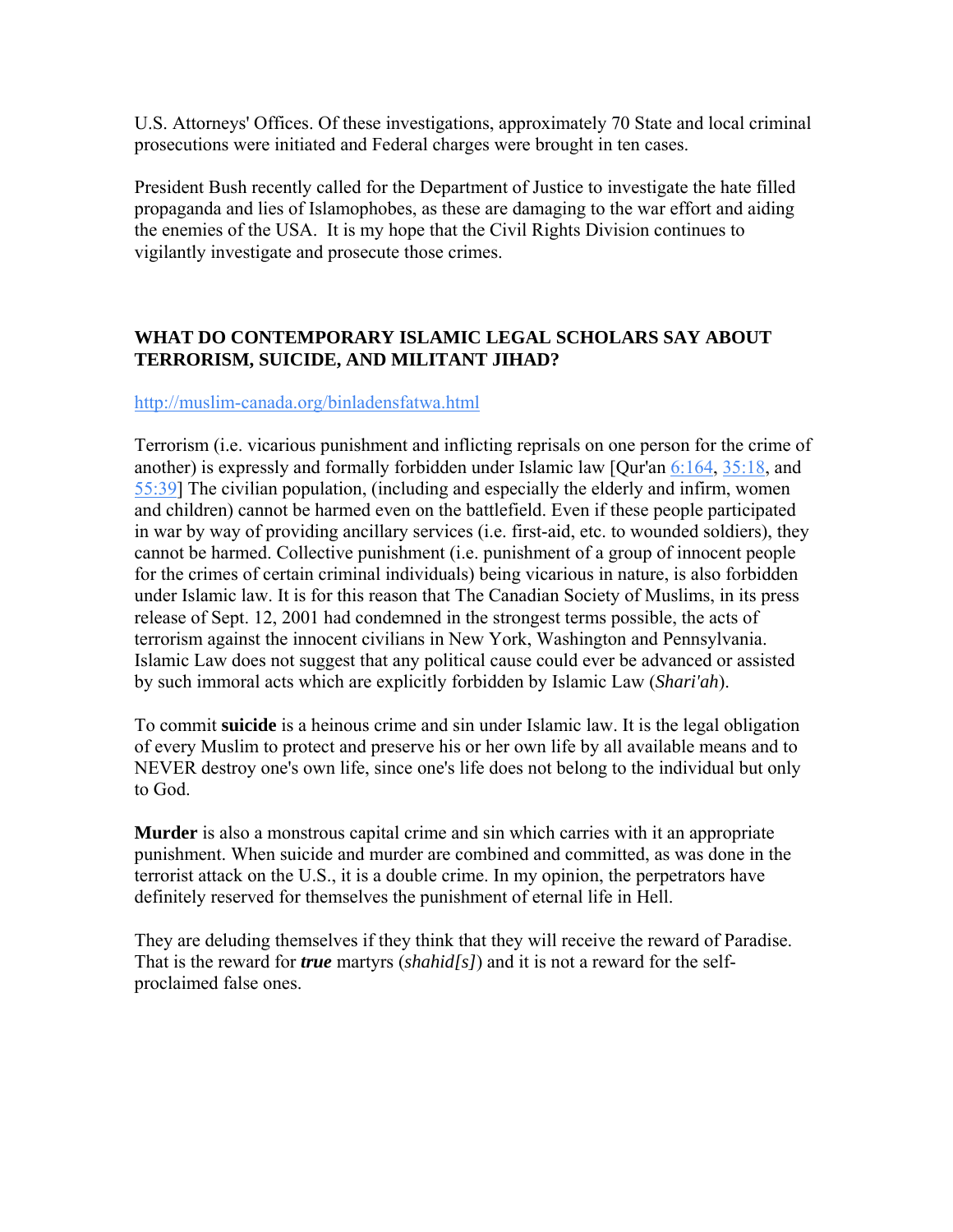U.S. Attorneys' Offices. Of these investigations, approximately 70 State and local criminal prosecutions were initiated and Federal charges were brought in ten cases.

President Bush recently called for the Department of Justice to investigate the hate filled propaganda and lies of Islamophobes, as these are damaging to the war effort and aiding the enemies of the USA. It is my hope that the Civil Rights Division continues to vigilantly investigate and prosecute those crimes.

### **WHAT DO CONTEMPORARY ISLAMIC LEGAL SCHOLARS SAY ABOUT TERRORISM, SUICIDE, AND MILITANT JIHAD?**

### <http://muslim-canada.org/binladensfatwa.html>

Terrorism (i.e. vicarious punishment and inflicting reprisals on one person for the crime of another) is expressly and formally forbidden under Islamic law [Qur'an [6:164](http://muslim-canada.org/binladensfatwa.html#6:164#6:164), [35:18,](http://muslim-canada.org/binladensfatwa.html#35:18#35:18) and [55:39\]](http://muslim-canada.org/binladensfatwa.html#55:39#55:39) The civilian population, (including and especially the elderly and infirm, women and children) cannot be harmed even on the battlefield. Even if these people participated in war by way of providing ancillary services (i.e. first-aid, etc. to wounded soldiers), they cannot be harmed. Collective punishment (i.e. punishment of a group of innocent people for the crimes of certain criminal individuals) being vicarious in nature, is also forbidden under Islamic law. It is for this reason that The Canadian Society of Muslims, in its press release of Sept. 12, 2001 had condemned in the strongest terms possible, the acts of terrorism against the innocent civilians in New York, Washington and Pennsylvania. Islamic Law does not suggest that any political cause could ever be advanced or assisted by such immoral acts which are explicitly forbidden by Islamic Law (*Shari'ah*).

To commit **suicide** is a heinous crime and sin under Islamic law. It is the legal obligation of every Muslim to protect and preserve his or her own life by all available means and to NEVER destroy one's own life, since one's life does not belong to the individual but only to God.

**Murder** is also a monstrous capital crime and sin which carries with it an appropriate punishment. When suicide and murder are combined and committed, as was done in the terrorist attack on the U.S., it is a double crime. In my opinion, the perpetrators have definitely reserved for themselves the punishment of eternal life in Hell.

They are deluding themselves if they think that they will receive the reward of Paradise. That is the reward for *true* martyrs (*shahid[s]*) and it is not a reward for the selfproclaimed false ones.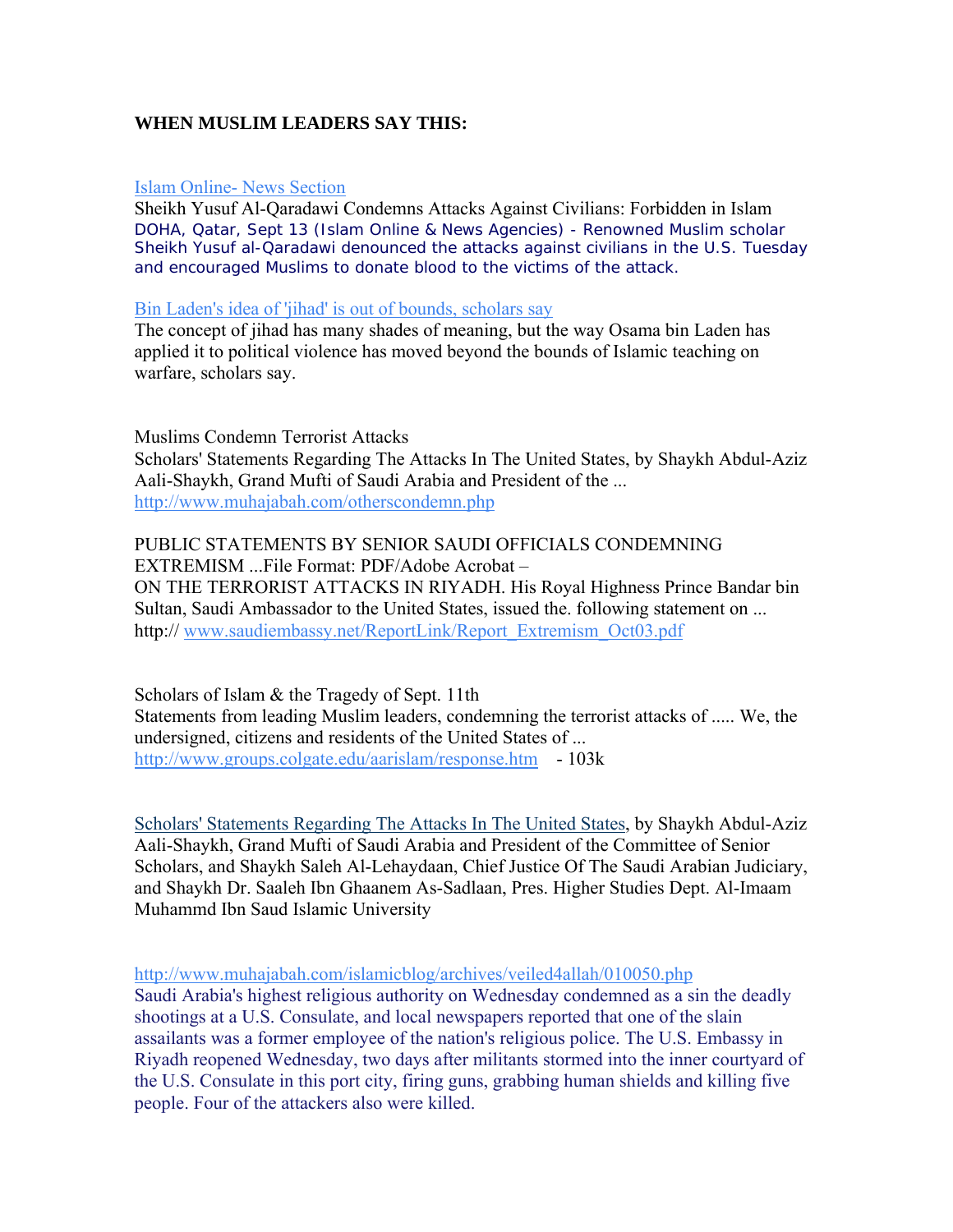### **WHEN MUSLIM LEADERS SAY THIS:**

#### [Islam Online- News Section](http://www.islamonline.net/English/News/2001-09/13/article25.shtml)

Sheikh Yusuf Al-Qaradawi Condemns Attacks Against Civilians: Forbidden in Islam DOHA, Qatar, Sept 13 (Islam Online & News Agencies) - Renowned Muslim scholar Sheikh Yusuf al-Qaradawi denounced the attacks against civilians in the U.S. Tuesday and encouraged Muslims to donate blood to the victims of the attack.

#### [Bin Laden's idea of 'jihad' is out of bounds, scholars say](http://seattlepi.nwsource.com/national/39887_islam22.shtml)

The concept of jihad has many shades of meaning, but the way Osama bin Laden has applied it to political violence has moved beyond the bounds of Islamic teaching on warfare, scholars say.

Muslims Condemn Terrorist Attacks Scholars' Statements Regarding The Attacks In The United States, by Shaykh Abdul-Aziz Aali-Shaykh, Grand Mufti of Saudi Arabia and President of the ... http://www.muhajabah.com/otherscondemn.php

### PUBLIC STATEMENTS BY SENIOR SAUDI OFFICIALS CONDEMNING EXTREMISM ...File Format: PDF/Adobe Acrobat – ON THE TERRORIST ATTACKS IN RIYADH. His Royal Highness Prince Bandar bin Sultan, Saudi Ambassador to the United States, issued the. following statement on ... http:// [www.saudiembassy.net/ReportLink/Report\\_Extremism\\_Oct03.pdf](http://www.saudiembassy.net/ReportLink/Report_Extremism_Oct03.pdf)

Scholars of Islam & the Tragedy of Sept. 11th Statements from leading Muslim leaders, condemning the terrorist attacks of ..... We, the undersigned, citizens and residents of the United States of ... <http://www.groups.colgate.edu/aarislam/response.htm>- 103k

[Scholars' Statements Regarding The Attacks In The United States,](http://www.alharamain.org/english/articles/scholars_on_attack.htm) by Shaykh Abdul-Aziz Aali-Shaykh, Grand Mufti of Saudi Arabia and President of the Committee of Senior Scholars, and Shaykh Saleh Al-Lehaydaan, Chief Justice Of The Saudi Arabian Judiciary, and Shaykh Dr. Saaleh Ibn Ghaanem As-Sadlaan, Pres. Higher Studies Dept. Al-Imaam Muhammd Ibn Saud Islamic University

<http://www.muhajabah.com/islamicblog/archives/veiled4allah/010050.php>

Saudi Arabia's highest religious authority on Wednesday condemned as a sin the deadly shootings at a U.S. Consulate, and local newspapers reported that one of the slain assailants was a former employee of the nation's religious police. The U.S. Embassy in Riyadh reopened Wednesday, two days after militants stormed into the inner courtyard of the U.S. Consulate in this port city, firing guns, grabbing human shields and killing five people. Four of the attackers also were killed.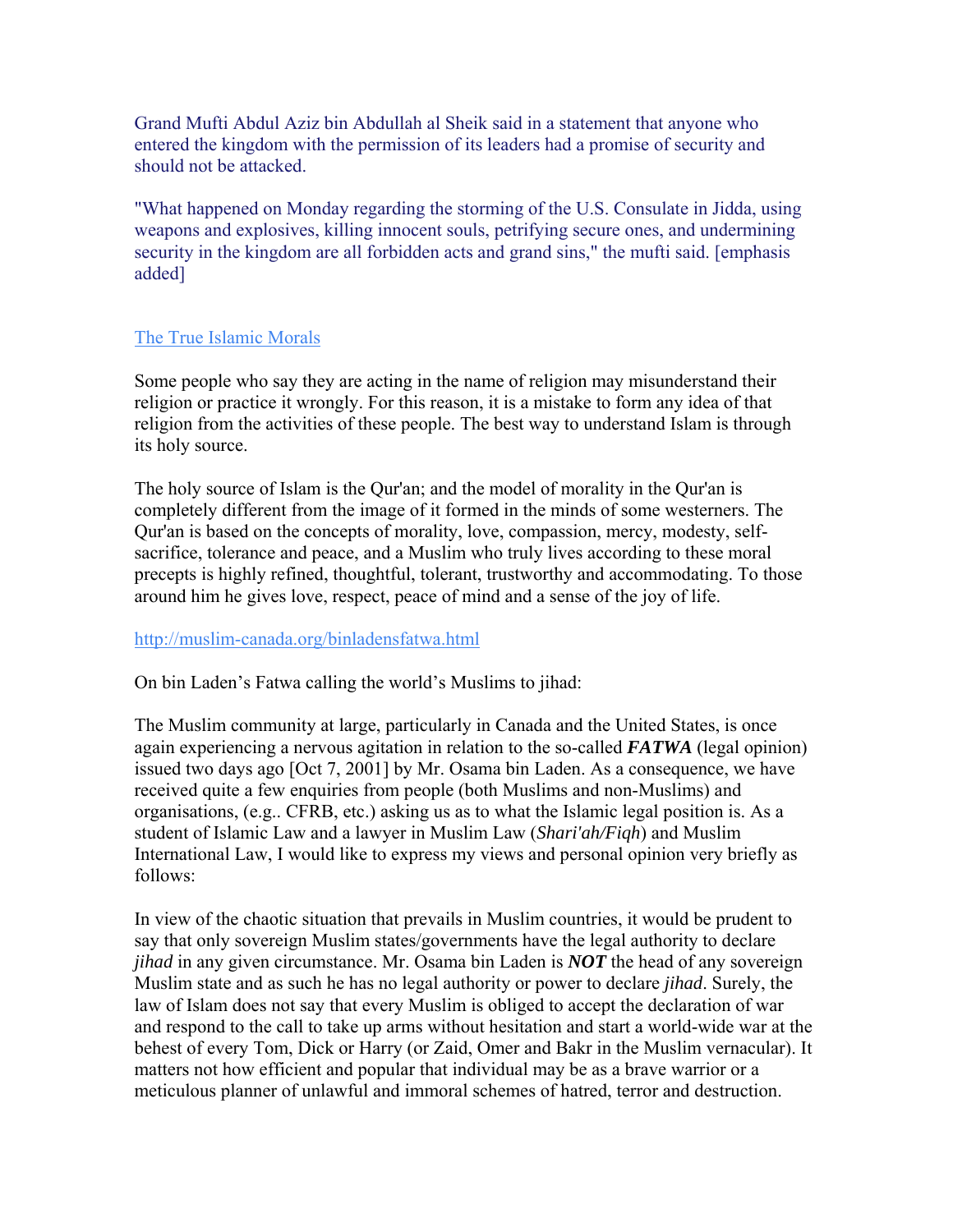Grand Mufti Abdul Aziz bin Abdullah al Sheik said in a statement that anyone who entered the kingdom with the permission of its leaders had a promise of security and should not be attacked.

"What happened on Monday regarding the storming of the U.S. Consulate in Jidda, using weapons and explosives, killing innocent souls, petrifying secure ones, and undermining security in the kingdom are all forbidden acts and grand sins," the mufti said. [emphasis added]

### [The True Islamic Morals](http://www.islamdenouncesterrorism.com/the_true_islamic_morals.html)

Some people who say they are acting in the name of religion may misunderstand their religion or practice it wrongly. For this reason, it is a mistake to form any idea of that religion from the activities of these people. The best way to understand Islam is through its holy source.

The holy source of Islam is the Qur'an; and the model of morality in the Qur'an is completely different from the image of it formed in the minds of some westerners. The Qur'an is based on the concepts of morality, love, compassion, mercy, modesty, selfsacrifice, tolerance and peace, and a Muslim who truly lives according to these moral precepts is highly refined, thoughtful, tolerant, trustworthy and accommodating. To those around him he gives love, respect, peace of mind and a sense of the joy of life.

### <http://muslim-canada.org/binladensfatwa.html>

On bin Laden's Fatwa calling the world's Muslims to jihad:

The Muslim community at large, particularly in Canada and the United States, is once again experiencing a nervous agitation in relation to the so-called *FATWA* (legal opinion) issued two days ago [Oct 7, 2001] by Mr. Osama bin Laden. As a consequence, we have received quite a few enquiries from people (both Muslims and non-Muslims) and organisations, (e.g.. CFRB, etc.) asking us as to what the Islamic legal position is. As a student of Islamic Law and a lawyer in Muslim Law (*Shari'ah/Fiqh*) and Muslim International Law, I would like to express my views and personal opinion very briefly as follows:

In view of the chaotic situation that prevails in Muslim countries, it would be prudent to say that only sovereign Muslim states/governments have the legal authority to declare *jihad* in any given circumstance. Mr. Osama bin Laden is *NOT* the head of any sovereign Muslim state and as such he has no legal authority or power to declare *jihad*. Surely, the law of Islam does not say that every Muslim is obliged to accept the declaration of war and respond to the call to take up arms without hesitation and start a world-wide war at the behest of every Tom, Dick or Harry (or Zaid, Omer and Bakr in the Muslim vernacular). It matters not how efficient and popular that individual may be as a brave warrior or a meticulous planner of unlawful and immoral schemes of hatred, terror and destruction.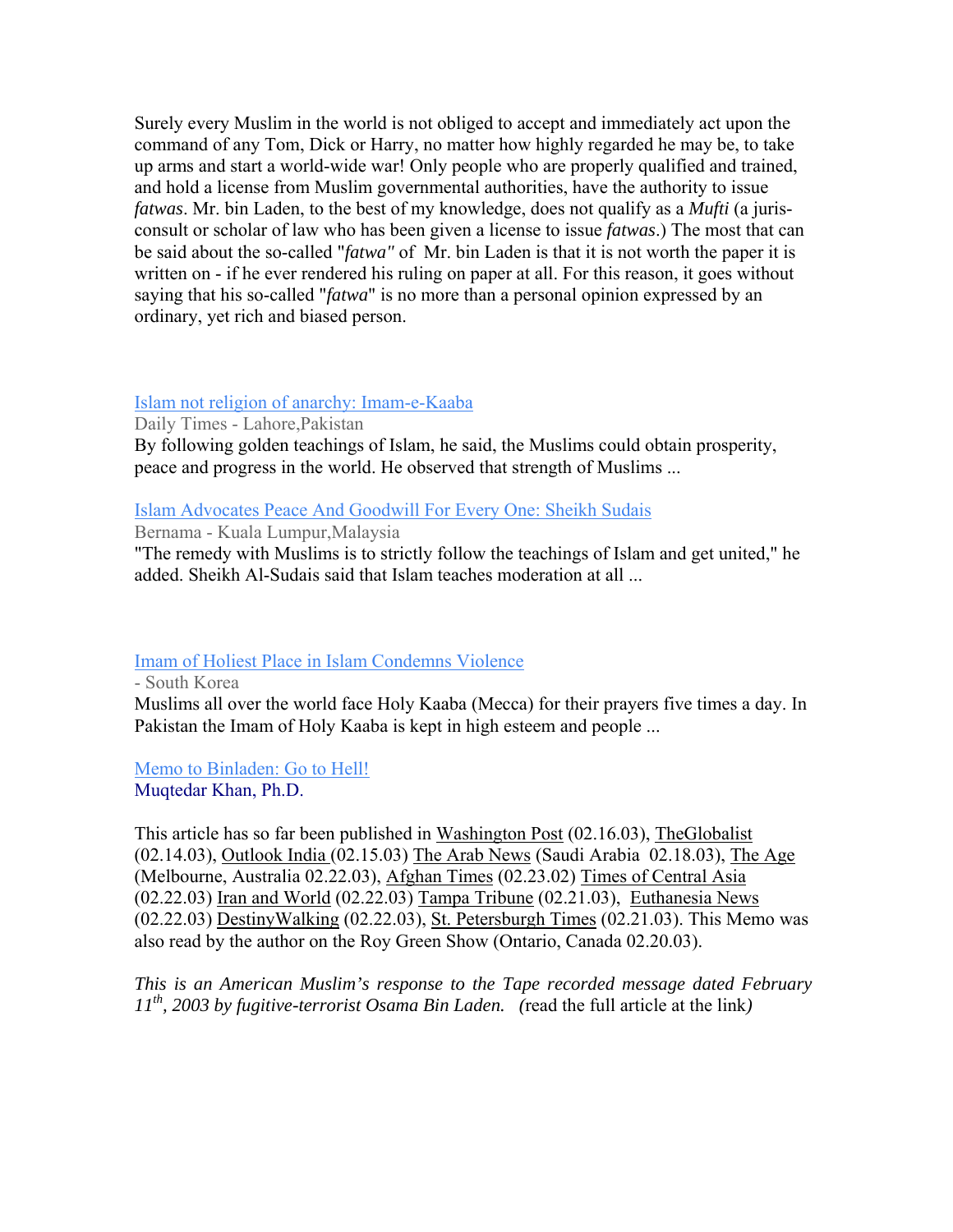Surely every Muslim in the world is not obliged to accept and immediately act upon the command of any Tom, Dick or Harry, no matter how highly regarded he may be, to take up arms and start a world-wide war! Only people who are properly qualified and trained, and hold a license from Muslim governmental authorities, have the authority to issue *fatwas*. Mr. bin Laden, to the best of my knowledge, does not qualify as a *Mufti* (a jurisconsult or scholar of law who has been given a license to issue *fatwas*.) The most that can be said about the so-called "*fatwa"* of Mr. bin Laden is that it is not worth the paper it is written on - if he ever rendered his ruling on paper at all. For this reason, it goes without saying that his so-called "*fatwa*" is no more than a personal opinion expressed by an ordinary, yet rich and biased person.

### [Islam not religion of anarchy: Imam-e-Kaaba](http://www.dailytimes.com.pk/default.asp?page=2007%5C05%5C31%5Cstory_31-5-2007_pg13_3)

Daily Times - Lahore,Pakistan

By following golden teachings of Islam, he said, the Muslims could obtain prosperity, peace and progress in the world. He observed that strength of Muslims ...

### [Islam Advocates Peace And Goodwill For Every One: Sheikh Sudais](http://www.bernama.com.my/bernama/v3/news.php?id=265065)

Bernama - Kuala Lumpur,Malaysia

"The remedy with Muslims is to strictly follow the teachings of Islam and get united," he added. Sheikh Al-Sudais said that Islam teaches moderation at all ...

### [Imam of Holiest Place in Islam Condemns Violence](http://www.ohmynews.com/articleview/article_view.asp?at_code=414039)

- South Korea

Muslims all over the world face Holy Kaaba (Mecca) for their prayers five times a day. In Pakistan the Imam of Holy Kaaba is kept in high esteem and people ...

[Memo to Binladen: Go to Hell!](http://www.ijtihad.org/BinladenII.htm)

Muqtedar Khan, Ph.D.

This article has so far been published in Washington Post (02.16.03), TheGlobalist (02.14.03), Outlook India (02.15.03) The Arab News (Saudi Arabia 02.18.03), The Age (Melbourne, Australia 02.22.03), Afghan Times (02.23.02) Times of Central Asia (02.22.03) Iran and World (02.22.03) Tampa Tribune (02.21.03), Euthanesia News (02.22.03) DestinyWalking (02.22.03), St. Petersburgh Times (02.21.03). This Memo was also read by the author on the Roy Green Show (Ontario, Canada 02.20.03).

*This is an American Muslim's response to the Tape recorded message dated February 11th, 2003 by fugitive-terrorist Osama Bin Laden. (*read the full article at the link*)*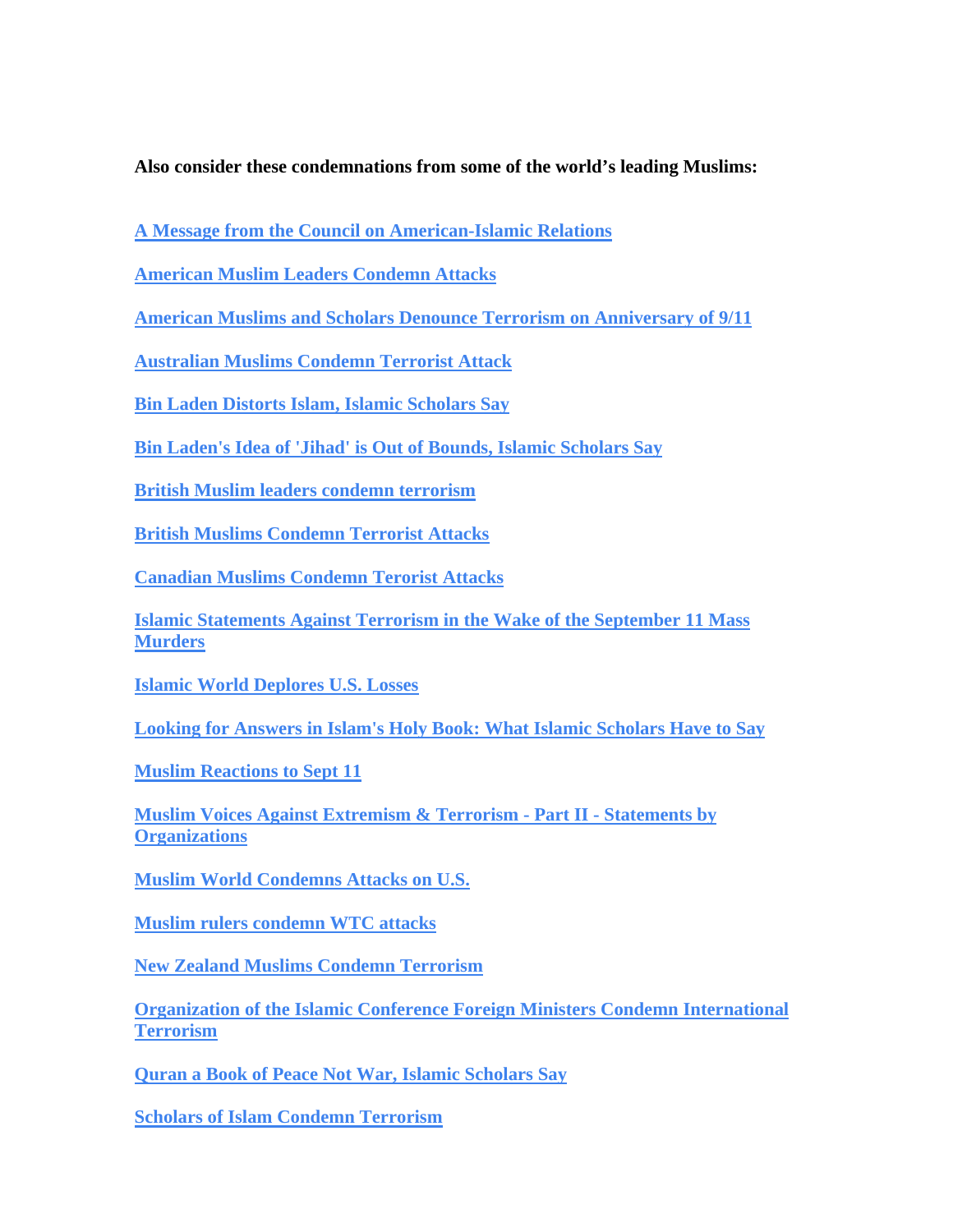**Also consider these condemnations from some of the world's leading Muslims:** 

**[A Message from the Council on American-Islamic Relations](http://www.cair-net.org/crisiscenter/html/cair_ad.html)**

**[American Muslim Leaders Condemn Attacks](http://islamicity.com/articles/Articles.asp?ref=AM0109-335)**

**[American Muslims and Scholars Denounce Terrorism on Anniversary of 9/11](http://www.islam-democracy.org/terrorism_statement.asp)**

**[Australian Muslims Condemn Terrorist Attack](http://www.muslimaffairs.com.au/News/PR-terror.htm)**

**[Bin Laden Distorts Islam, Islamic Scholars Say](http://www.themodernreligion.com/terror/wtc-distortion.html)**

**[Bin Laden's Idea of 'Jihad' is Out of Bounds, Islamic Scholars Say](http://seattlep-i.nwsource.com/national/39887_islam22.shtml)**

**[British Muslim leaders condemn terrorism](http://news.bbc.co.uk/1/hi/england/west_midlands/5111092.stm)**

**[British Muslims Condemn Terrorist Attacks](http://www.muslimnews.co.uk/news/news.php?article=1062)**

**[Canadian Muslims Condemn Terorist Attacks](http://muslim-canada.org/news09112001.html)**

**[Islamic Statements Against Terrorism in the Wake of the September 11 Mass](http://www.unc.edu/%7Ekurzman/terror.htm)  [Murders](http://www.unc.edu/%7Ekurzman/terror.htm)**

**[Islamic World Deplores U.S. Losses](http://news.bbc.co.uk/hi/english/world/americas/newsid_1544000/1544955.stm)**

**[Looking for Answers in Islam's Holy Book: What Islamic Scholars Have to Say](http://www.washingtonpost.com/ac2/wp-dyn/A43785-2001Sep29?language=printer)**

**[Muslim Reactions to Sept 11](http://www.crescentlife.com/heal%20the%20world/muslim_reactions_to_sept_11.htm)**

**[Muslim Voices Against Extremism & Terrorism - Part II - Statements by](http://theamericanmuslim.org/tam.php/features/articles/muslim_voices_against_extremism_terrorism_part_ii_statements_by_organizatio/0012210)  [Organizations](http://theamericanmuslim.org/tam.php/features/articles/muslim_voices_against_extremism_terrorism_part_ii_statements_by_organizatio/0012210)**

**[Muslim World Condemns Attacks on U.S.](http://www.islam-online.net/English/News/2001-09/13/article18.shtml)**

**[Muslim rulers condemn WTC attacks](http://muslimunity.net/condemn.htm)**

**[New Zealand Muslims Condemn Terrorism](http://www.angelfire.com/biz2/FIANZWEB16/PressRelease1.html)**

**[Organization of the Islamic Conference Foreign Ministers Condemn International](http://www.oic-oci.org/english/fm/11_extraordinary/declaration.htm)  [Terrorism](http://www.oic-oci.org/english/fm/11_extraordinary/declaration.htm)**

**[Quran a Book of Peace Not War, Islamic Scholars Say](http://news.nationalgeographic.com/news/2001/09/0925_TVkoran.html)**

**[Scholars of Islam Condemn Terrorism](http://groups.colgate.edu/aarislam/response.htm)**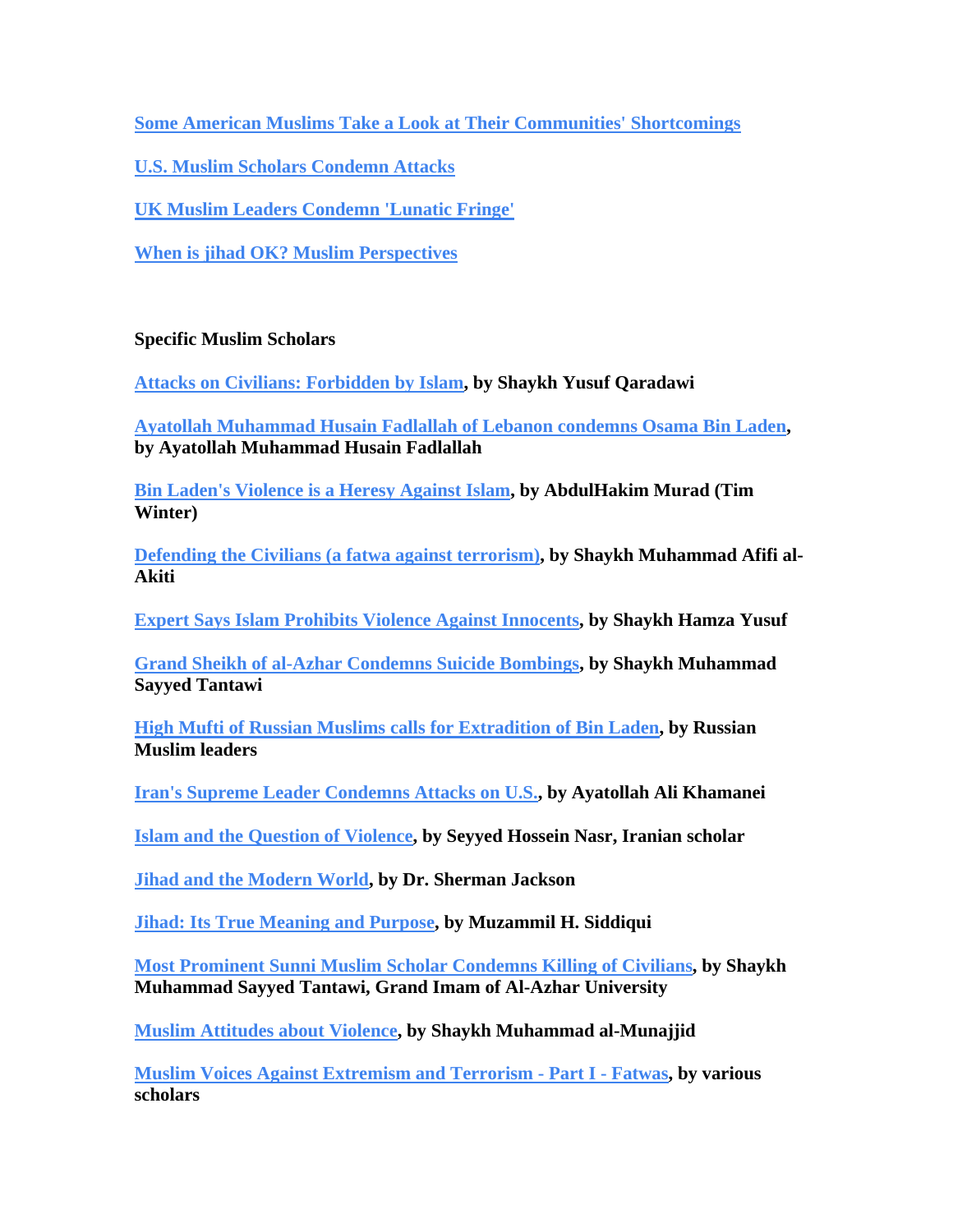**[Some American Muslims Take a Look at Their Communities' Shortcomings](http://www.washingtonpost.com/ac2/wp-dyn?pagename=articles&node=&contentID=A50342-2001Nov18)**

**[U.S. Muslim Scholars Condemn Attacks](http://www.islam-online.net/English/News/2001-09/13/article1.shtml)**

**[UK Muslim Leaders Condemn 'Lunatic Fringe'](http://news.bbc.co.uk/hi/english/uk/newsid_1554000/1554177.stm)**

**[When is jihad OK? Muslim Perspectives](http://seattletimes.nwsource.com/html/nationworld/134342698_jihad17.html)**

### **Specific Muslim Scholars**

**[Attacks on Civilians: Forbidden by Islam](http://www.islam-online.net/English/News/2001-09/13/article25.shtml), by Shaykh Yusuf Qaradawi** 

**[Ayatollah Muhammad Husain Fadlallah of Lebanon condemns Osama Bin Laden](http://www.sullivan-county.com/identity/bin_laden.html), by Ayatollah Muhammad Husain Fadlallah** 

**[Bin Laden's Violence is a Heresy Against Islam](http://www.themodernreligion.com/terror/wtc-heresy.html), by AbdulHakim Murad (Tim Winter)** 

**[Defending the Civilians \(a fatwa against terrorism\)](http://www.livingislam.org/k/dcmm_e.html), by Shaykh Muhammad Afifi al-Akiti** 

**[Expert Says Islam Prohibits Violence Against Innocents](http://www0.mercurycenter.com/local/center/isl0916.htm), by Shaykh Hamza Yusuf** 

**[Grand Sheikh of al-Azhar Condemns Suicide Bombings](http://news.bbc.co.uk/hi/english/world/middle_east/newsid_1690000/1690624.stm), by Shaykh Muhammad Sayyed Tantawi** 

**[High Mufti of Russian Muslims calls for Extradition of Bin Laden,](http://english.pravda.ru/world/2001/09/20/15781.html) by Russian Muslim leaders** 

**[Iran's Supreme Leader Condemns Attacks on U.S.,](http://news.bbc.co.uk/hi/english/world/middle_east/newsid_1549000/1549573.stm) by Ayatollah Ali Khamanei** 

**[Islam and the Question of Violence](http://www.al-islam.org/al-serat/IslamAndViolence.htm), by Seyyed Hossein Nasr, Iranian scholar** 

**[Jihad and the Modern World](http://users.tpg.com.au/dezhen/jihad_and_the_modern_world.html), by Dr. Sherman Jackson** 

**[Jihad: Its True Meaning and Purpose](http://www.isna.net/Library/khutbahs/Jihad.asp), by Muzammil H. Siddiqui** 

**[Most Prominent Sunni Muslim Scholar Condemns Killing of Civilians](http://www.islam-online.net/English/News/2001-09/15/article2.shtml), by Shaykh Muhammad Sayyed Tantawi, Grand Imam of Al-Azhar University** 

**[Muslim Attitudes about Violence](http://www.islamqa.com/index.php?ref=21757&ln=eng), by Shaykh Muhammad al-Munajjid** 

**[Muslim Voices Against Extremism and Terrorism - Part I - Fatwas,](http://theamericanmuslim.org/tam.php/features/articles/muslim_voices_against_extremism_and_terrorism_part_i_fatwas/0012209) by various scholars**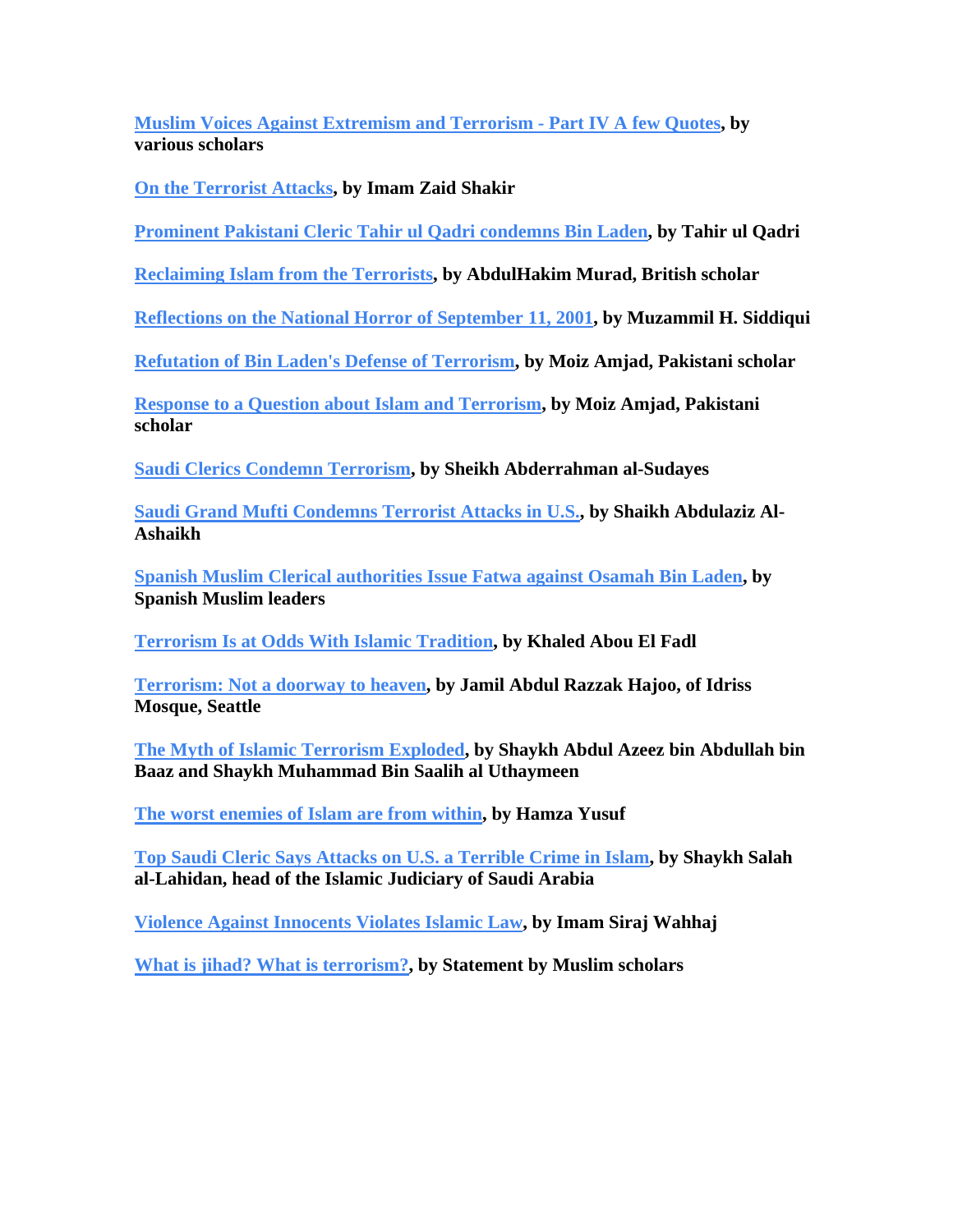**[Muslim Voices Against Extremism and Terrorism - Part IV A few Quotes](http://theamericanmuslim.org/tam.php/features/articles/muslim_voices_against_extremism_and_terrorism_a_few_quotes/0012273), by various scholars** 

**[On the Terrorist Attacks](http://www.themodernreligion.com/terror/wtc-imamzaid.html), by Imam Zaid Shakir** 

**[Prominent Pakistani Cleric Tahir ul Qadri condemns Bin Laden](http://www.newsmax.com/archives/articles/2001/10/17/195606.shtml), by Tahir ul Qadri** 

**[Reclaiming Islam from the Terrorists](http://www.themodernreligion.com/terror/wtc-murad.html), by AbdulHakim Murad, British scholar** 

**[Reflections on the National Horror of September 11, 2001](http://www.isna.net/Library/khutbahs/IslamandtheMuslimsofAmerica.asp), by Muzammil H. Siddiqui** 

**[Refutation of Bin Laden's Defense of Terrorism](http://www.understanding-islam.com/related/questions.jsp?point=3&id=1007), by Moiz Amjad, Pakistani scholar** 

**[Response to a Question about Islam and Terrorism](http://www.understanding-islam.com/related/questions.jsp?point=3&id=955), by Moiz Amjad, Pakistani scholar** 

**[Saudi Clerics Condemn Terrorism](http://www.iviews.com/scripts/news/stories/default.cfm?id=670835), by Sheikh Abderrahman al-Sudayes** 

**[Saudi Grand Mufti Condemns Terrorist Attacks in U.S.,](http://saudiembassy.net/press_release/01-spa/09-15-Islam.htm) by Shaikh Abdulaziz Al-Ashaikh** 

**[Spanish Muslim Clerical authorities Issue Fatwa against Osamah Bin Laden](http://www.geocities.com/Paris/Rue/4637/terr42a.html), by Spanish Muslim leaders** 

**[Terrorism Is at Odds With Islamic Tradition](http://groups.yahoo.com/group/open-archive/message/10), by Khaled Abou El Fadl** 

**[Terrorism: Not a doorway to heaven](http://archives.seattletimes.nwsource.com/cgi-bin/texis/web/vortex/display?slug=satrdr22&date=20010922), by Jamil Abdul Razzak Hajoo, of Idriss Mosque, Seattle** 

**[The Myth of Islamic Terrorism Exploded,](http://www.theclearpath.com/old/articles/theclearpath/20.html) by Shaykh Abdul Azeez bin Abdullah bin Baaz and Shaykh Muhammad Bin Saalih al Uthaymeen** 

**[The worst enemies of Islam are from within](http://www.islamfortoday.com/hamza01.htm), by Hamza Yusuf** 

**[Top Saudi Cleric Says Attacks on U.S. a Terrible Crime in Islam](http://www.iviews.com/scripts/news/stories/default.cfm?id=647305), by Shaykh Salah al-Lahidan, head of the Islamic Judiciary of Saudi Arabia** 

**[Violence Against Innocents Violates Islamic Law,](http://www.themodernreligion.com/terror/imam-wahhaj.html) by Imam Siraj Wahhaj** 

**[What is jihad? What is terrorism?,](http://www.religioscope.com/info/doc/jihad/2002_scholars_definition.htm) by Statement by Muslim scholars**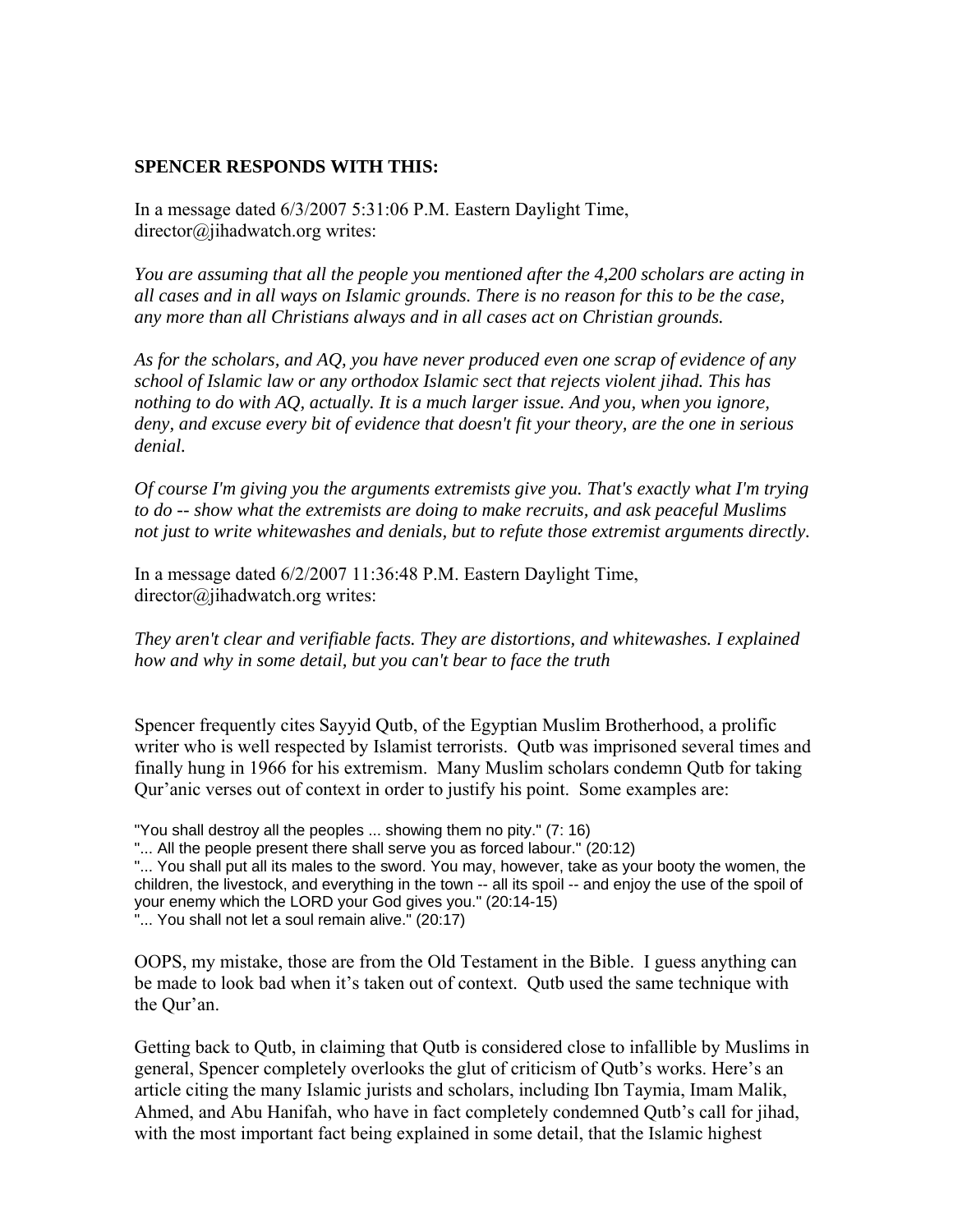### **SPENCER RESPONDS WITH THIS:**

In a message dated 6/3/2007 5:31:06 P.M. Eastern Daylight Time, director@jihadwatch.org writes:

*You are assuming that all the people you mentioned after the 4,200 scholars are acting in all cases and in all ways on Islamic grounds. There is no reason for this to be the case, any more than all Christians always and in all cases act on Christian grounds.* 

*As for the scholars, and AQ, you have never produced even one scrap of evidence of any school of Islamic law or any orthodox Islamic sect that rejects violent jihad. This has nothing to do with AQ, actually. It is a much larger issue. And you, when you ignore, deny, and excuse every bit of evidence that doesn't fit your theory, are the one in serious denial.* 

*Of course I'm giving you the arguments extremists give you. That's exactly what I'm trying to do -- show what the extremists are doing to make recruits, and ask peaceful Muslims not just to write whitewashes and denials, but to refute those extremist arguments directly.* 

In a message dated 6/2/2007 11:36:48 P.M. Eastern Daylight Time, director@jihadwatch.org writes:

*They aren't clear and verifiable facts. They are distortions, and whitewashes. I explained how and why in some detail, but you can't bear to face the truth* 

Spencer frequently cites Sayyid Qutb, of the Egyptian Muslim Brotherhood, a prolific writer who is well respected by Islamist terrorists. Qutb was imprisoned several times and finally hung in 1966 for his extremism. Many Muslim scholars condemn Qutb for taking Qur'anic verses out of context in order to justify his point. Some examples are:

"You shall destroy all the peoples ... showing them no pity." (7: 16)

"... All the people present there shall serve you as forced labour." (20:12)

"... You shall put all its males to the sword. You may, however, take as your booty the women, the children, the livestock, and everything in the town -- all its spoil -- and enjoy the use of the spoil of your enemy which the LORD your God gives you." (20:14-15) "... You shall not let a soul remain alive." (20:17)

OOPS, my mistake, those are from the Old Testament in the Bible. I guess anything can be made to look bad when it's taken out of context. Qutb used the same technique with the Qur'an.

Getting back to Qutb, in claiming that Qutb is considered close to infallible by Muslims in general, Spencer completely overlooks the glut of criticism of Qutb's works. Here's an article citing the many Islamic jurists and scholars, including Ibn Taymia, Imam Malik, Ahmed, and Abu Hanifah, who have in fact completely condemned Qutb's call for jihad, with the most important fact being explained in some detail, that the Islamic highest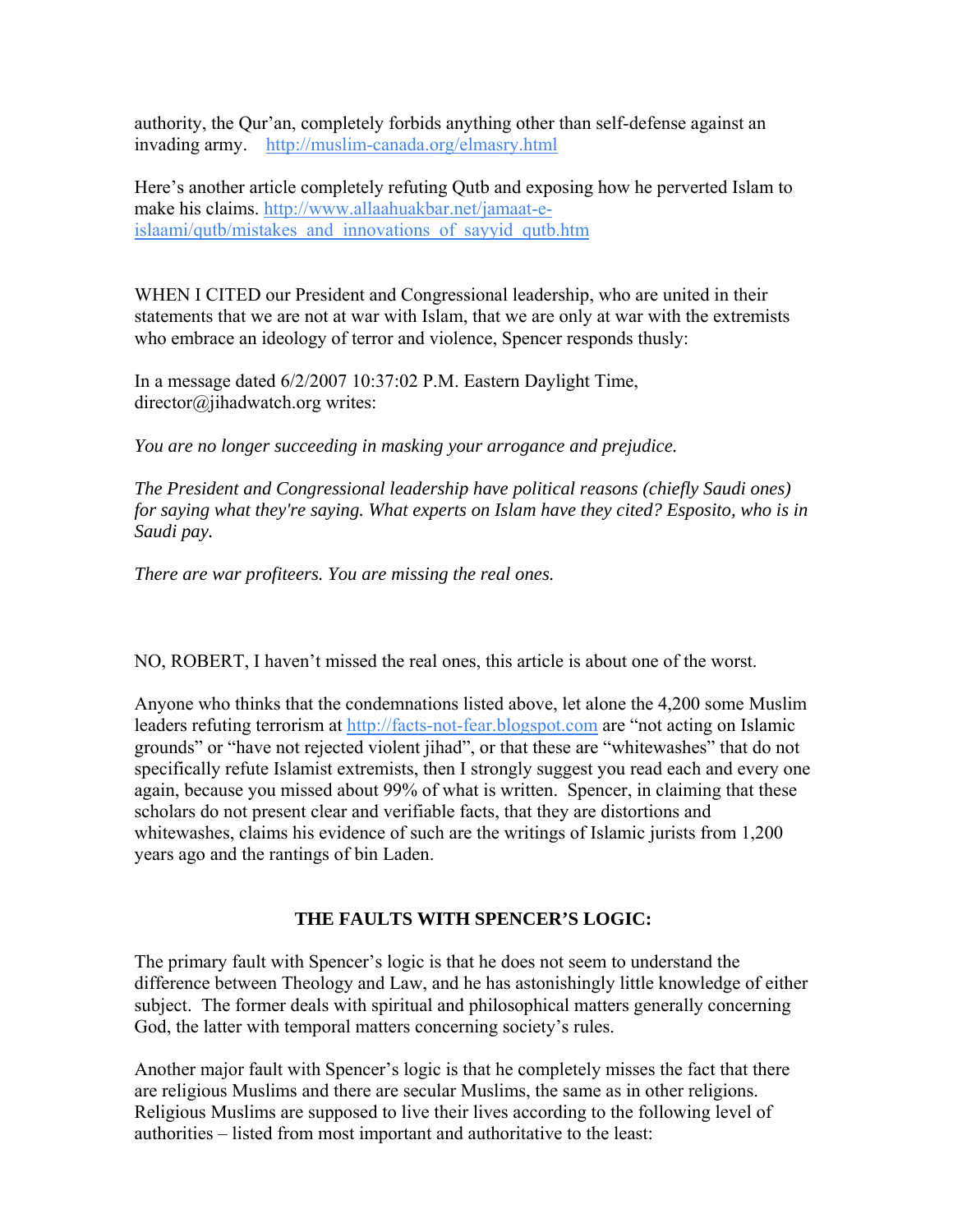authority, the Qur'an, completely forbids anything other than self-defense against an invading army. <http://muslim-canada.org/elmasry.html>

Here's another article completely refuting Qutb and exposing how he perverted Islam to make his claims. [http://www.allaahuakbar.net/jamaat-e](http://www.allaahuakbar.net/jamaat-e-islaami/qutb/mistakes_and_innovations_of_sayyid_qutb.htm)[islaami/qutb/mistakes\\_and\\_innovations\\_of\\_sayyid\\_qutb.htm](http://www.allaahuakbar.net/jamaat-e-islaami/qutb/mistakes_and_innovations_of_sayyid_qutb.htm) 

WHEN I CITED our President and Congressional leadership, who are united in their statements that we are not at war with Islam, that we are only at war with the extremists who embrace an ideology of terror and violence, Spencer responds thusly:

In a message dated 6/2/2007 10:37:02 P.M. Eastern Daylight Time, director@jihadwatch.org writes:

*You are no longer succeeding in masking your arrogance and prejudice.* 

*The President and Congressional leadership have political reasons (chiefly Saudi ones) for saying what they're saying. What experts on Islam have they cited? Esposito, who is in Saudi pay.* 

*There are war profiteers. You are missing the real ones.* 

NO, ROBERT, I haven't missed the real ones, this article is about one of the worst.

Anyone who thinks that the condemnations listed above, let alone the 4,200 some Muslim leaders refuting terrorism at [http://facts-not-fear.blogspot.com](http://facts-not-fear.blogspot.com/) are "not acting on Islamic grounds" or "have not rejected violent jihad", or that these are "whitewashes" that do not specifically refute Islamist extremists, then I strongly suggest you read each and every one again, because you missed about 99% of what is written. Spencer, in claiming that these scholars do not present clear and verifiable facts, that they are distortions and whitewashes, claims his evidence of such are the writings of Islamic jurists from 1,200 years ago and the rantings of bin Laden.

### **THE FAULTS WITH SPENCER'S LOGIC:**

The primary fault with Spencer's logic is that he does not seem to understand the difference between Theology and Law, and he has astonishingly little knowledge of either subject. The former deals with spiritual and philosophical matters generally concerning God, the latter with temporal matters concerning society's rules.

Another major fault with Spencer's logic is that he completely misses the fact that there are religious Muslims and there are secular Muslims, the same as in other religions. Religious Muslims are supposed to live their lives according to the following level of authorities – listed from most important and authoritative to the least: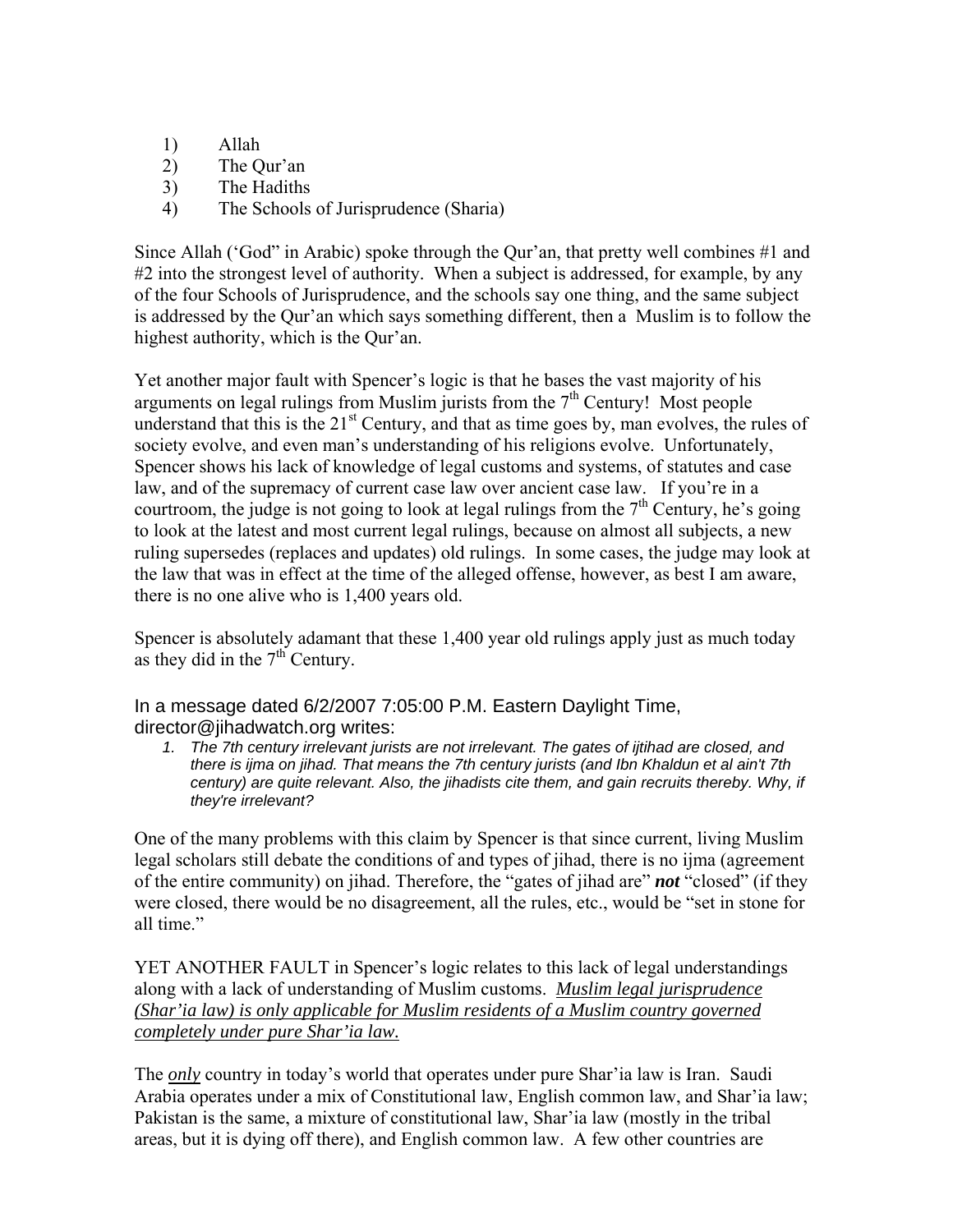- 1) Allah
- 2) The Qur'an
- 3) The Hadiths
- 4) The Schools of Jurisprudence (Sharia)

Since Allah ('God" in Arabic) spoke through the Qur'an, that pretty well combines #1 and #2 into the strongest level of authority. When a subject is addressed, for example, by any of the four Schools of Jurisprudence, and the schools say one thing, and the same subject is addressed by the Qur'an which says something different, then a Muslim is to follow the highest authority, which is the Qur'an.

Yet another major fault with Spencer's logic is that he bases the vast majority of his arguments on legal rulings from Muslim jurists from the  $7<sup>th</sup>$  Century! Most people understand that this is the  $21<sup>st</sup>$  Century, and that as time goes by, man evolves, the rules of society evolve, and even man's understanding of his religions evolve. Unfortunately, Spencer shows his lack of knowledge of legal customs and systems, of statutes and case law, and of the supremacy of current case law over ancient case law. If you're in a courtroom, the judge is not going to look at legal rulings from the  $7<sup>th</sup>$  Century, he's going to look at the latest and most current legal rulings, because on almost all subjects, a new ruling supersedes (replaces and updates) old rulings. In some cases, the judge may look at the law that was in effect at the time of the alleged offense, however, as best I am aware, there is no one alive who is 1,400 years old.

Spencer is absolutely adamant that these 1,400 year old rulings apply just as much today as they did in the  $7<sup>th</sup>$  Century.

In a message dated 6/2/2007 7:05:00 P.M. Eastern Daylight Time, director@jihadwatch.org writes:

*1. The 7th century irrelevant jurists are not irrelevant. The gates of ijtihad are closed, and there is ijma on jihad. That means the 7th century jurists (and Ibn Khaldun et al ain't 7th century) are quite relevant. Also, the jihadists cite them, and gain recruits thereby. Why, if they're irrelevant?* 

One of the many problems with this claim by Spencer is that since current, living Muslim legal scholars still debate the conditions of and types of jihad, there is no ijma (agreement of the entire community) on jihad. Therefore, the "gates of jihad are" *not* "closed" (if they were closed, there would be no disagreement, all the rules, etc., would be "set in stone for all time."

YET ANOTHER FAULT in Spencer's logic relates to this lack of legal understandings along with a lack of understanding of Muslim customs. *Muslim legal jurisprudence (Shar'ia law) is only applicable for Muslim residents of a Muslim country governed completely under pure Shar'ia law.*

The *only* country in today's world that operates under pure Shar'ia law is Iran. Saudi Arabia operates under a mix of Constitutional law, English common law, and Shar'ia law; Pakistan is the same, a mixture of constitutional law, Shar'ia law (mostly in the tribal areas, but it is dying off there), and English common law. A few other countries are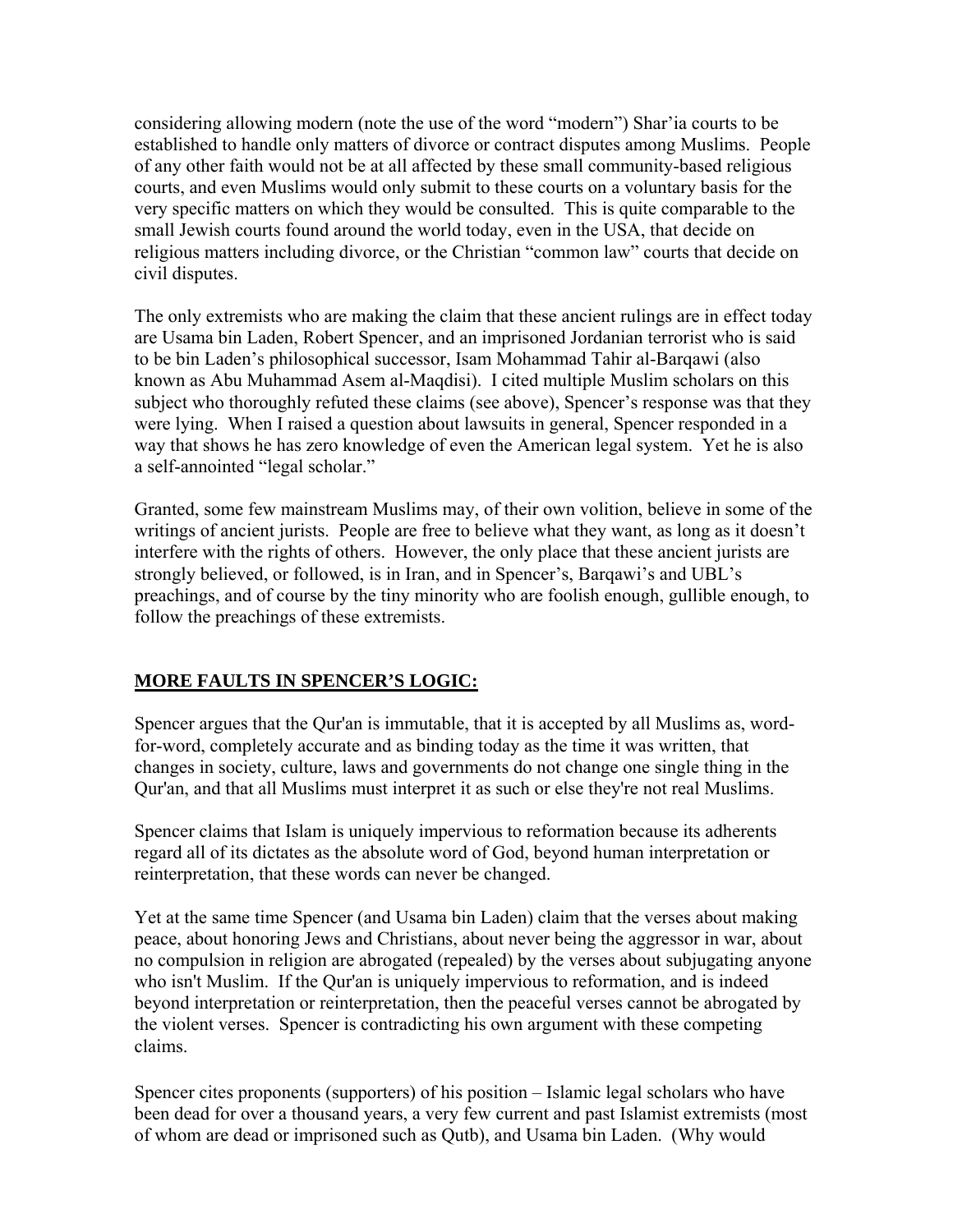considering allowing modern (note the use of the word "modern") Shar'ia courts to be established to handle only matters of divorce or contract disputes among Muslims. People of any other faith would not be at all affected by these small community-based religious courts, and even Muslims would only submit to these courts on a voluntary basis for the very specific matters on which they would be consulted. This is quite comparable to the small Jewish courts found around the world today, even in the USA, that decide on religious matters including divorce, or the Christian "common law" courts that decide on civil disputes.

The only extremists who are making the claim that these ancient rulings are in effect today are Usama bin Laden, Robert Spencer, and an imprisoned Jordanian terrorist who is said to be bin Laden's philosophical successor, Isam Mohammad Tahir al-Barqawi (also known as Abu Muhammad Asem al-Maqdisi). I cited multiple Muslim scholars on this subject who thoroughly refuted these claims (see above), Spencer's response was that they were lying. When I raised a question about lawsuits in general, Spencer responded in a way that shows he has zero knowledge of even the American legal system. Yet he is also a self-annointed "legal scholar."

Granted, some few mainstream Muslims may, of their own volition, believe in some of the writings of ancient jurists. People are free to believe what they want, as long as it doesn't interfere with the rights of others. However, the only place that these ancient jurists are strongly believed, or followed, is in Iran, and in Spencer's, Barqawi's and UBL's preachings, and of course by the tiny minority who are foolish enough, gullible enough, to follow the preachings of these extremists.

### **MORE FAULTS IN SPENCER'S LOGIC:**

Spencer argues that the Qur'an is immutable, that it is accepted by all Muslims as, wordfor-word, completely accurate and as binding today as the time it was written, that changes in society, culture, laws and governments do not change one single thing in the Qur'an, and that all Muslims must interpret it as such or else they're not real Muslims.

Spencer claims that Islam is uniquely impervious to reformation because its adherents regard all of its dictates as the absolute word of God, beyond human interpretation or reinterpretation, that these words can never be changed.

Yet at the same time Spencer (and Usama bin Laden) claim that the verses about making peace, about honoring Jews and Christians, about never being the aggressor in war, about no compulsion in religion are abrogated (repealed) by the verses about subjugating anyone who isn't Muslim. If the Qur'an is uniquely impervious to reformation, and is indeed beyond interpretation or reinterpretation, then the peaceful verses cannot be abrogated by the violent verses. Spencer is contradicting his own argument with these competing claims.

Spencer cites proponents (supporters) of his position – Islamic legal scholars who have been dead for over a thousand years, a very few current and past Islamist extremists (most of whom are dead or imprisoned such as Qutb), and Usama bin Laden. (Why would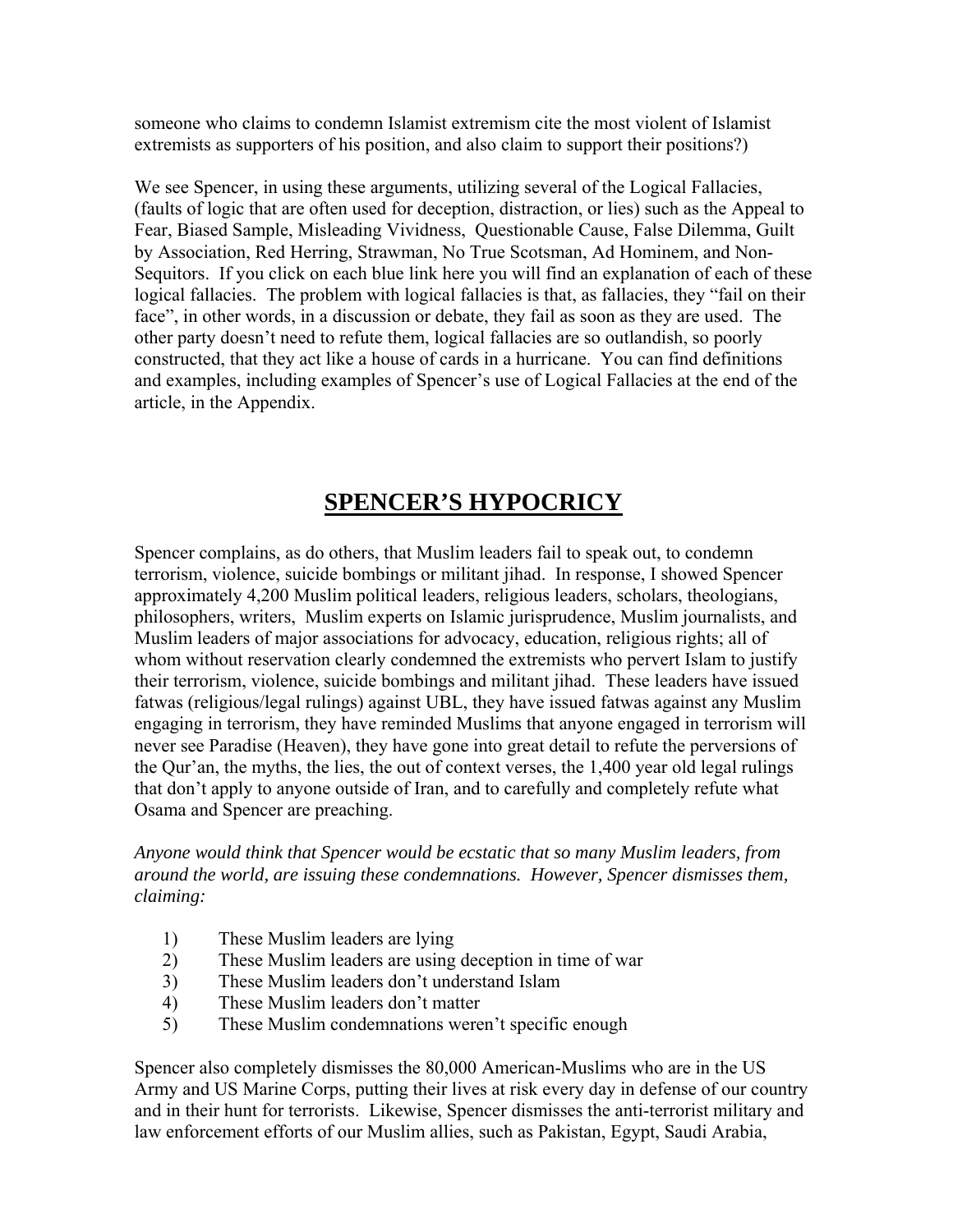someone who claims to condemn Islamist extremism cite the most violent of Islamist extremists as supporters of his position, and also claim to support their positions?)

We see Spencer, in using these arguments, utilizing several of the Logical Fallacies, (faults of logic that are often used for deception, distraction, or lies) such as the Appeal to Fear, Biased Sample, Misleading Vividness, Questionable Cause, False Dilemma, Guilt by Association, Red Herring, Strawman, No True Scotsman, Ad Hominem, and Non-Sequitors. If you click on each blue link here you will find an explanation of each of these logical fallacies. The problem with logical fallacies is that, as fallacies, they "fail on their face", in other words, in a discussion or debate, they fail as soon as they are used. The other party doesn't need to refute them, logical fallacies are so outlandish, so poorly constructed, that they act like a house of cards in a hurricane. You can find definitions and examples, including examples of Spencer's use of Logical Fallacies at the end of the article, in the Appendix.

# **SPENCER'S HYPOCRICY**

Spencer complains, as do others, that Muslim leaders fail to speak out, to condemn terrorism, violence, suicide bombings or militant jihad. In response, I showed Spencer approximately 4,200 Muslim political leaders, religious leaders, scholars, theologians, philosophers, writers, Muslim experts on Islamic jurisprudence, Muslim journalists, and Muslim leaders of major associations for advocacy, education, religious rights; all of whom without reservation clearly condemned the extremists who pervert Islam to justify their terrorism, violence, suicide bombings and militant jihad. These leaders have issued fatwas (religious/legal rulings) against UBL, they have issued fatwas against any Muslim engaging in terrorism, they have reminded Muslims that anyone engaged in terrorism will never see Paradise (Heaven), they have gone into great detail to refute the perversions of the Qur'an, the myths, the lies, the out of context verses, the 1,400 year old legal rulings that don't apply to anyone outside of Iran, and to carefully and completely refute what Osama and Spencer are preaching.

*Anyone would think that Spencer would be ecstatic that so many Muslim leaders, from around the world, are issuing these condemnations. However, Spencer dismisses them, claiming:* 

- 1) These Muslim leaders are lying
- 2) These Muslim leaders are using deception in time of war
- 3) These Muslim leaders don't understand Islam
- 4) These Muslim leaders don't matter
- 5) These Muslim condemnations weren't specific enough

Spencer also completely dismisses the 80,000 American-Muslims who are in the US Army and US Marine Corps, putting their lives at risk every day in defense of our country and in their hunt for terrorists. Likewise, Spencer dismisses the anti-terrorist military and law enforcement efforts of our Muslim allies, such as Pakistan, Egypt, Saudi Arabia,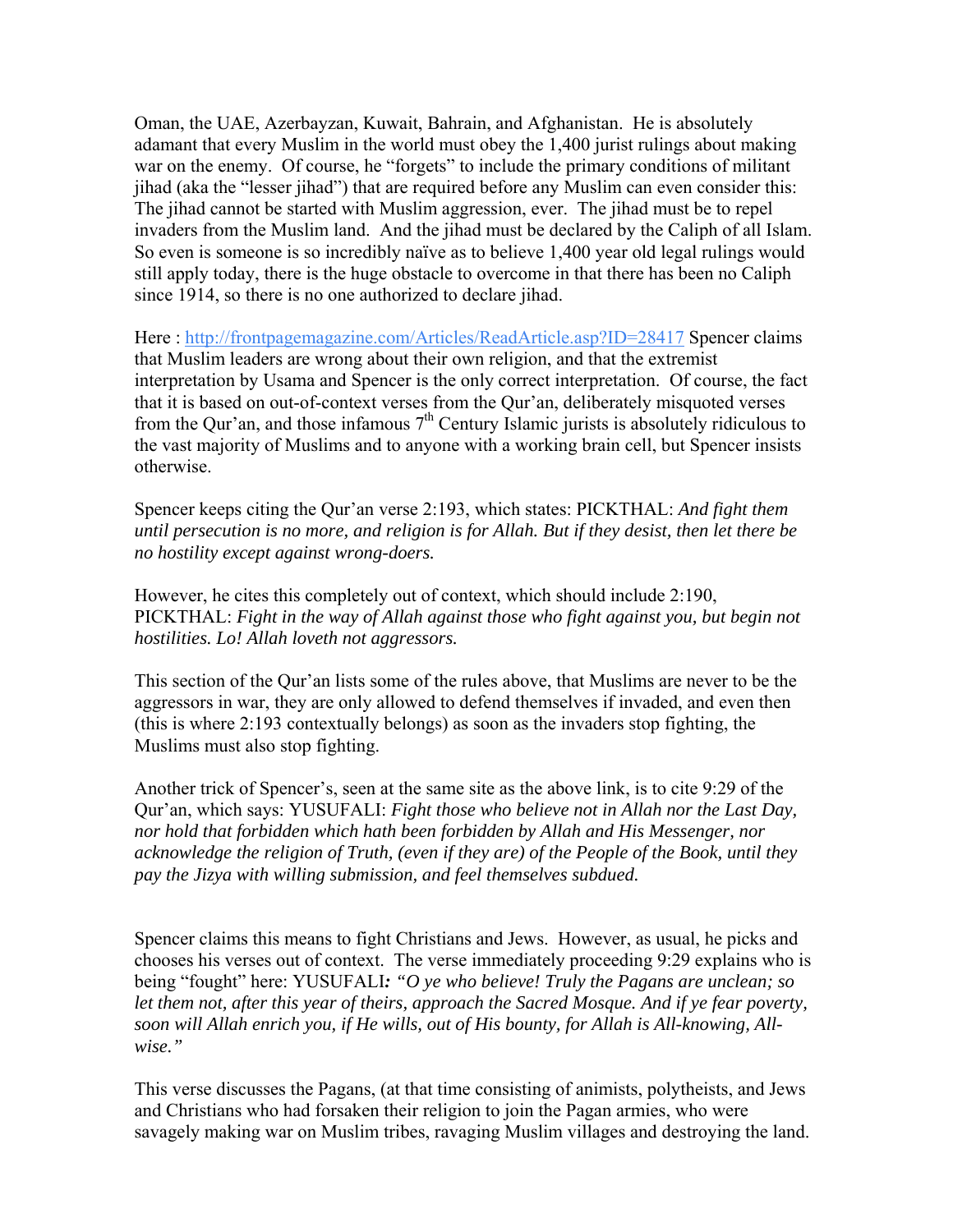Oman, the UAE, Azerbayzan, Kuwait, Bahrain, and Afghanistan. He is absolutely adamant that every Muslim in the world must obey the 1,400 jurist rulings about making war on the enemy. Of course, he "forgets" to include the primary conditions of militant jihad (aka the "lesser jihad") that are required before any Muslim can even consider this: The jihad cannot be started with Muslim aggression, ever. The jihad must be to repel invaders from the Muslim land. And the jihad must be declared by the Caliph of all Islam. So even is someone is so incredibly naïve as to believe 1,400 year old legal rulings would still apply today, there is the huge obstacle to overcome in that there has been no Caliph since 1914, so there is no one authorized to declare jihad.

Here :<http://frontpagemagazine.com/Articles/ReadArticle.asp?ID=28417>Spencer claims that Muslim leaders are wrong about their own religion, and that the extremist interpretation by Usama and Spencer is the only correct interpretation. Of course, the fact that it is based on out-of-context verses from the Qur'an, deliberately misquoted verses from the Our'an, and those infamous  $7<sup>th</sup>$  Century Islamic jurists is absolutely ridiculous to the vast majority of Muslims and to anyone with a working brain cell, but Spencer insists otherwise.

Spencer keeps citing the Qur'an verse 2:193, which states: PICKTHAL: *And fight them until persecution is no more, and religion is for Allah. But if they desist, then let there be no hostility except against wrong-doers.* 

However, he cites this completely out of context, which should include 2:190, PICKTHAL: *Fight in the way of Allah against those who fight against you, but begin not hostilities. Lo! Allah loveth not aggressors.* 

This section of the Qur'an lists some of the rules above, that Muslims are never to be the aggressors in war, they are only allowed to defend themselves if invaded, and even then (this is where 2:193 contextually belongs) as soon as the invaders stop fighting, the Muslims must also stop fighting.

Another trick of Spencer's, seen at the same site as the above link, is to cite 9:29 of the Qur'an, which says: YUSUFALI: *Fight those who believe not in Allah nor the Last Day, nor hold that forbidden which hath been forbidden by Allah and His Messenger, nor acknowledge the religion of Truth, (even if they are) of the People of the Book, until they pay the Jizya with willing submission, and feel themselves subdued.* 

Spencer claims this means to fight Christians and Jews. However, as usual, he picks and chooses his verses out of context. The verse immediately proceeding 9:29 explains who is being "fought" here: YUSUFALI*: "O ye who believe! Truly the Pagans are unclean; so let them not, after this year of theirs, approach the Sacred Mosque. And if ye fear poverty, soon will Allah enrich you, if He wills, out of His bounty, for Allah is All-knowing, Allwise."* 

This verse discusses the Pagans, (at that time consisting of animists, polytheists, and Jews and Christians who had forsaken their religion to join the Pagan armies, who were savagely making war on Muslim tribes, ravaging Muslim villages and destroying the land.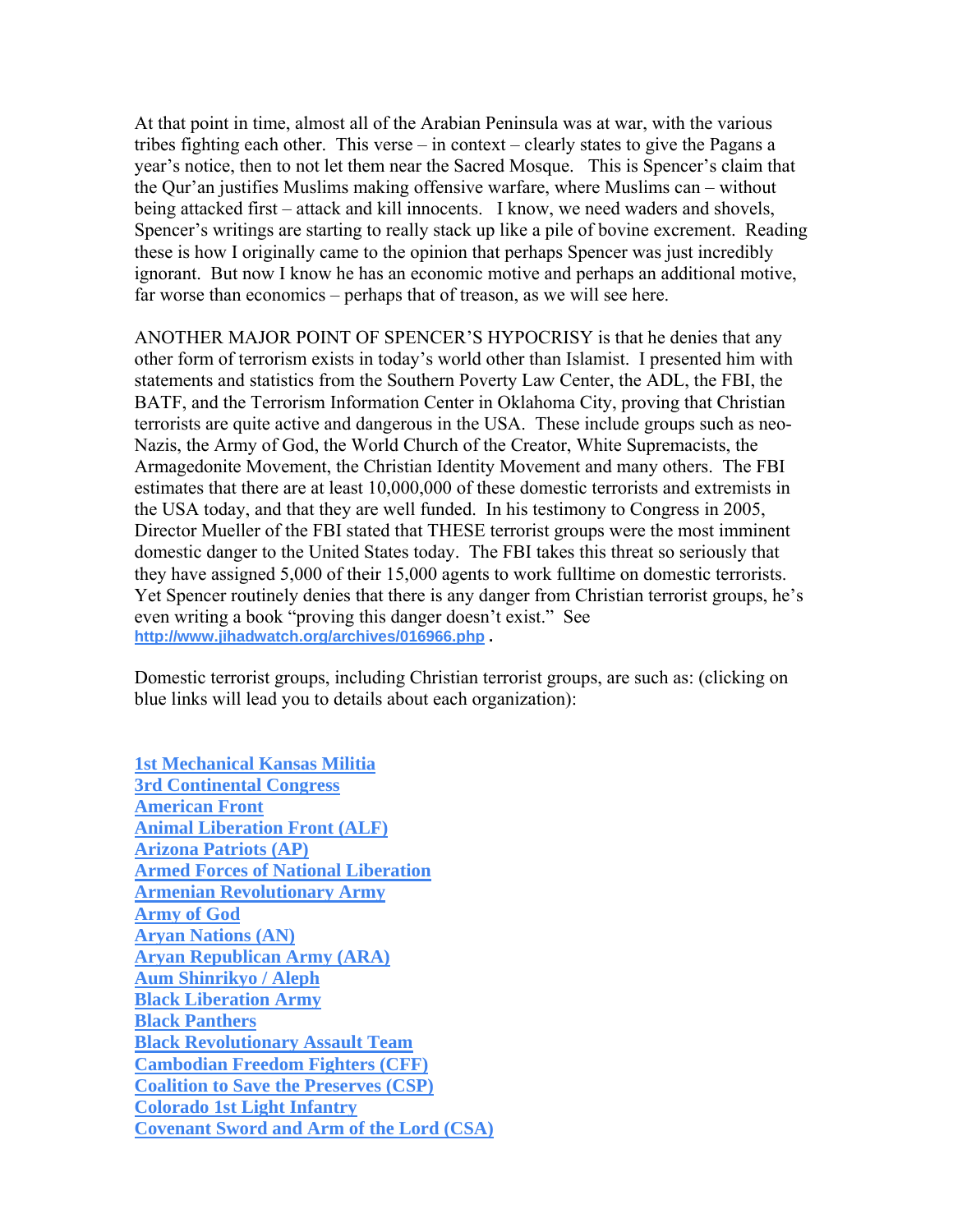At that point in time, almost all of the Arabian Peninsula was at war, with the various tribes fighting each other. This verse – in context – clearly states to give the Pagans a year's notice, then to not let them near the Sacred Mosque. This is Spencer's claim that the Qur'an justifies Muslims making offensive warfare, where Muslims can – without being attacked first – attack and kill innocents. I know, we need waders and shovels, Spencer's writings are starting to really stack up like a pile of bovine excrement. Reading these is how I originally came to the opinion that perhaps Spencer was just incredibly ignorant. But now I know he has an economic motive and perhaps an additional motive, far worse than economics – perhaps that of treason, as we will see here.

ANOTHER MAJOR POINT OF SPENCER'S HYPOCRISY is that he denies that any other form of terrorism exists in today's world other than Islamist. I presented him with statements and statistics from the Southern Poverty Law Center, the ADL, the FBI, the BATF, and the Terrorism Information Center in Oklahoma City, proving that Christian terrorists are quite active and dangerous in the USA. These include groups such as neo-Nazis, the Army of God, the World Church of the Creator, White Supremacists, the Armagedonite Movement, the Christian Identity Movement and many others. The FBI estimates that there are at least 10,000,000 of these domestic terrorists and extremists in the USA today, and that they are well funded. In his testimony to Congress in 2005, Director Mueller of the FBI stated that THESE terrorist groups were the most imminent domestic danger to the United States today. The FBI takes this threat so seriously that they have assigned 5,000 of their 15,000 agents to work fulltime on domestic terrorists. Yet Spencer routinely denies that there is any danger from Christian terrorist groups, he's even writing a book "proving this danger doesn't exist." See **<http://www.jihadwatch.org/archives/016966.php>.**

Domestic terrorist groups, including Christian terrorist groups, are such as: (clicking on blue links will lead you to details about each organization):

**[1st Mechanical Kansas Militia](http://www.tkb.org/Group.jsp?groupID=3418) [3rd Continental Congress](http://www.tkb.org/Group.jsp?groupID=3419) [American Front](http://www.tkb.org/Group.jsp?groupID=3416) [Animal Liberation Front \(ALF\)](http://www.tkb.org/Group.jsp?groupID=14) [Arizona Patriots \(AP\)](http://www.tkb.org/Group.jsp?groupID=3225) [Armed Forces of National Liberation](http://www.tkb.org/Group.jsp?groupID=3229) [Armenian Revolutionary Army](http://www.tkb.org/Group.jsp?groupID=264) [Army of God](http://www.tkb.org/Group.jsp?groupID=28) [Aryan Nations \(AN\)](http://www.tkb.org/Group.jsp?groupID=29) [Aryan Republican Army \(ARA\)](http://www.tkb.org/Group.jsp?groupID=3412) [Aum Shinrikyo / Aleph](http://www.tkb.org/Group.jsp?groupID=3956) [Black Liberation Army](http://www.tkb.org/Group.jsp?groupID=3708) [Black Panthers](http://www.tkb.org/Group.jsp?groupID=3969) [Black Revolutionary Assault Team](http://www.tkb.org/Group.jsp?groupID=3970) [Cambodian Freedom Fighters \(CFF\)](http://www.tkb.org/Group.jsp?groupID=3529) [Coalition to Save the Preserves \(CSP\)](http://www.tkb.org/Group.jsp?groupID=3976) [Colorado 1st Light Infantry](http://www.tkb.org/Group.jsp?groupID=3417) [Covenant Sword and Arm of the Lord \(CSA\)](http://www.tkb.org/Group.jsp?groupID=3226)**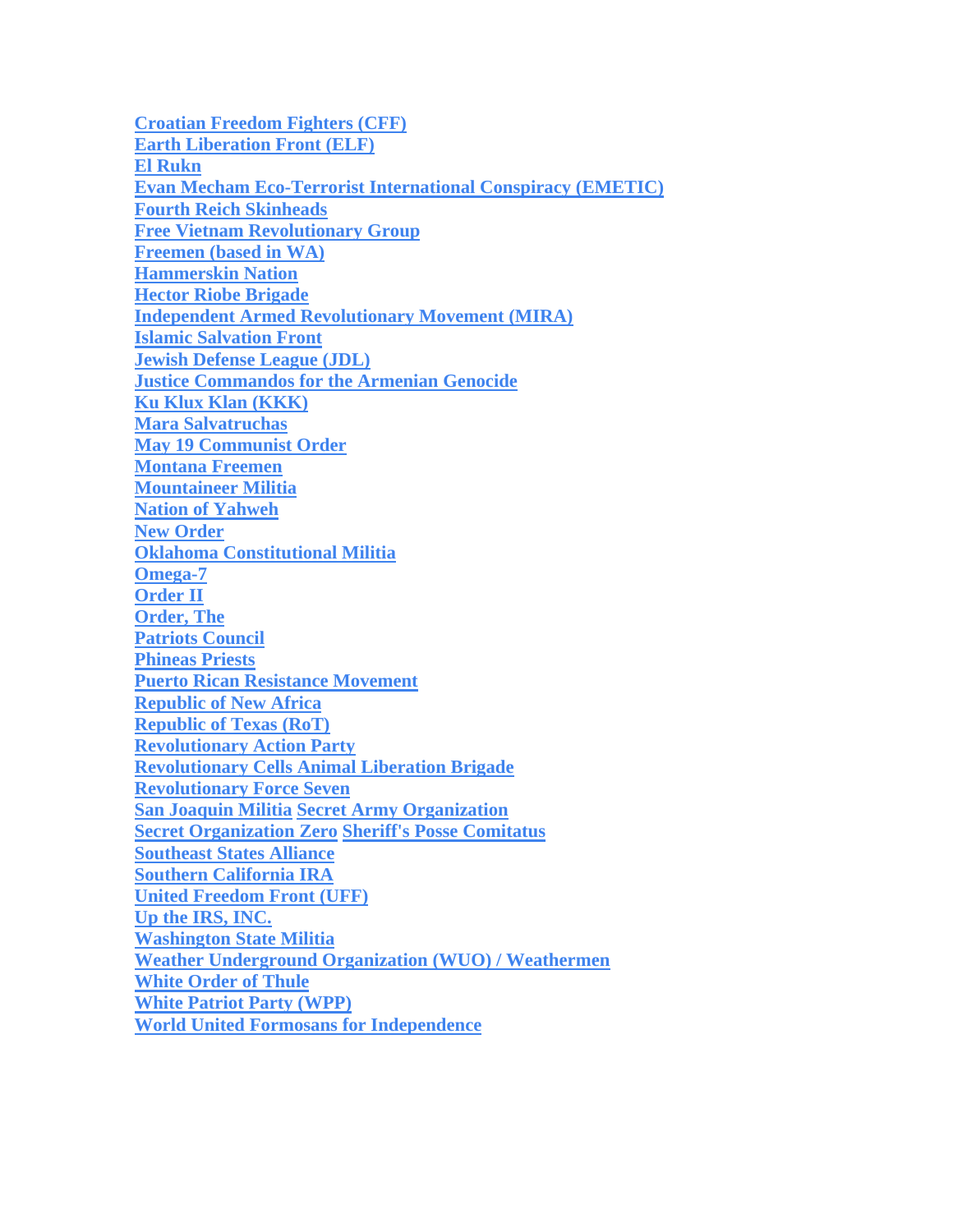**[Croatian Freedom Fighters \(CFF\)](http://www.tkb.org/Group.jsp?groupID=4003) [Earth Liberation Front \(ELF\)](http://www.tkb.org/Group.jsp?groupID=41) [El Rukn](http://www.tkb.org/Group.jsp?groupID=3230) [Evan Mecham Eco-Terrorist International Conspiracy \(EMETIC\)](http://www.tkb.org/Group.jsp?groupID=3239) [Fourth Reich Skinheads](http://www.tkb.org/Group.jsp?groupID=3421) [Free Vietnam Revolutionary Group](http://www.tkb.org/Group.jsp?groupID=3598) [Freemen \(based in WA\)](http://www.tkb.org/Group.jsp?groupID=3247) [Hammerskin Nation](http://www.tkb.org/Group.jsp?groupID=3483) [Hector Riobe Brigade](http://www.tkb.org/Group.jsp?groupID=4048) [Independent Armed Revolutionary Movement \(MIRA\)](http://www.tkb.org/Group.jsp?groupID=3713) [Islamic Salvation Front](http://www.tkb.org/Group.jsp?groupID=288) [Jewish Defense League \(JDL\)](http://www.tkb.org/Group.jsp?groupID=183) [Justice Commandos for the Armenian Genocide](http://www.tkb.org/Group.jsp?groupID=265) [Ku Klux Klan \(KKK\)](http://www.tkb.org/Group.jsp?groupID=62) [Mara Salvatruchas](http://www.tkb.org/Group.jsp?groupID=4486) [May 19 Communist Order](http://www.tkb.org/Group.jsp?groupID=3234) [Montana Freemen](http://www.tkb.org/Group.jsp?groupID=3406) [Mountaineer Militia](http://www.tkb.org/Group.jsp?groupID=3408) [Nation of Yahweh](http://www.tkb.org/Group.jsp?groupID=3415) [New Order](http://www.tkb.org/Group.jsp?groupID=3422) [Oklahoma Constitutional Militia](http://www.tkb.org/Group.jsp?groupID=3243) [Omega-7](http://www.tkb.org/Group.jsp?groupID=3236) [Order II](http://www.tkb.org/Group.jsp?groupID=3228) [Order, The](http://www.tkb.org/Group.jsp?groupID=120) [Patriots Council](http://www.tkb.org/Group.jsp?groupID=3414) [Phineas Priests](http://www.tkb.org/Group.jsp?groupID=3244) [Puerto Rican Resistance Movement](http://www.tkb.org/Group.jsp?groupID=4218) [Republic of New Africa](http://www.tkb.org/Group.jsp?groupID=4226) [Republic of Texas \(RoT\)](http://www.tkb.org/Group.jsp?groupID=95) [Revolutionary Action Party](http://www.tkb.org/Group.jsp?groupID=4229) [Revolutionary Cells Animal Liberation Brigade](http://www.tkb.org/Group.jsp?groupID=4234) [Revolutionary Force Seven](http://www.tkb.org/Group.jsp?groupID=4237) [San Joaquin Militia](http://www.tkb.org/Group.jsp?groupID=4335) [Secret Army Organization](http://www.tkb.org/Group.jsp?groupID=4258) [Secret Organization Zero](http://www.tkb.org/Group.jsp?groupID=4259) [Sheriff's Posse Comitatus](http://www.tkb.org/Group.jsp?groupID=110) [Southeast States Alliance](http://www.tkb.org/Group.jsp?groupID=4336) [Southern California IRA](http://www.tkb.org/Group.jsp?groupID=4273) [United Freedom Front \(UFF\)](http://www.tkb.org/Group.jsp?groupID=3232) [Up the IRS, INC.](http://www.tkb.org/Group.jsp?groupID=3420) [Washington State Militia](http://www.tkb.org/Group.jsp?groupID=3246) [Weather Underground Organization \(WUO\) / Weathermen](http://www.tkb.org/Group.jsp?groupID=4312) [White Order of Thule](http://www.tkb.org/Group.jsp?groupID=4334) [White Patriot Party \(WPP\)](http://www.tkb.org/Group.jsp?groupID=127) [World United Formosans for Independence](http://www.tkb.org/Group.jsp?groupID=4317)**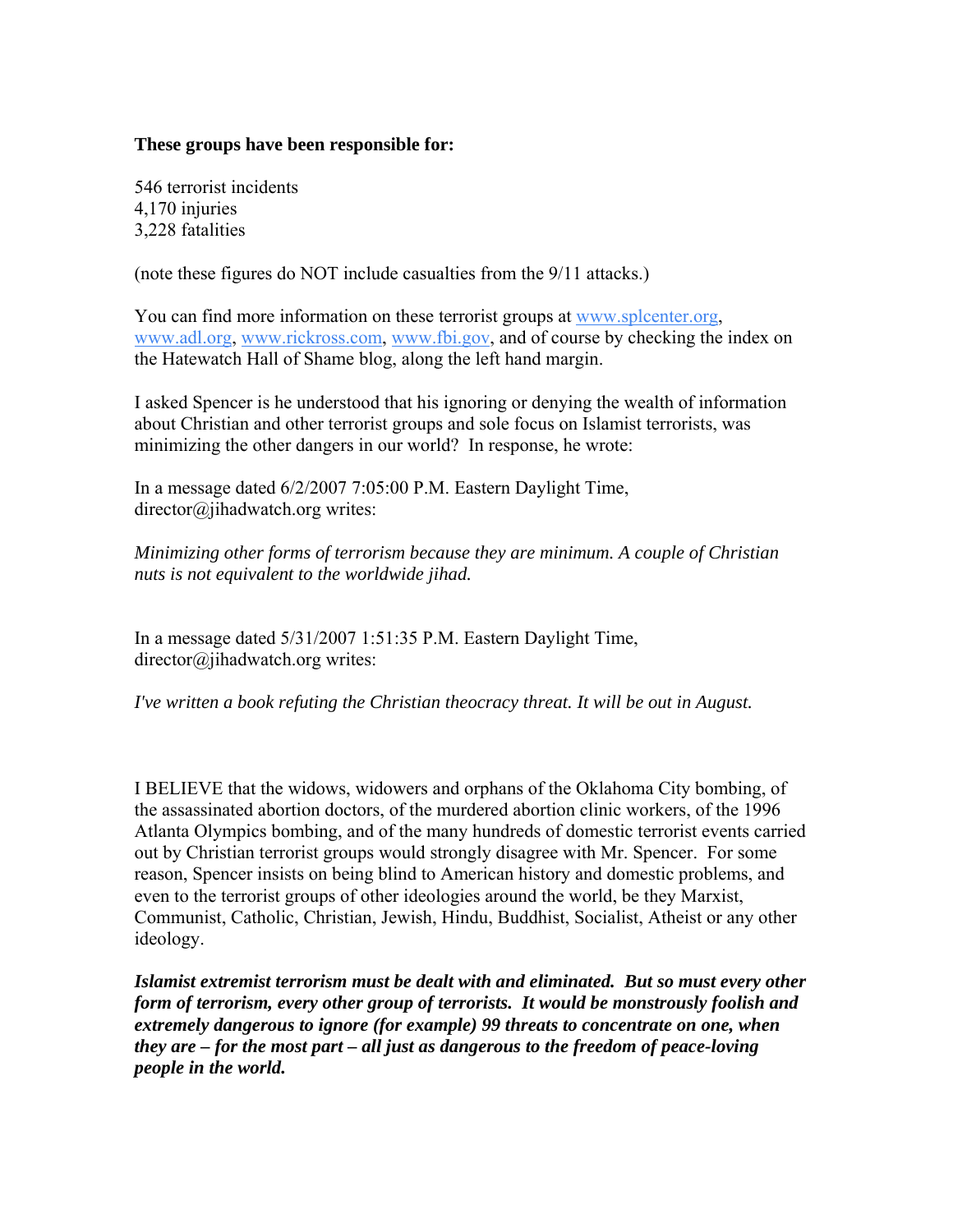### **These groups have been responsible for:**

546 terrorist incidents 4,170 injuries 3,228 fatalities

(note these figures do NOT include casualties from the 9/11 attacks.)

You can find more information on these terrorist groups at [www.splcenter.org,](http://www.splcenter.org/) [www.adl.org](http://www.adl.org/), [www.rickross.com,](http://www.rickross.com/) [www.fbi.gov,](http://www.fbi.gov/) and of course by checking the index on the Hatewatch Hall of Shame blog, along the left hand margin.

I asked Spencer is he understood that his ignoring or denying the wealth of information about Christian and other terrorist groups and sole focus on Islamist terrorists, was minimizing the other dangers in our world? In response, he wrote:

In a message dated 6/2/2007 7:05:00 P.M. Eastern Daylight Time, director@jihadwatch.org writes:

*Minimizing other forms of terrorism because they are minimum. A couple of Christian nuts is not equivalent to the worldwide jihad.* 

In a message dated 5/31/2007 1:51:35 P.M. Eastern Daylight Time, director@jihadwatch.org writes:

*I've written a book refuting the Christian theocracy threat. It will be out in August.* 

I BELIEVE that the widows, widowers and orphans of the Oklahoma City bombing, of the assassinated abortion doctors, of the murdered abortion clinic workers, of the 1996 Atlanta Olympics bombing, and of the many hundreds of domestic terrorist events carried out by Christian terrorist groups would strongly disagree with Mr. Spencer. For some reason, Spencer insists on being blind to American history and domestic problems, and even to the terrorist groups of other ideologies around the world, be they Marxist, Communist, Catholic, Christian, Jewish, Hindu, Buddhist, Socialist, Atheist or any other ideology.

*Islamist extremist terrorism must be dealt with and eliminated. But so must every other form of terrorism, every other group of terrorists. It would be monstrously foolish and extremely dangerous to ignore (for example) 99 threats to concentrate on one, when they are – for the most part – all just as dangerous to the freedom of peace-loving people in the world.*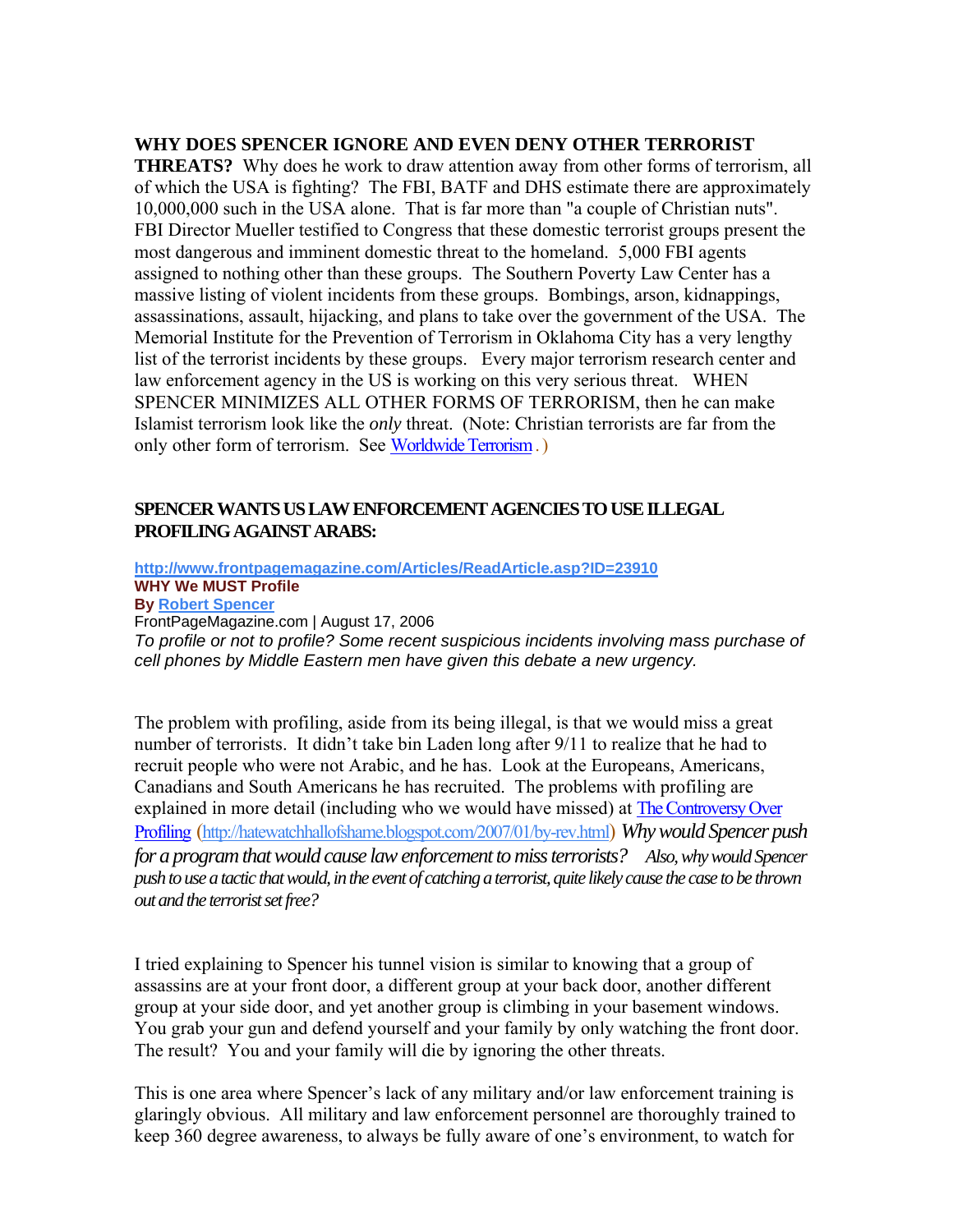#### **WHY DOES SPENCER IGNORE AND EVEN DENY OTHER TERRORIST**

**THREATS?** Why does he work to draw attention away from other forms of terrorism, all of which the USA is fighting? The FBI, BATF and DHS estimate there are approximately 10,000,000 such in the USA alone. That is far more than "a couple of Christian nuts". FBI Director Mueller testified to Congress that these domestic terrorist groups present the most dangerous and imminent domestic threat to the homeland. 5,000 FBI agents assigned to nothing other than these groups. The Southern Poverty Law Center has a massive listing of violent incidents from these groups. Bombings, arson, kidnappings, assassinations, assault, hijacking, and plans to take over the government of the USA. The Memorial Institute for the Prevention of Terrorism in Oklahoma City has a very lengthy list of the terrorist incidents by these groups. Every major terrorism research center and law enforcement agency in the US is working on this very serious threat. WHEN SPENCER MINIMIZES ALL OTHER FORMS OF TERRORISM, then he can make Islamist terrorism look like the *only* threat. (Note: Christian terrorists are far from the only other form of terrorism. See [Worldwide Terrorism](http://hatewatchhallofshame.blogspot.com/2007/04/worldwide-terrorism.html) . )

### **SPENCER WANTS US LAW ENFORCEMENT AGENCIES TO USE ILLEGAL PROFILING AGAINST ARABS:**

**<http://www.frontpagemagazine.com/Articles/ReadArticle.asp?ID=23910> WHY We MUST Profile By [Robert Spencer](http://www.frontpagemagazine.com/Articles/authors.asp?ID=1240)** FrontPageMagazine.com | August 17, 2006 *To profile or not to profile? Some recent suspicious incidents involving mass purchase of cell phones by Middle Eastern men have given this debate a new urgency.* 

The problem with profiling, aside from its being illegal, is that we would miss a great number of terrorists. It didn't take bin Laden long after 9/11 to realize that he had to recruit people who were not Arabic, and he has. Look at the Europeans, Americans, Canadians and South Americans he has recruited. The problems with profiling are explained in more detail (including who we would have missed) at [The Controversy Over](http://hatewatchhallofshame.blogspot.com/2007/01/by-rev.html)  [Profiling](http://hatewatchhallofshame.blogspot.com/2007/01/by-rev.html) [\(http://hatewatchhallofshame.blogspot.com/2007/01/by-rev.html](http://hatewatchhallofshame.blogspot.com/2007/01/by-rev.html)) *Why would Spencer push for a program that would cause law enforcement to miss terrorists? Also, why would Spencer push to use a tactic that would, in the event of catching a terrorist, quite likely cause the case to be thrown out and the terrorist set free?* 

I tried explaining to Spencer his tunnel vision is similar to knowing that a group of assassins are at your front door, a different group at your back door, another different group at your side door, and yet another group is climbing in your basement windows. You grab your gun and defend yourself and your family by only watching the front door. The result? You and your family will die by ignoring the other threats.

This is one area where Spencer's lack of any military and/or law enforcement training is glaringly obvious. All military and law enforcement personnel are thoroughly trained to keep 360 degree awareness, to always be fully aware of one's environment, to watch for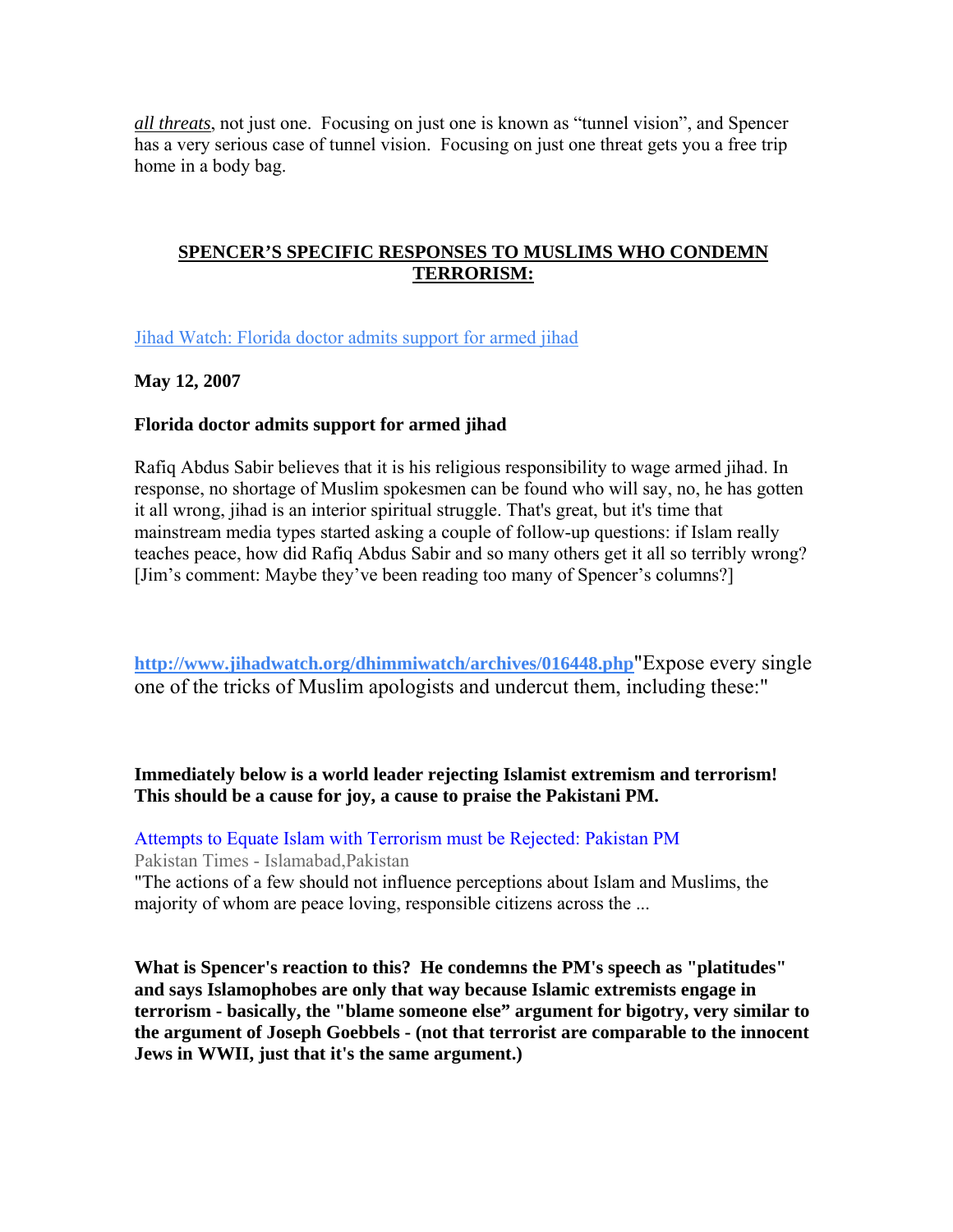*all threats*, not just one. Focusing on just one is known as "tunnel vision", and Spencer has a very serious case of tunnel vision. Focusing on just one threat gets you a free trip home in a body bag.

### **SPENCER'S SPECIFIC RESPONSES TO MUSLIMS WHO CONDEMN TERRORISM:**

[Jihad Watch: Florida doctor admits support for armed jihad](http://www.jihadwatch.org/archives/016408.php)

### **May 12, 2007**

### **Florida doctor admits support for armed jihad**

Rafiq Abdus Sabir believes that it is his religious responsibility to wage armed jihad. In response, no shortage of Muslim spokesmen can be found who will say, no, he has gotten it all wrong, jihad is an interior spiritual struggle. That's great, but it's time that mainstream media types started asking a couple of follow-up questions: if Islam really teaches peace, how did Rafiq Abdus Sabir and so many others get it all so terribly wrong? [Jim's comment: Maybe they've been reading too many of Spencer's columns?]

**<http://www.jihadwatch.org/dhimmiwatch/archives/016448.php>**"Expose every single one of the tricks of Muslim apologists and undercut them, including these:"

**Immediately below is a world leader rejecting Islamist extremism and terrorism! This should be a cause for joy, a cause to praise the Pakistani PM.** 

[Attempts to Equate Islam with Terrorism must be Rejected: Pakistan PM](http://www.pakistantimes.net/2007/06/05/top4.htm) Pakistan Times - Islamabad,Pakistan

"The actions of a few should not influence perceptions about Islam and Muslims, the majority of whom are peace loving, responsible citizens across the ...

**What is Spencer's reaction to this? He condemns the PM's speech as "platitudes" and says Islamophobes are only that way because Islamic extremists engage in terrorism - basically, the "blame someone else" argument for bigotry, very similar to the argument of Joseph Goebbels - (not that terrorist are comparable to the innocent Jews in WWII, just that it's the same argument.)**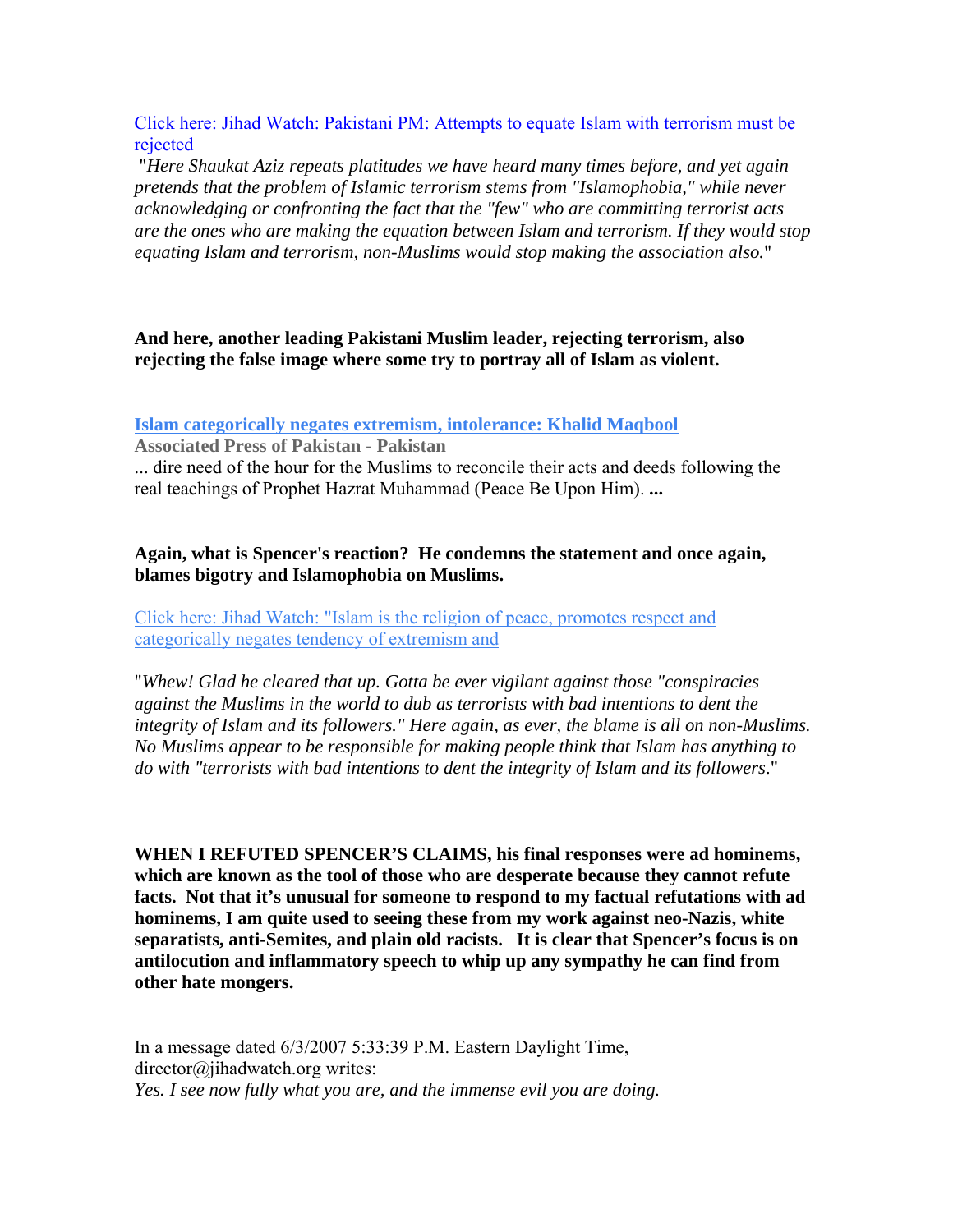[Click here: Jihad Watch: Pakistani PM: Attempts to equate Islam with terrorism must be](http://www.jihadwatch.org/archives/016762.php)  [rejected](http://www.jihadwatch.org/archives/016762.php)

 "*Here Shaukat Aziz repeats platitudes we have heard many times before, and yet again pretends that the problem of Islamic terrorism stems from "Islamophobia," while never acknowledging or confronting the fact that the "few" who are committing terrorist acts are the ones who are making the equation between Islam and terrorism. If they would stop equating Islam and terrorism, non-Muslims would stop making the association also.*"

### **And here, another leading Pakistani Muslim leader, rejecting terrorism, also rejecting the false image where some try to portray all of Islam as violent.**

**[Islam categorically negates extremism, intolerance: Khalid Maqbool](http://www.app.com.pk/en/index.php?option=com_content&task=view&id=10388&Itemid=2)**

**Associated Press of Pakistan - Pakistan**

... dire need of the hour for the Muslims to reconcile their acts and deeds following the real teachings of Prophet Hazrat Muhammad (Peace Be Upon Him). **...** 

### **Again, what is Spencer's reaction? He condemns the statement and once again, blames bigotry and Islamophobia on Muslims.**

[Click here: Jihad Watch: "Islam is the religion of peace, promotes respect and](http://www.jihadwatch.org/archives/016814.php)  [categorically negates tendency of extremism and](http://www.jihadwatch.org/archives/016814.php) 

"*Whew! Glad he cleared that up. Gotta be ever vigilant against those "conspiracies against the Muslims in the world to dub as terrorists with bad intentions to dent the integrity of Islam and its followers." Here again, as ever, the blame is all on non-Muslims. No Muslims appear to be responsible for making people think that Islam has anything to do with "terrorists with bad intentions to dent the integrity of Islam and its followers*."

**WHEN I REFUTED SPENCER'S CLAIMS, his final responses were ad hominems, which are known as the tool of those who are desperate because they cannot refute facts. Not that it's unusual for someone to respond to my factual refutations with ad hominems, I am quite used to seeing these from my work against neo-Nazis, white separatists, anti-Semites, and plain old racists. It is clear that Spencer's focus is on antilocution and inflammatory speech to whip up any sympathy he can find from other hate mongers.** 

In a message dated 6/3/2007 5:33:39 P.M. Eastern Daylight Time, director@jihadwatch.org writes: *Yes. I see now fully what you are, and the immense evil you are doing.*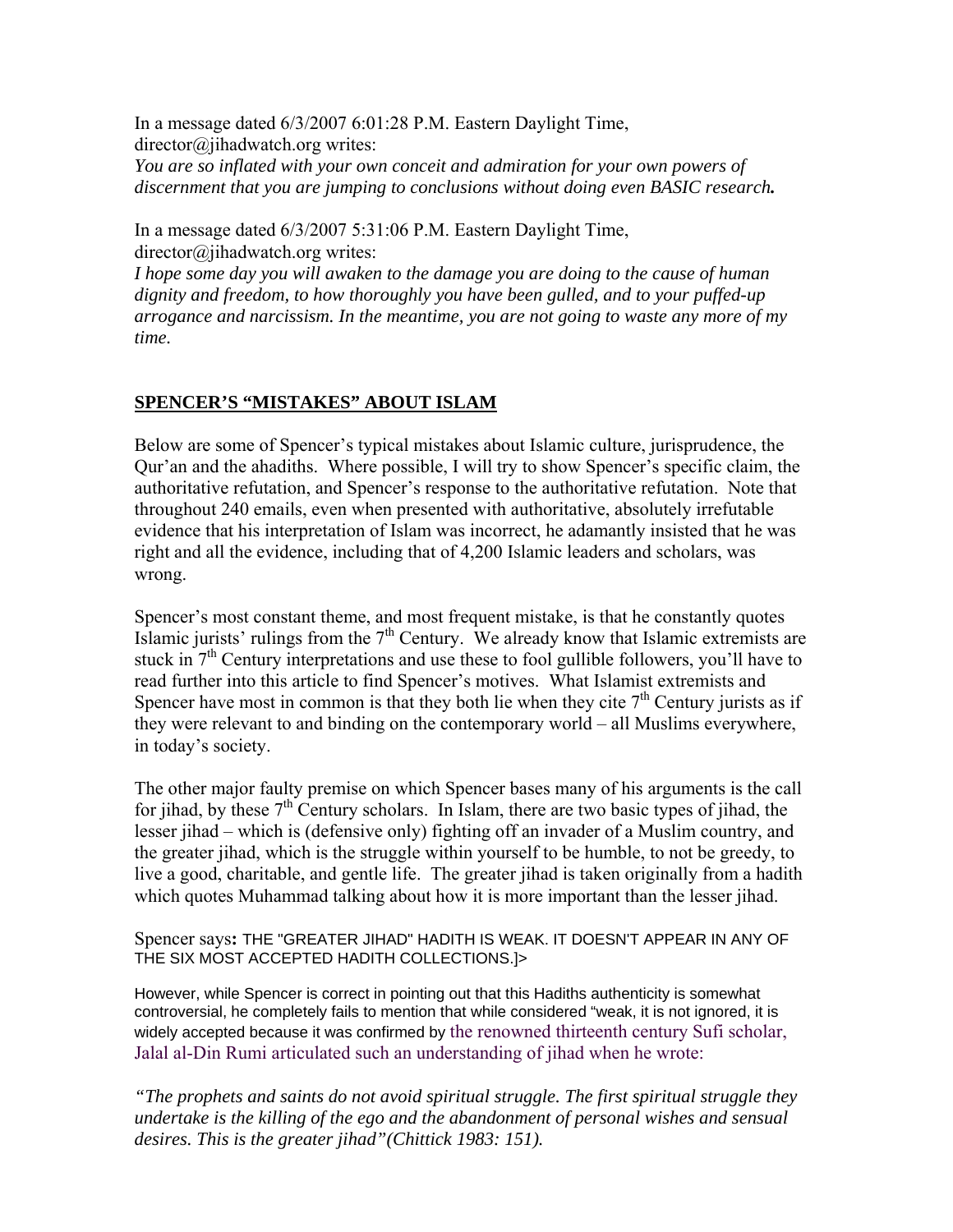In a message dated 6/3/2007 6:01:28 P.M. Eastern Daylight Time, director@jihadwatch.org writes: *You are so inflated with your own conceit and admiration for your own powers of* 

*discernment that you are jumping to conclusions without doing even BASIC research.* 

In a message dated 6/3/2007 5:31:06 P.M. Eastern Daylight Time, director@jihadwatch.org writes:

*I hope some day you will awaken to the damage you are doing to the cause of human dignity and freedom, to how thoroughly you have been gulled, and to your puffed-up arrogance and narcissism. In the meantime, you are not going to waste any more of my time.* 

### **SPENCER'S "MISTAKES" ABOUT ISLAM**

Below are some of Spencer's typical mistakes about Islamic culture, jurisprudence, the Qur'an and the ahadiths. Where possible, I will try to show Spencer's specific claim, the authoritative refutation, and Spencer's response to the authoritative refutation. Note that throughout 240 emails, even when presented with authoritative, absolutely irrefutable evidence that his interpretation of Islam was incorrect, he adamantly insisted that he was right and all the evidence, including that of 4,200 Islamic leaders and scholars, was wrong.

Spencer's most constant theme, and most frequent mistake, is that he constantly quotes Islamic jurists' rulings from the  $7<sup>th</sup>$  Century. We already know that Islamic extremists are stuck in  $7<sup>th</sup>$  Century interpretations and use these to fool gullible followers, you'll have to read further into this article to find Spencer's motives. What Islamist extremists and Spencer have most in common is that they both lie when they cite  $7<sup>th</sup>$  Century jurists as if they were relevant to and binding on the contemporary world – all Muslims everywhere, in today's society.

The other major faulty premise on which Spencer bases many of his arguments is the call for jihad, by these  $7<sup>th</sup>$  Century scholars. In Islam, there are two basic types of jihad, the lesser jihad – which is (defensive only) fighting off an invader of a Muslim country, and the greater jihad, which is the struggle within yourself to be humble, to not be greedy, to live a good, charitable, and gentle life. The greater jihad is taken originally from a hadith which quotes Muhammad talking about how it is more important than the lesser jihad.

Spencer says**:** THE "GREATER JIHAD" HADITH IS WEAK. IT DOESN'T APPEAR IN ANY OF THE SIX MOST ACCEPTED HADITH COLLECTIONS.]>

However, while Spencer is correct in pointing out that this Hadiths authenticity is somewhat controversial, he completely fails to mention that while considered "weak, it is not ignored, it is widely accepted because it was confirmed by the renowned thirteenth century Sufi scholar, Jalal al-Din Rumi articulated such an understanding of jihad when he wrote:

*"The prophets and saints do not avoid spiritual struggle. The first spiritual struggle they undertake is the killing of the ego and the abandonment of personal wishes and sensual desires. This is the greater jihad"(Chittick 1983: 151).*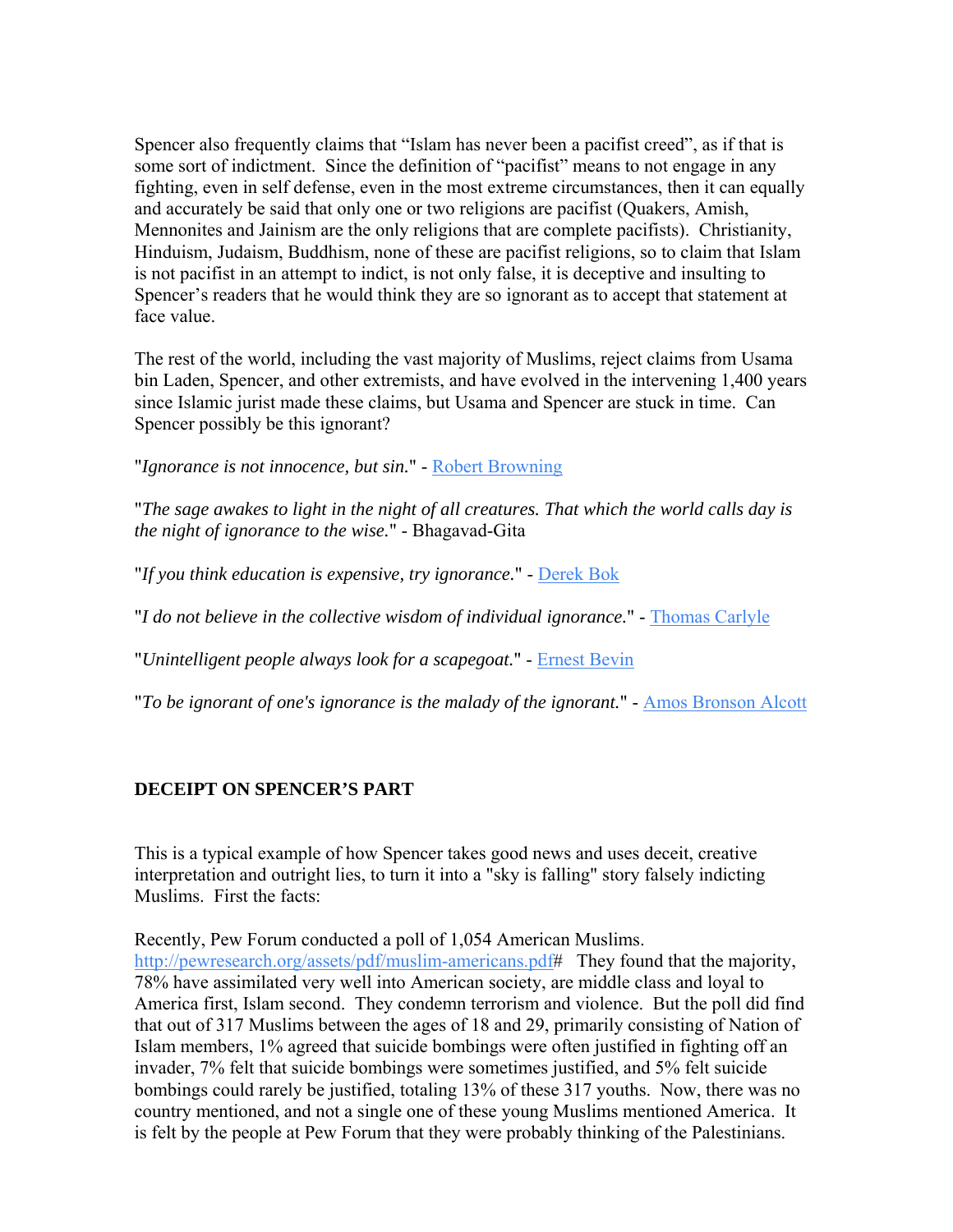Spencer also frequently claims that "Islam has never been a pacifist creed", as if that is some sort of indictment. Since the definition of "pacifist" means to not engage in any fighting, even in self defense, even in the most extreme circumstances, then it can equally and accurately be said that only one or two religions are pacifist (Quakers, Amish, Mennonites and Jainism are the only religions that are complete pacifists). Christianity, Hinduism, Judaism, Buddhism, none of these are pacifist religions, so to claim that Islam is not pacifist in an attempt to indict, is not only false, it is deceptive and insulting to Spencer's readers that he would think they are so ignorant as to accept that statement at face value.

The rest of the world, including the vast majority of Muslims, reject claims from Usama bin Laden, Spencer, and other extremists, and have evolved in the intervening 1,400 years since Islamic jurist made these claims, but Usama and Spencer are stuck in time. Can Spencer possibly be this ignorant?

"*Ignorance is not innocence, but sin.*" - [Robert Browning](http://www.answers.com/topic/robert-browning)

"*The sage awakes to light in the night of all creatures. That which the world calls day is the night of ignorance to the wise.*" - Bhagavad-Gita

"*If you think education is expensive, try ignorance.*" - [Derek Bok](http://www.answers.com/topic/derek-bok)

"*I do not believe in the collective wisdom of individual ignorance.*" - [Thomas Carlyle](http://www.answers.com/topic/thomas-carlyle)

"*Unintelligent people always look for a scapegoat.*" - [Ernest Bevin](http://www.answers.com/topic/ernest-bevin)

"*To be ignorant of one's ignorance is the malady of the ignorant.*" - [Amos Bronson Alcott](http://www.answers.com/topic/amos-bronson-alcott)

### **DECEIPT ON SPENCER'S PART**

This is a typical example of how Spencer takes good news and uses deceit, creative interpretation and outright lies, to turn it into a "sky is falling" story falsely indicting Muslims. First the facts:

Recently, Pew Forum conducted a poll of 1,054 American Muslims.

[http://pewresearch.org/assets/pdf/muslim-americans.pdf#](http://pewresearch.org/assets/pdf/muslim-americans.pdf) They found that the majority, 78% have assimilated very well into American society, are middle class and loyal to America first, Islam second. They condemn terrorism and violence. But the poll did find that out of 317 Muslims between the ages of 18 and 29, primarily consisting of Nation of Islam members, 1% agreed that suicide bombings were often justified in fighting off an invader, 7% felt that suicide bombings were sometimes justified, and 5% felt suicide bombings could rarely be justified, totaling 13% of these 317 youths. Now, there was no country mentioned, and not a single one of these young Muslims mentioned America. It is felt by the people at Pew Forum that they were probably thinking of the Palestinians.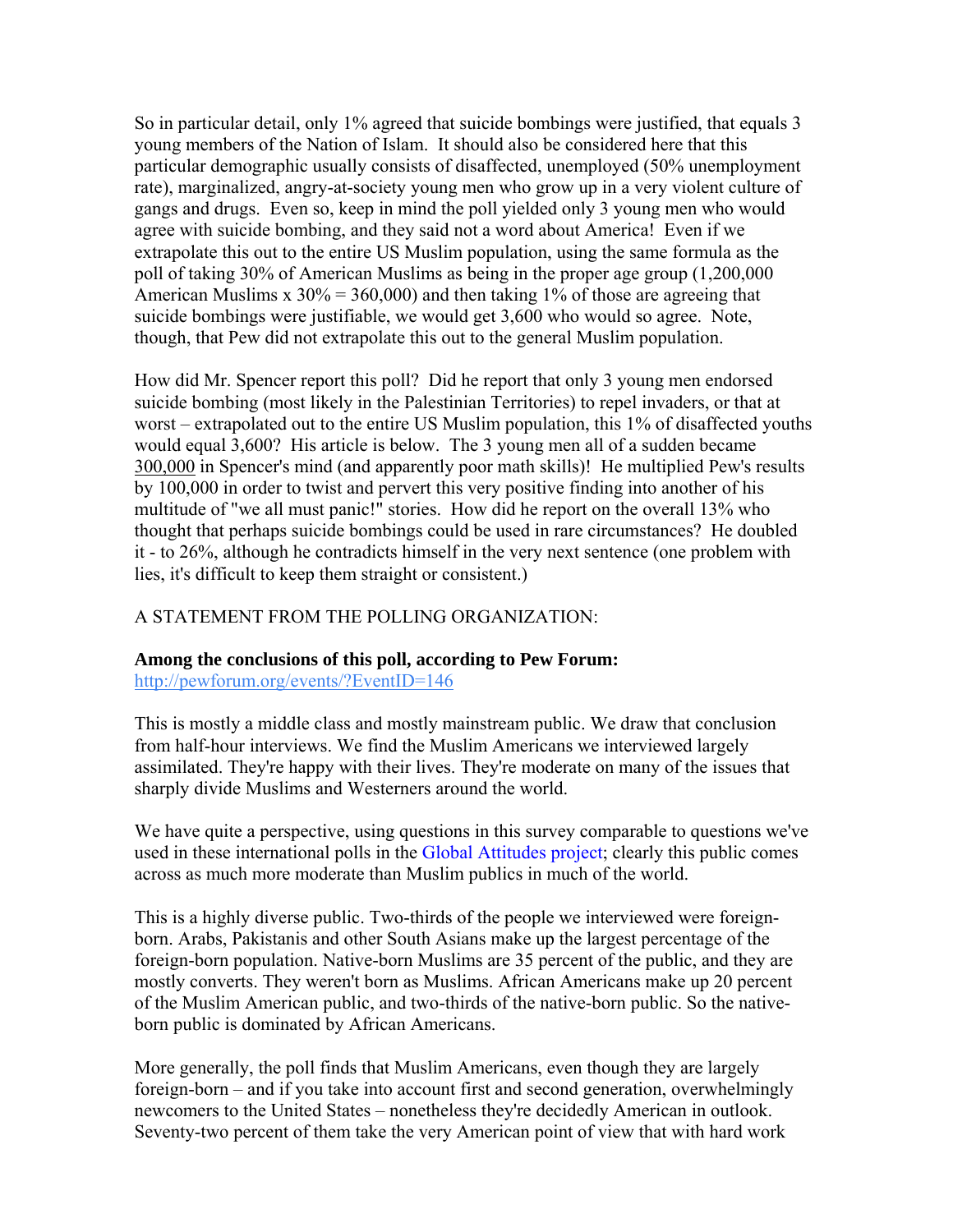So in particular detail, only 1% agreed that suicide bombings were justified, that equals 3 young members of the Nation of Islam. It should also be considered here that this particular demographic usually consists of disaffected, unemployed (50% unemployment rate), marginalized, angry-at-society young men who grow up in a very violent culture of gangs and drugs. Even so, keep in mind the poll yielded only 3 young men who would agree with suicide bombing, and they said not a word about America! Even if we extrapolate this out to the entire US Muslim population, using the same formula as the poll of taking 30% of American Muslims as being in the proper age group (1,200,000 American Muslims x  $30\% = 360,000$  and then taking 1% of those are agreeing that suicide bombings were justifiable, we would get 3,600 who would so agree. Note, though, that Pew did not extrapolate this out to the general Muslim population.

How did Mr. Spencer report this poll? Did he report that only 3 young men endorsed suicide bombing (most likely in the Palestinian Territories) to repel invaders, or that at worst – extrapolated out to the entire US Muslim population, this 1% of disaffected youths would equal 3,600? His article is below. The 3 young men all of a sudden became 300,000 in Spencer's mind (and apparently poor math skills)! He multiplied Pew's results by 100,000 in order to twist and pervert this very positive finding into another of his multitude of "we all must panic!" stories. How did he report on the overall 13% who thought that perhaps suicide bombings could be used in rare circumstances? He doubled it - to 26%, although he contradicts himself in the very next sentence (one problem with lies, it's difficult to keep them straight or consistent.)

### A STATEMENT FROM THE POLLING ORGANIZATION:

### **Among the conclusions of this poll, according to Pew Forum:**

<http://pewforum.org/events/?EventID=146>

This is mostly a middle class and mostly mainstream public. We draw that conclusion from half-hour interviews. We find the Muslim Americans we interviewed largely assimilated. They're happy with their lives. They're moderate on many of the issues that sharply divide Muslims and Westerners around the world.

We have quite a perspective, using questions in this survey comparable to questions we've used in these international polls in the [Global Attitudes project](http://pewglobal.org/); clearly this public comes across as much more moderate than Muslim publics in much of the world.

This is a highly diverse public. Two-thirds of the people we interviewed were foreignborn. Arabs, Pakistanis and other South Asians make up the largest percentage of the foreign-born population. Native-born Muslims are 35 percent of the public, and they are mostly converts. They weren't born as Muslims. African Americans make up 20 percent of the Muslim American public, and two-thirds of the native-born public. So the nativeborn public is dominated by African Americans.

More generally, the poll finds that Muslim Americans, even though they are largely foreign-born – and if you take into account first and second generation, overwhelmingly newcomers to the United States – nonetheless they're decidedly American in outlook. Seventy-two percent of them take the very American point of view that with hard work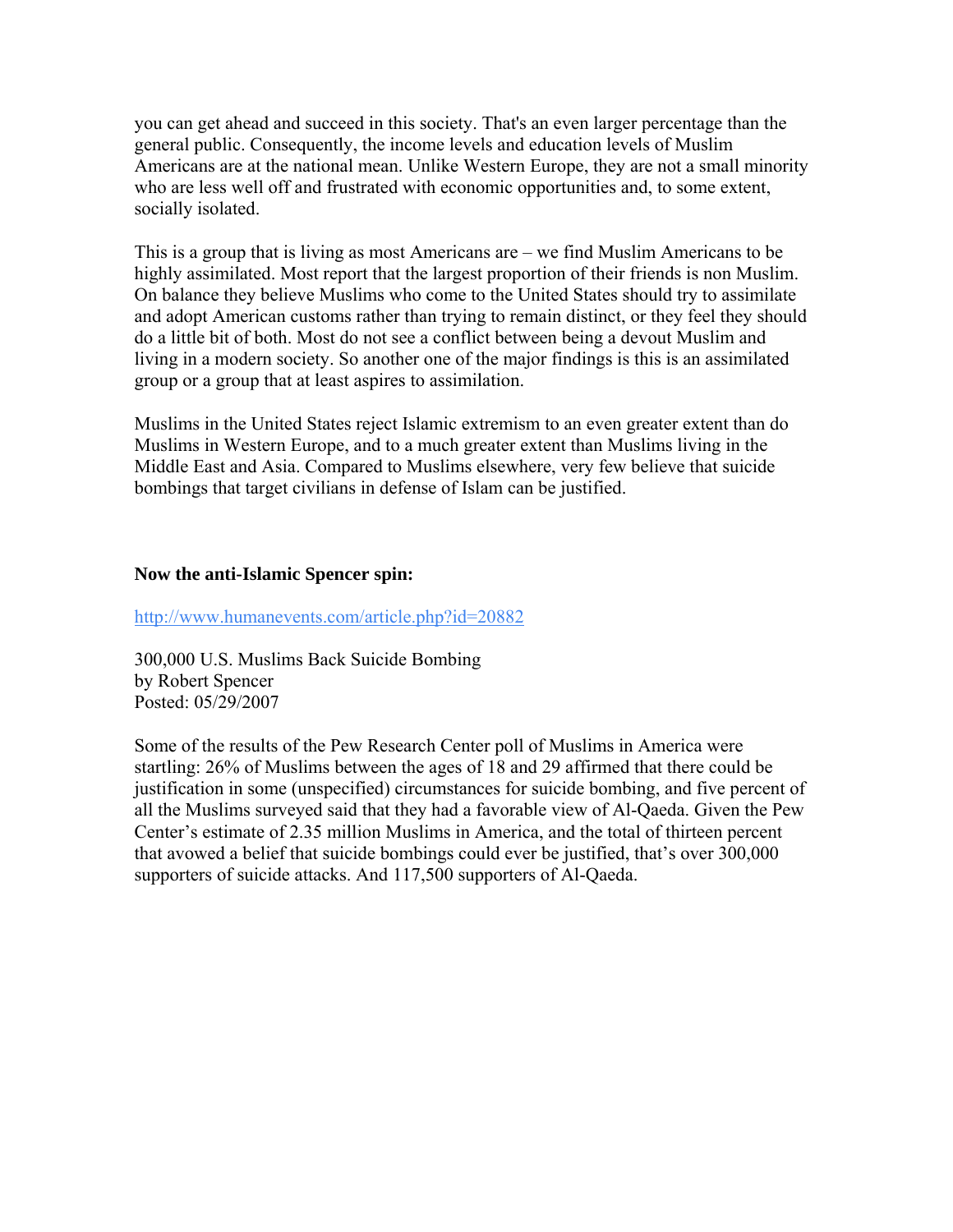you can get ahead and succeed in this society. That's an even larger percentage than the general public. Consequently, the income levels and education levels of Muslim Americans are at the national mean. Unlike Western Europe, they are not a small minority who are less well off and frustrated with economic opportunities and, to some extent, socially isolated.

This is a group that is living as most Americans are – we find Muslim Americans to be highly assimilated. Most report that the largest proportion of their friends is non Muslim. On balance they believe Muslims who come to the United States should try to assimilate and adopt American customs rather than trying to remain distinct, or they feel they should do a little bit of both. Most do not see a conflict between being a devout Muslim and living in a modern society. So another one of the major findings is this is an assimilated group or a group that at least aspires to assimilation.

Muslims in the United States reject Islamic extremism to an even greater extent than do Muslims in Western Europe, and to a much greater extent than Muslims living in the Middle East and Asia. Compared to Muslims elsewhere, very few believe that suicide bombings that target civilians in defense of Islam can be justified.

#### **Now the anti-Islamic Spencer spin:**

<http://www.humanevents.com/article.php?id=20882>

300,000 U.S. Muslims Back Suicide Bombing by Robert Spencer Posted: 05/29/2007

Some of the results of the Pew Research Center poll of Muslims in America were startling: 26% of Muslims between the ages of 18 and 29 affirmed that there could be justification in some (unspecified) circumstances for suicide bombing, and five percent of all the Muslims surveyed said that they had a favorable view of Al-Qaeda. Given the Pew Center's estimate of 2.35 million Muslims in America, and the total of thirteen percent that avowed a belief that suicide bombings could ever be justified, that's over 300,000 supporters of suicide attacks. And 117,500 supporters of Al-Qaeda.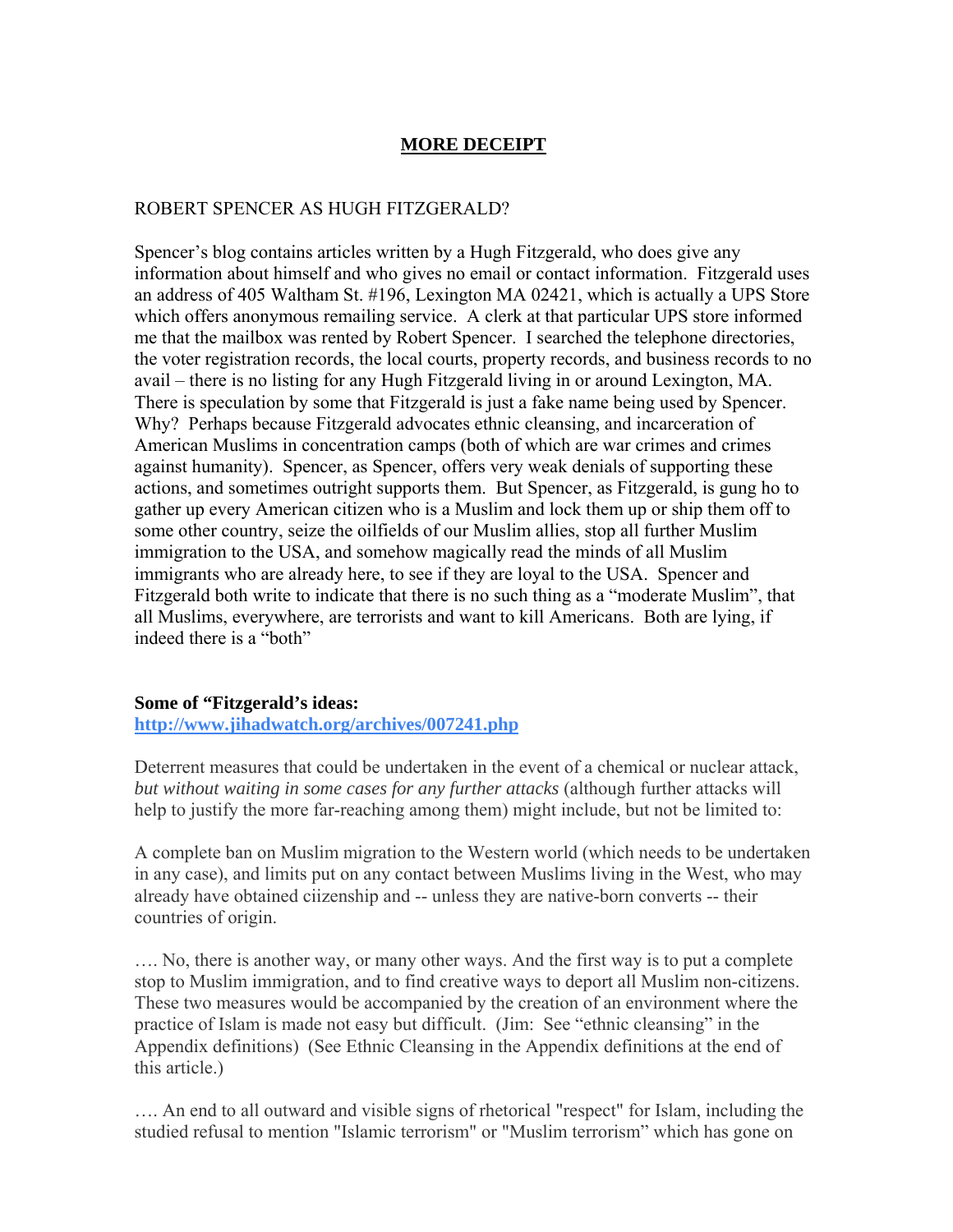### **MORE DECEIPT**

#### ROBERT SPENCER AS HUGH FITZGERALD?

Spencer's blog contains articles written by a Hugh Fitzgerald, who does give any information about himself and who gives no email or contact information. Fitzgerald uses an address of 405 Waltham St. #196, Lexington MA 02421, which is actually a UPS Store which offers anonymous remailing service. A clerk at that particular UPS store informed me that the mailbox was rented by Robert Spencer. I searched the telephone directories, the voter registration records, the local courts, property records, and business records to no avail – there is no listing for any Hugh Fitzgerald living in or around Lexington, MA. There is speculation by some that Fitzgerald is just a fake name being used by Spencer. Why? Perhaps because Fitzgerald advocates ethnic cleansing, and incarceration of American Muslims in concentration camps (both of which are war crimes and crimes against humanity). Spencer, as Spencer, offers very weak denials of supporting these actions, and sometimes outright supports them. But Spencer, as Fitzgerald, is gung ho to gather up every American citizen who is a Muslim and lock them up or ship them off to some other country, seize the oilfields of our Muslim allies, stop all further Muslim immigration to the USA, and somehow magically read the minds of all Muslim immigrants who are already here, to see if they are loyal to the USA. Spencer and Fitzgerald both write to indicate that there is no such thing as a "moderate Muslim", that all Muslims, everywhere, are terrorists and want to kill Americans. Both are lying, if indeed there is a "both"

#### **Some of "Fitzgerald's ideas:**

**<http://www.jihadwatch.org/archives/007241.php>** 

Deterrent measures that could be undertaken in the event of a chemical or nuclear attack, *but without waiting in some cases for any further attacks* (although further attacks will help to justify the more far-reaching among them) might include, but not be limited to:

A complete ban on Muslim migration to the Western world (which needs to be undertaken in any case), and limits put on any contact between Muslims living in the West, who may already have obtained ciizenship and -- unless they are native-born converts -- their countries of origin.

…. No, there is another way, or many other ways. And the first way is to put a complete stop to Muslim immigration, and to find creative ways to deport all Muslim non-citizens. These two measures would be accompanied by the creation of an environment where the practice of Islam is made not easy but difficult. (Jim: See "ethnic cleansing" in the Appendix definitions) (See Ethnic Cleansing in the Appendix definitions at the end of this article.)

…. An end to all outward and visible signs of rhetorical "respect" for Islam, including the studied refusal to mention "Islamic terrorism" or "Muslim terrorism" which has gone on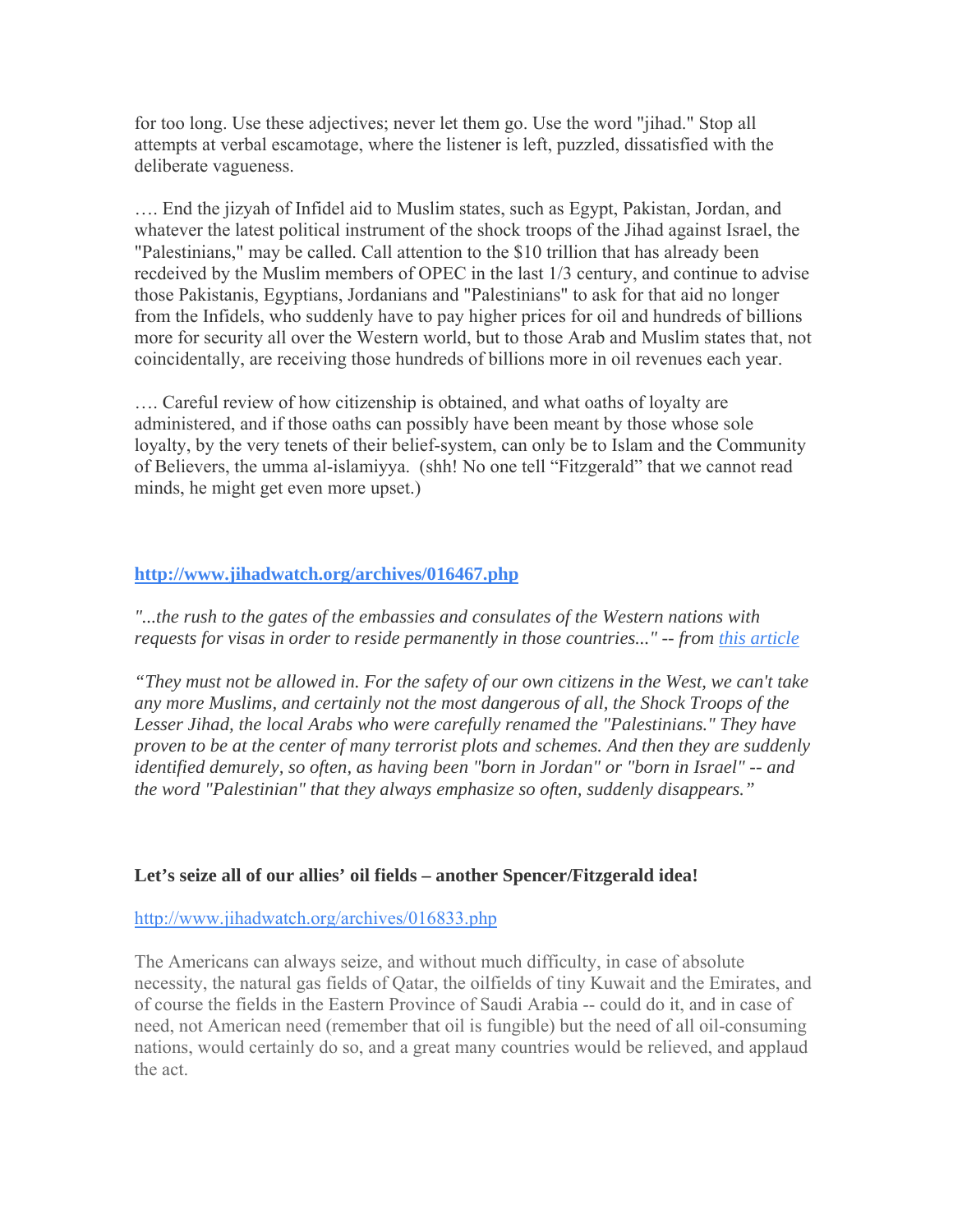for too long. Use these adjectives; never let them go. Use the word "jihad." Stop all attempts at verbal escamotage, where the listener is left, puzzled, dissatisfied with the deliberate vagueness.

…. End the jizyah of Infidel aid to Muslim states, such as Egypt, Pakistan, Jordan, and whatever the latest political instrument of the shock troops of the Jihad against Israel, the "Palestinians," may be called. Call attention to the \$10 trillion that has already been recdeived by the Muslim members of OPEC in the last 1/3 century, and continue to advise those Pakistanis, Egyptians, Jordanians and "Palestinians" to ask for that aid no longer from the Infidels, who suddenly have to pay higher prices for oil and hundreds of billions more for security all over the Western world, but to those Arab and Muslim states that, not coincidentally, are receiving those hundreds of billions more in oil revenues each year.

…. Careful review of how citizenship is obtained, and what oaths of loyalty are administered, and if those oaths can possibly have been meant by those whose sole loyalty, by the very tenets of their belief-system, can only be to Islam and the Community of Believers, the umma al-islamiyya. (shh! No one tell "Fitzgerald" that we cannot read minds, he might get even more upset.)

### **<http://www.jihadwatch.org/archives/016467.php>**

*"...the rush to the gates of the embassies and consulates of the Western nations with requests for visas in order to reside permanently in those countries..." -- from [this article](http://www.israelnationalnews.com/News/News.aspx/122455)* 

*"They must not be allowed in. For the safety of our own citizens in the West, we can't take any more Muslims, and certainly not the most dangerous of all, the Shock Troops of the Lesser Jihad, the local Arabs who were carefully renamed the "Palestinians." They have proven to be at the center of many terrorist plots and schemes. And then they are suddenly identified demurely, so often, as having been "born in Jordan" or "born in Israel" -- and the word "Palestinian" that they always emphasize so often, suddenly disappears."* 

### **Let's seize all of our allies' oil fields – another Spencer/Fitzgerald idea!**

#### <http://www.jihadwatch.org/archives/016833.php>

The Americans can always seize, and without much difficulty, in case of absolute necessity, the natural gas fields of Qatar, the oilfields of tiny Kuwait and the Emirates, and of course the fields in the Eastern Province of Saudi Arabia -- could do it, and in case of need, not American need (remember that oil is fungible) but the need of all oil-consuming nations, would certainly do so, and a great many countries would be relieved, and applaud the act.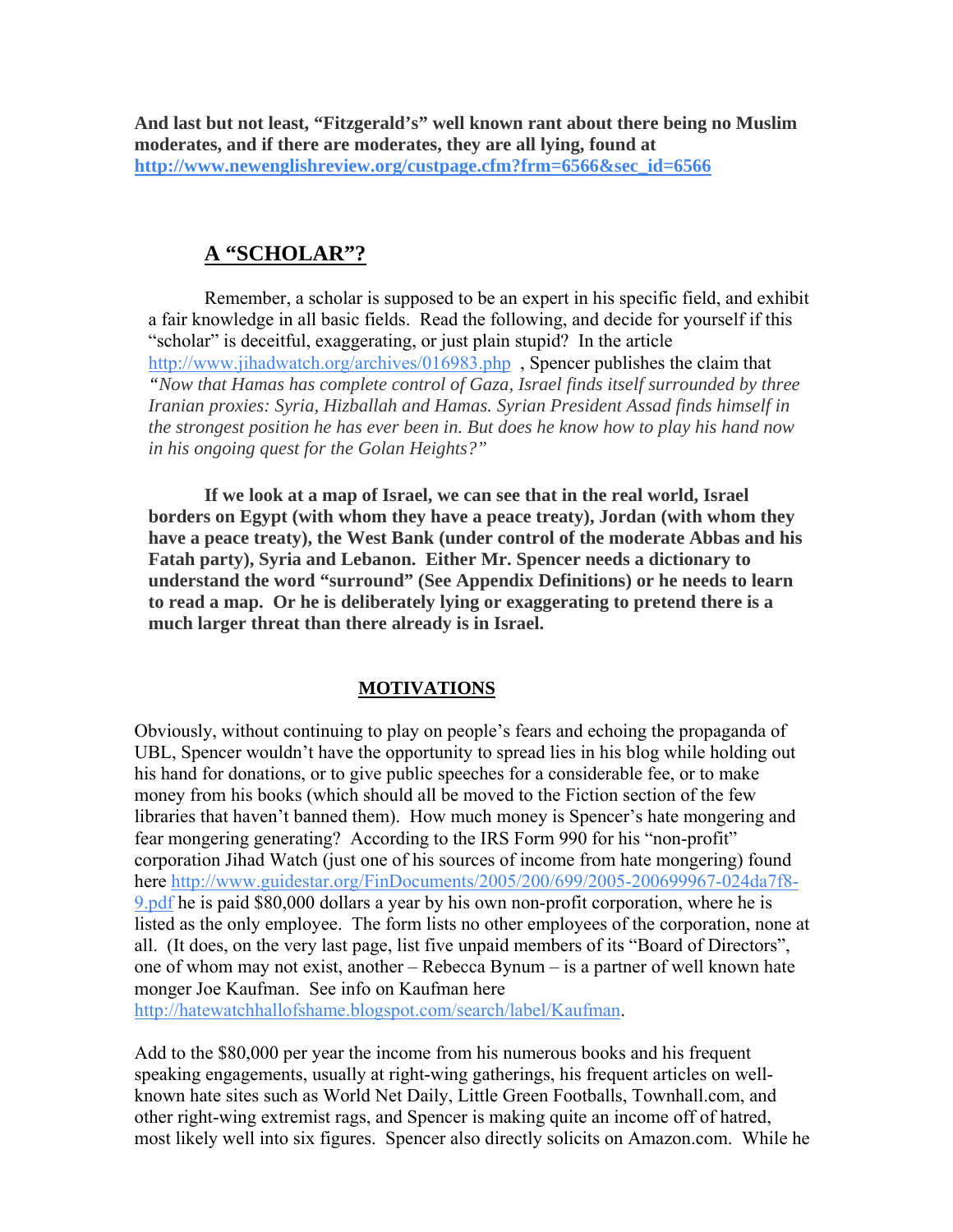**And last but not least, "Fitzgerald's" well known rant about there being no Muslim moderates, and if there are moderates, they are all lying, found at [http://www.newenglishreview.org/custpage.cfm?frm=6566&sec\\_id=6566](http://www.newenglishreview.org/custpage.cfm?frm=6566&sec_id=6566)** 

## **A "SCHOLAR"?**

Remember, a scholar is supposed to be an expert in his specific field, and exhibit a fair knowledge in all basic fields. Read the following, and decide for yourself if this "scholar" is deceitful, exaggerating, or just plain stupid? In the article <http://www.jihadwatch.org/archives/016983.php> , Spencer publishes the claim that *"Now that Hamas has complete control of Gaza, Israel finds itself surrounded by three Iranian proxies: Syria, Hizballah and Hamas. Syrian President Assad finds himself in the strongest position he has ever been in. But does he know how to play his hand now in his ongoing quest for the Golan Heights?"*

**If we look at a map of Israel, we can see that in the real world, Israel borders on Egypt (with whom they have a peace treaty), Jordan (with whom they have a peace treaty), the West Bank (under control of the moderate Abbas and his Fatah party), Syria and Lebanon. Either Mr. Spencer needs a dictionary to understand the word "surround" (See Appendix Definitions) or he needs to learn to read a map. Or he is deliberately lying or exaggerating to pretend there is a much larger threat than there already is in Israel.** 

### **MOTIVATIONS**

Obviously, without continuing to play on people's fears and echoing the propaganda of UBL, Spencer wouldn't have the opportunity to spread lies in his blog while holding out his hand for donations, or to give public speeches for a considerable fee, or to make money from his books (which should all be moved to the Fiction section of the few libraries that haven't banned them). How much money is Spencer's hate mongering and fear mongering generating? According to the IRS Form 990 for his "non-profit" corporation Jihad Watch (just one of his sources of income from hate mongering) found here [http://www.guidestar.org/FinDocuments/2005/200/699/2005-200699967-024da7f8-](http://www.guidestar.org/FinDocuments/2005/200/699/2005-200699967-024da7f8-9.pdf) [9.pdf](http://www.guidestar.org/FinDocuments/2005/200/699/2005-200699967-024da7f8-9.pdf) he is paid \$80,000 dollars a year by his own non-profit corporation, where he is listed as the only employee. The form lists no other employees of the corporation, none at all. (It does, on the very last page, list five unpaid members of its "Board of Directors", one of whom may not exist, another – Rebecca Bynum – is a partner of well known hate monger Joe Kaufman. See info on Kaufman here

[http://hatewatchhallofshame.blogspot.com/search/label/Kaufman.](http://hatewatchhallofshame.blogspot.com/search/label/Kaufman)

Add to the \$80,000 per year the income from his numerous books and his frequent speaking engagements, usually at right-wing gatherings, his frequent articles on wellknown hate sites such as World Net Daily, Little Green Footballs, Townhall.com, and other right-wing extremist rags, and Spencer is making quite an income off of hatred, most likely well into six figures. Spencer also directly solicits on Amazon.com. While he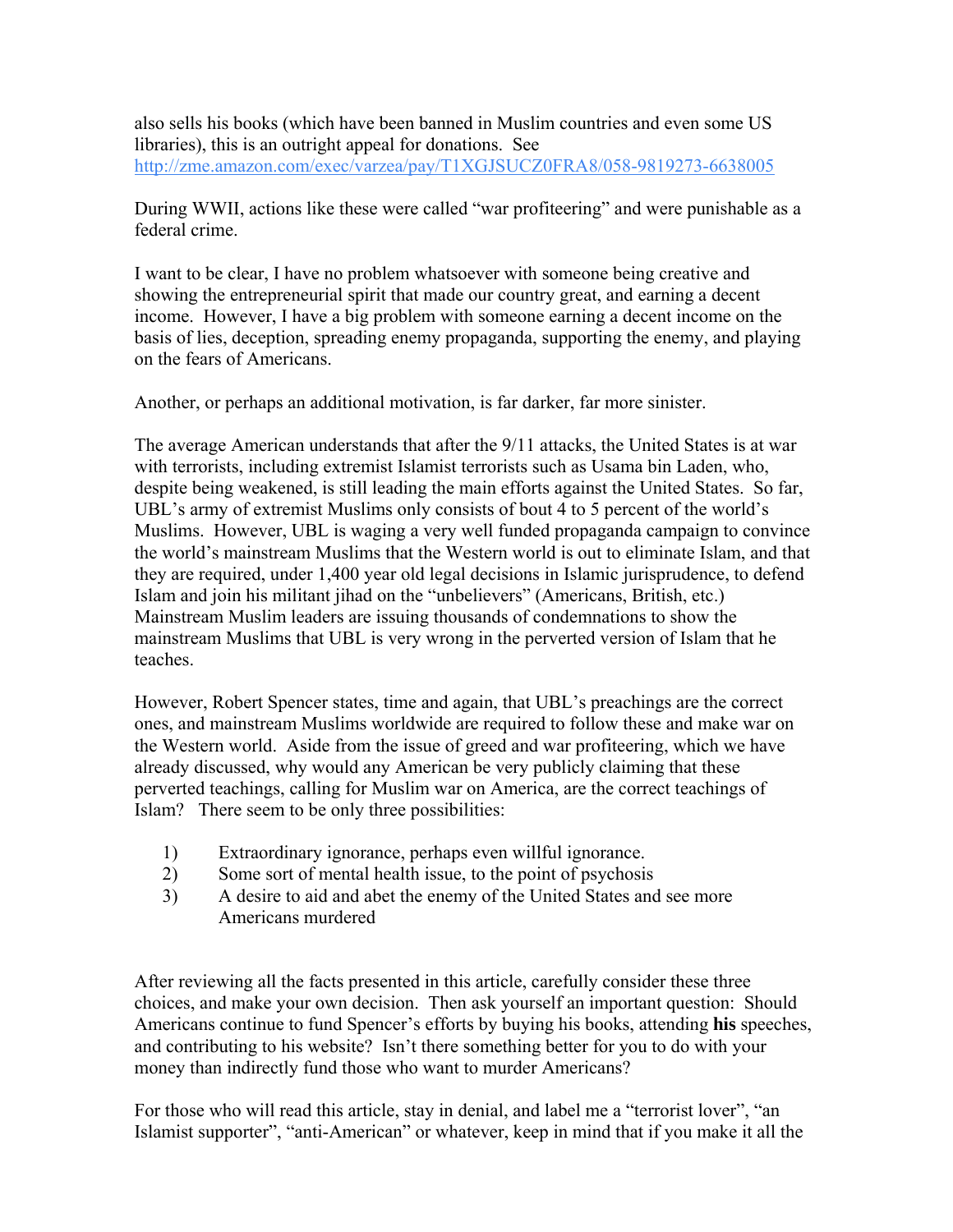also sells his books (which have been banned in Muslim countries and even some US libraries), this is an outright appeal for donations. See <http://zme.amazon.com/exec/varzea/pay/T1XGJSUCZ0FRA8/058-9819273-6638005>

During WWII, actions like these were called "war profiteering" and were punishable as a federal crime.

I want to be clear, I have no problem whatsoever with someone being creative and showing the entrepreneurial spirit that made our country great, and earning a decent income. However, I have a big problem with someone earning a decent income on the basis of lies, deception, spreading enemy propaganda, supporting the enemy, and playing on the fears of Americans.

Another, or perhaps an additional motivation, is far darker, far more sinister.

The average American understands that after the 9/11 attacks, the United States is at war with terrorists, including extremist Islamist terrorists such as Usama bin Laden, who, despite being weakened, is still leading the main efforts against the United States. So far, UBL's army of extremist Muslims only consists of bout 4 to 5 percent of the world's Muslims. However, UBL is waging a very well funded propaganda campaign to convince the world's mainstream Muslims that the Western world is out to eliminate Islam, and that they are required, under 1,400 year old legal decisions in Islamic jurisprudence, to defend Islam and join his militant jihad on the "unbelievers" (Americans, British, etc.) Mainstream Muslim leaders are issuing thousands of condemnations to show the mainstream Muslims that UBL is very wrong in the perverted version of Islam that he teaches.

However, Robert Spencer states, time and again, that UBL's preachings are the correct ones, and mainstream Muslims worldwide are required to follow these and make war on the Western world. Aside from the issue of greed and war profiteering, which we have already discussed, why would any American be very publicly claiming that these perverted teachings, calling for Muslim war on America, are the correct teachings of Islam? There seem to be only three possibilities:

- 1) Extraordinary ignorance, perhaps even willful ignorance.
- 2) Some sort of mental health issue, to the point of psychosis
- 3) A desire to aid and abet the enemy of the United States and see more Americans murdered

After reviewing all the facts presented in this article, carefully consider these three choices, and make your own decision. Then ask yourself an important question: Should Americans continue to fund Spencer's efforts by buying his books, attending **his** speeches, and contributing to his website? Isn't there something better for you to do with your money than indirectly fund those who want to murder Americans?

For those who will read this article, stay in denial, and label me a "terrorist lover", "an Islamist supporter", "anti-American" or whatever, keep in mind that if you make it all the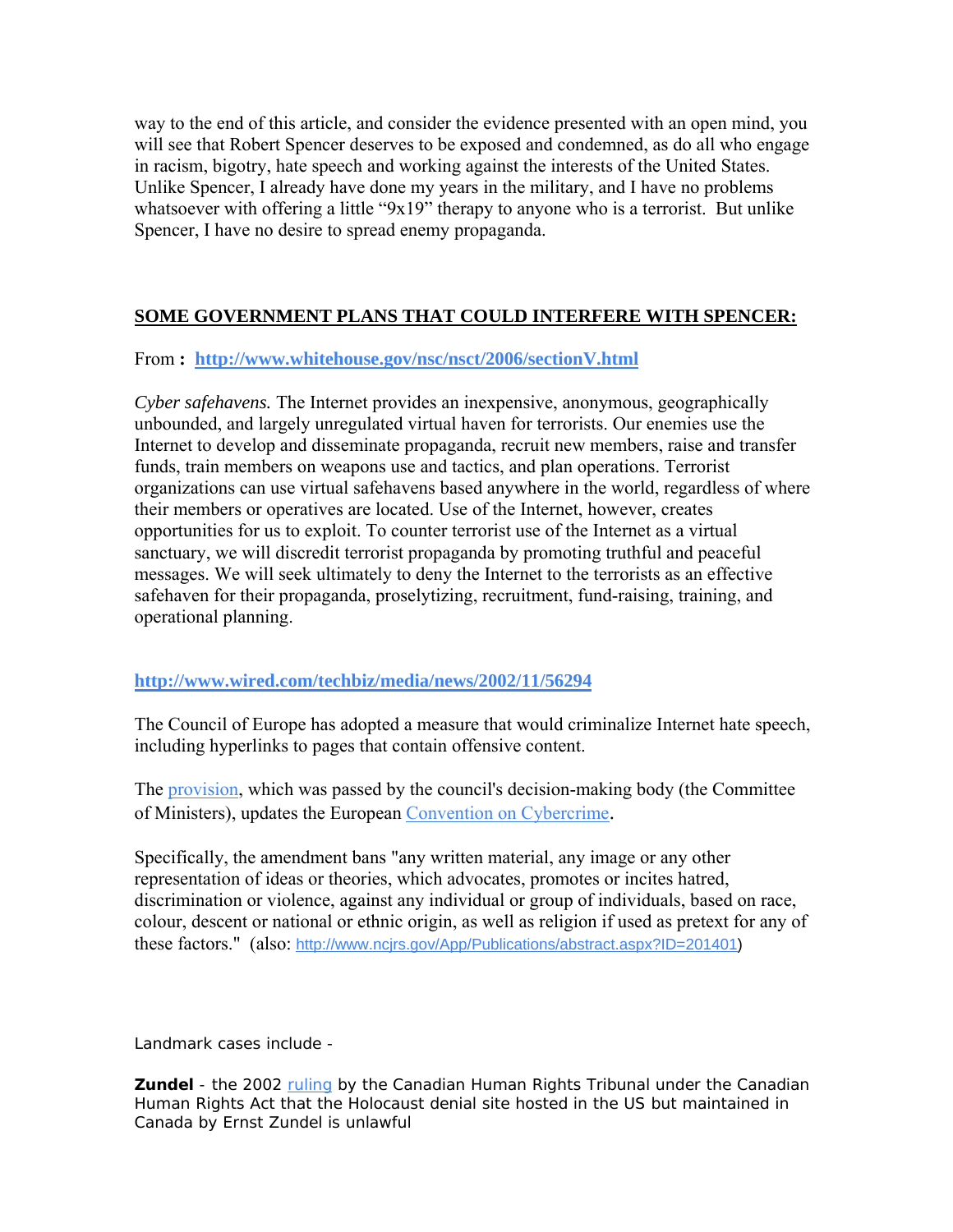way to the end of this article, and consider the evidence presented with an open mind, you will see that Robert Spencer deserves to be exposed and condemned, as do all who engage in racism, bigotry, hate speech and working against the interests of the United States. Unlike Spencer, I already have done my years in the military, and I have no problems whatsoever with offering a little "9x19" therapy to anyone who is a terrorist. But unlike Spencer, I have no desire to spread enemy propaganda.

### **SOME GOVERNMENT PLANS THAT COULD INTERFERE WITH SPENCER:**

### From **: <http://www.whitehouse.gov/nsc/nsct/2006/sectionV.html>**

*Cyber safehavens.* The Internet provides an inexpensive, anonymous, geographically unbounded, and largely unregulated virtual haven for terrorists. Our enemies use the Internet to develop and disseminate propaganda, recruit new members, raise and transfer funds, train members on weapons use and tactics, and plan operations. Terrorist organizations can use virtual safehavens based anywhere in the world, regardless of where their members or operatives are located. Use of the Internet, however, creates opportunities for us to exploit. To counter terrorist use of the Internet as a virtual sanctuary, we will discredit terrorist propaganda by promoting truthful and peaceful messages. We will seek ultimately to deny the Internet to the terrorists as an effective safehaven for their propaganda, proselytizing, recruitment, fund-raising, training, and operational planning.

### **<http://www.wired.com/techbiz/media/news/2002/11/56294>**

The Council of Europe has adopted a measure that would criminalize Internet hate speech, including hyperlinks to pages that contain offensive content.

The [provision](http://www.coe.int/T/E/Communication_and_Research/Press/Events/3.-Committee_of_ministers_Sessions/2002-11_Strasbourg/CP_554.asp#TopOfPage), which was passed by the council's decision-making body (the Committee of Ministers), updates the European [Convention on Cybercrime.](http://conventions.coe.int/Treaty/EN/CadreListeTraites.htm)

Specifically, the amendment bans "any written material, any image or any other representation of ideas or theories, which advocates, promotes or incites hatred, discrimination or violence, against any individual or group of individuals, based on race, colour, descent or national or ethnic origin, as well as religion if used as pretext for any of these factors." (also: [http://www.ncjrs.gov/App/Publications/abstract.aspx?ID=201401\)](http://www.ncjrs.gov/App/Publications/abstract.aspx?ID=201401)

Landmark cases include -

**Zundel** - the 2002 [ruling](http://www.chrt-tcdp.gc.ca/decisions/docs/citron-e.htm) by the Canadian Human Rights Tribunal under the Canadian Human Rights Act that the Holocaust denial site hosted in the US but maintained in Canada by Ernst Zundel is unlawful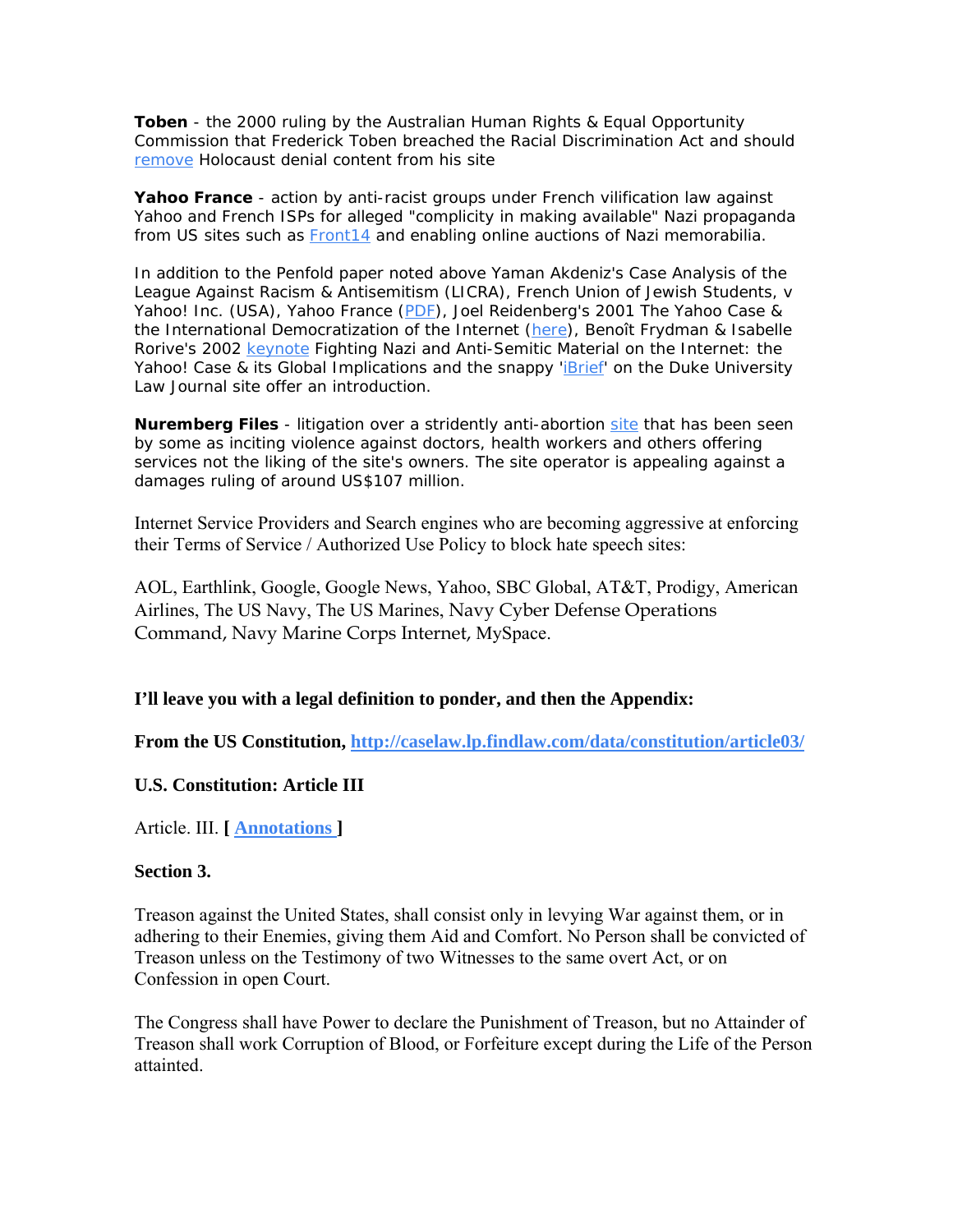**Toben** - the 2000 ruling by the Australian Human Rights & Equal Opportunity Commission that Frederick Toben breached the Racial Discrimination Act and should [remove](http://www.hreoc.gov.au/media_releases/2000/00_33.html) Holocaust denial content from his site

**Yahoo France** - action by anti-racist groups under French vilification law against Yahoo and French ISPs for alleged "complicity in making available" Nazi propaganda from US sites such as **Front14** and enabling online auctions of Nazi memorabilia.

In addition to the Penfold paper noted above Yaman Akdeniz's *Case Analysis of the League Against Racism & Antisemitism (LICRA), French Union of Jewish Students, v Yahoo! Inc. (USA), Yahoo France* [\(PDF\)](http://www.cyber-rights.org/documents/yahoo_ya.pdf), Joel Reidenberg's 2001 *The Yahoo Case & the International Democratization of the Internet* ([here](http://papers.ssrn.com/sol3/papers.cfm?abstract_id=267148)), Benoît Frydman & Isabelle Rorive's 2002 [keynote](http://pcmlp.socleg.ox.ac.uk/YahooConference/) *Fighting Nazi and Anti-Semitic Material on the Internet: the Yahoo! Case & its Global Implications* and the snappy '*[iBrief](http://www.law.duke.edu/journals/dltr/articles/2001dltr0012.html)'* on the *Duke University Law Journal* site offer an introduction.

**Nuremberg Files** - litigation over a stridently anti-abortion [site](http://www.ru486registry.com/atrocity/) that has been seen by some as inciting violence against doctors, health workers and others offering services not the liking of the site's owners. The site operator is appealing against a damages ruling of around US\$107 million.

Internet Service Providers and Search engines who are becoming aggressive at enforcing their Terms of Service / Authorized Use Policy to block hate speech sites:

AOL, Earthlink, Google, Google News, Yahoo, SBC Global, AT&T, Prodigy, American Airlines, The US Navy, The US Marines, Navy Cyber Defense Operations Command, Navy Marine Corps Internet, MySpace.

**I'll leave you with a legal definition to ponder, and then the Appendix:** 

**From the US Constitution,<http://caselaw.lp.findlaw.com/data/constitution/article03/>** 

#### **U.S. Constitution: Article III**

Article. III. **[ [Annotations](http://caselaw.lp.findlaw.com/data/constitution/article03/article3/) ]** 

#### **Section 3.**

Treason against the United States, shall consist only in levying War against them, or in adhering to their Enemies, giving them Aid and Comfort. No Person shall be convicted of Treason unless on the Testimony of two Witnesses to the same overt Act, or on Confession in open Court.

The Congress shall have Power to declare the Punishment of Treason, but no Attainder of Treason shall work Corruption of Blood, or Forfeiture except during the Life of the Person attainted.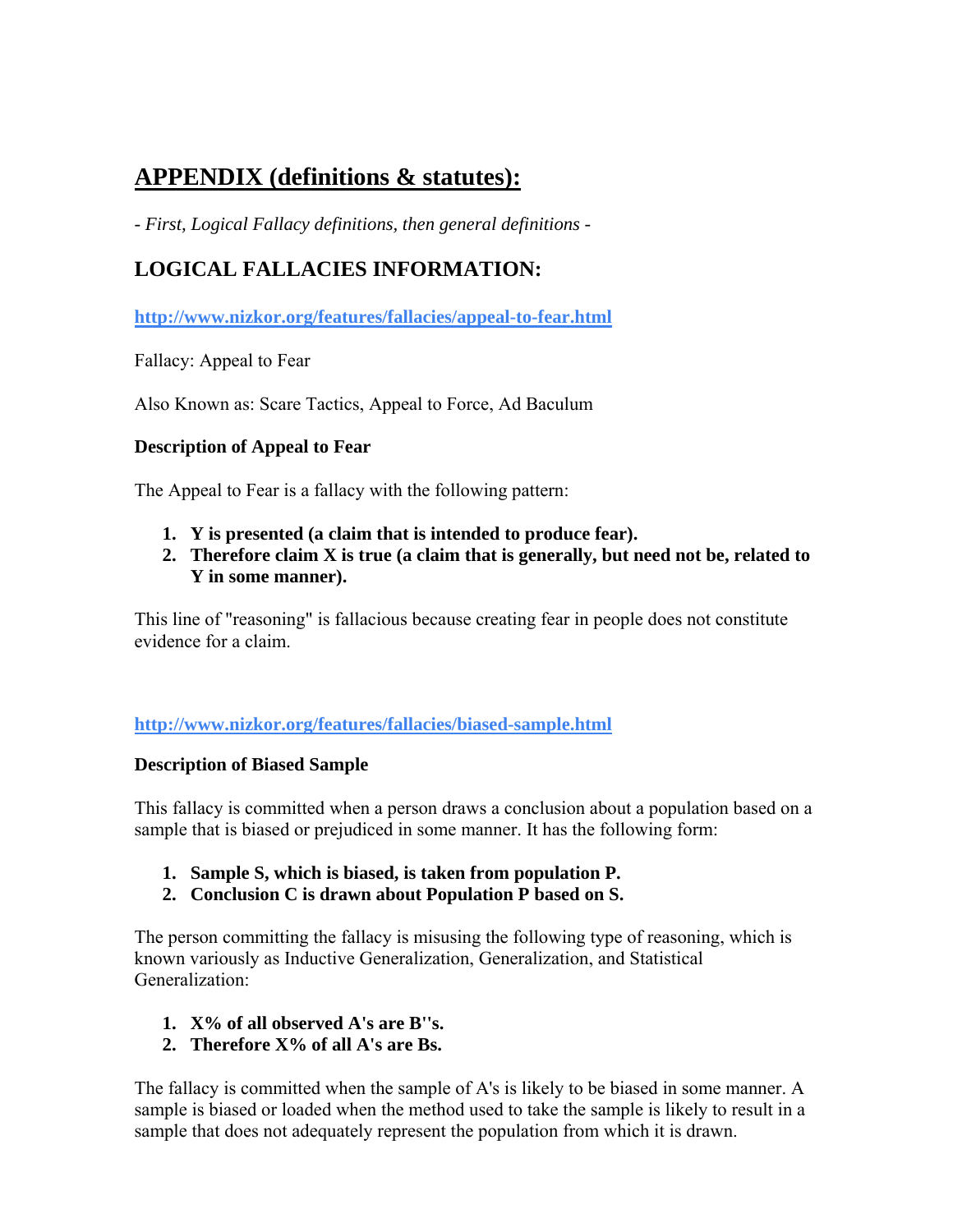# **APPENDIX (definitions & statutes):**

*- First, Logical Fallacy definitions, then general definitions -* 

# **LOGICAL FALLACIES INFORMATION:**

**<http://www.nizkor.org/features/fallacies/appeal-to-fear.html>** 

Fallacy: Appeal to Fear

Also Known as: Scare Tactics, Appeal to Force, Ad Baculum

### **Description of Appeal to Fear**

The Appeal to Fear is a fallacy with the following pattern:

- **1. Y is presented (a claim that is intended to produce fear).**
- **2. Therefore claim X is true (a claim that is generally, but need not be, related to Y in some manner).**

This line of "reasoning" is fallacious because creating fear in people does not constitute evidence for a claim.

**<http://www.nizkor.org/features/fallacies/biased-sample.html>** 

### **Description of Biased Sample**

This fallacy is committed when a person draws a conclusion about a population based on a sample that is biased or prejudiced in some manner. It has the following form:

- **1. Sample S, which is biased, is taken from population P.**
- **2. Conclusion C is drawn about Population P based on S.**

The person committing the fallacy is misusing the following type of reasoning, which is known variously as Inductive Generalization, Generalization, and Statistical Generalization:

- **1. X% of all observed A's are B''s.**
- **2. Therefore X% of all A's are Bs.**

The fallacy is committed when the sample of A's is likely to be biased in some manner. A sample is biased or loaded when the method used to take the sample is likely to result in a sample that does not adequately represent the population from which it is drawn.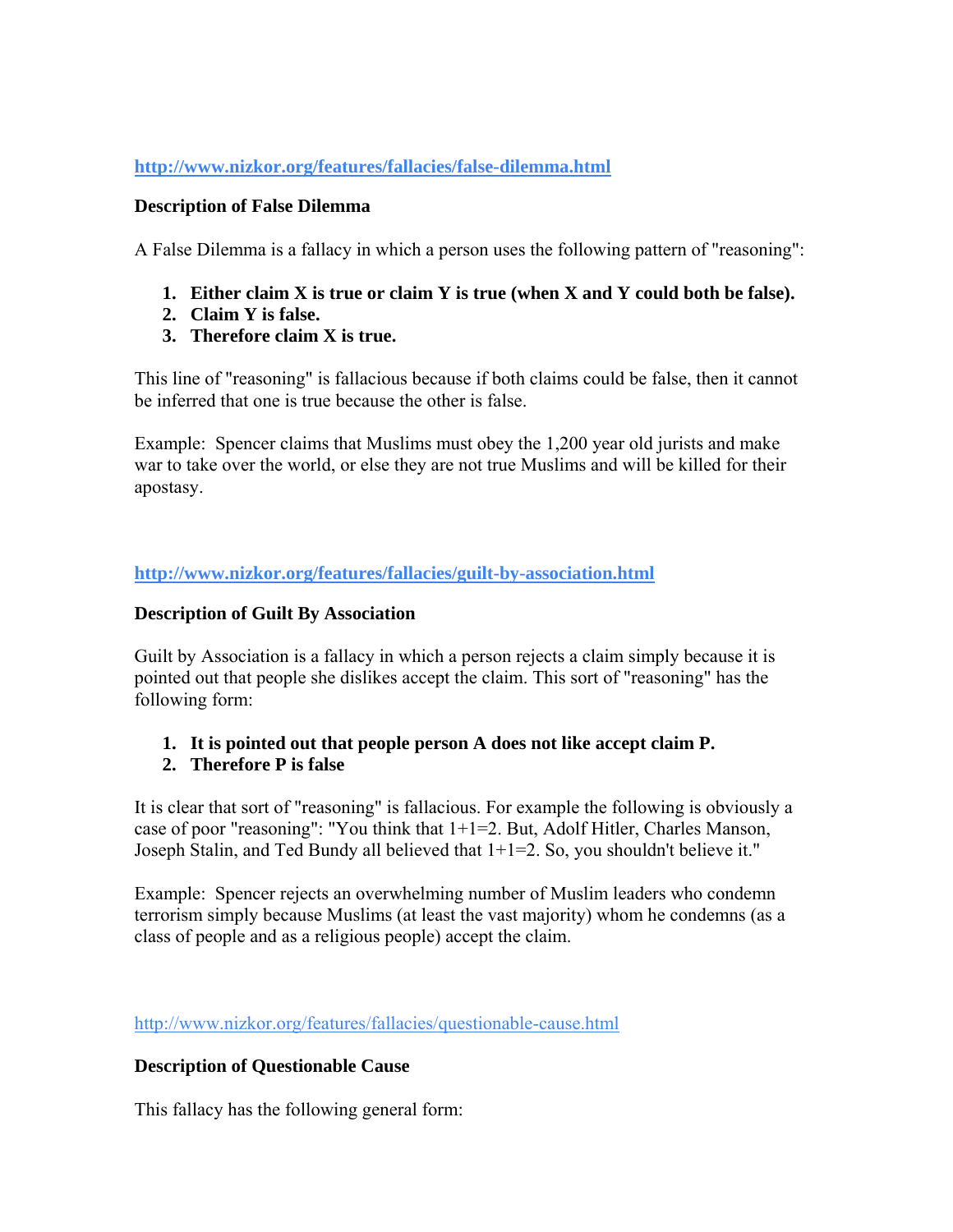### **<http://www.nizkor.org/features/fallacies/false-dilemma.html>**

### **Description of False Dilemma**

A False Dilemma is a fallacy in which a person uses the following pattern of "reasoning":

- **1. Either claim X is true or claim Y is true (when X and Y could both be false).**
- **2. Claim Y is false.**
- **3. Therefore claim X is true.**

This line of "reasoning" is fallacious because if both claims could be false, then it cannot be inferred that one is true because the other is false.

Example: Spencer claims that Muslims must obey the 1,200 year old jurists and make war to take over the world, or else they are not true Muslims and will be killed for their apostasy.

**<http://www.nizkor.org/features/fallacies/guilt-by-association.html>**

### **Description of Guilt By Association**

Guilt by Association is a fallacy in which a person rejects a claim simply because it is pointed out that people she dislikes accept the claim. This sort of "reasoning" has the following form:

**1. It is pointed out that people person A does not like accept claim P.** 

### **2. Therefore P is false**

It is clear that sort of "reasoning" is fallacious. For example the following is obviously a case of poor "reasoning": "You think that 1+1=2. But, Adolf Hitler, Charles Manson, Joseph Stalin, and Ted Bundy all believed that 1+1=2. So, you shouldn't believe it."

Example: Spencer rejects an overwhelming number of Muslim leaders who condemn terrorism simply because Muslims (at least the vast majority) whom he condemns (as a class of people and as a religious people) accept the claim.

<http://www.nizkor.org/features/fallacies/questionable-cause.html>

### **Description of Questionable Cause**

This fallacy has the following general form: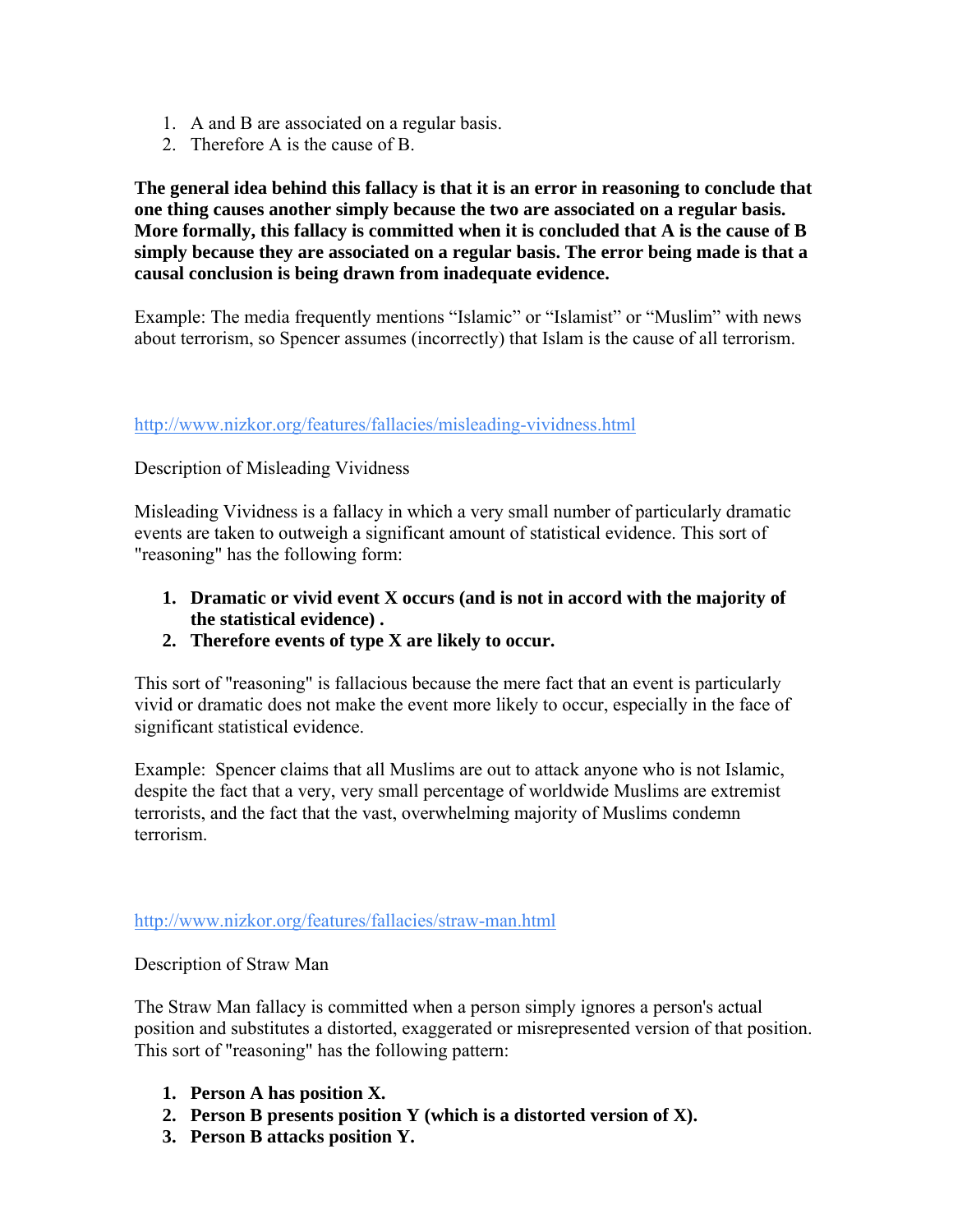- 1. A and B are associated on a regular basis.
- 2. Therefore A is the cause of B.

**The general idea behind this fallacy is that it is an error in reasoning to conclude that one thing causes another simply because the two are associated on a regular basis. More formally, this fallacy is committed when it is concluded that A is the cause of B simply because they are associated on a regular basis. The error being made is that a causal conclusion is being drawn from inadequate evidence.** 

Example: The media frequently mentions "Islamic" or "Islamist" or "Muslim" with news about terrorism, so Spencer assumes (incorrectly) that Islam is the cause of all terrorism.

### <http://www.nizkor.org/features/fallacies/misleading-vividness.html>

### Description of Misleading Vividness

Misleading Vividness is a fallacy in which a very small number of particularly dramatic events are taken to outweigh a significant amount of statistical evidence. This sort of "reasoning" has the following form:

- **1. Dramatic or vivid event X occurs (and is not in accord with the majority of the statistical evidence) .**
- **2. Therefore events of type X are likely to occur.**

This sort of "reasoning" is fallacious because the mere fact that an event is particularly vivid or dramatic does not make the event more likely to occur, especially in the face of significant statistical evidence.

Example: Spencer claims that all Muslims are out to attack anyone who is not Islamic, despite the fact that a very, very small percentage of worldwide Muslims are extremist terrorists, and the fact that the vast, overwhelming majority of Muslims condemn terrorism.

<http://www.nizkor.org/features/fallacies/straw-man.html>

### Description of Straw Man

The Straw Man fallacy is committed when a person simply ignores a person's actual position and substitutes a distorted, exaggerated or misrepresented version of that position. This sort of "reasoning" has the following pattern:

- **1. Person A has position X.**
- **2. Person B presents position Y (which is a distorted version of X).**
- **3. Person B attacks position Y.**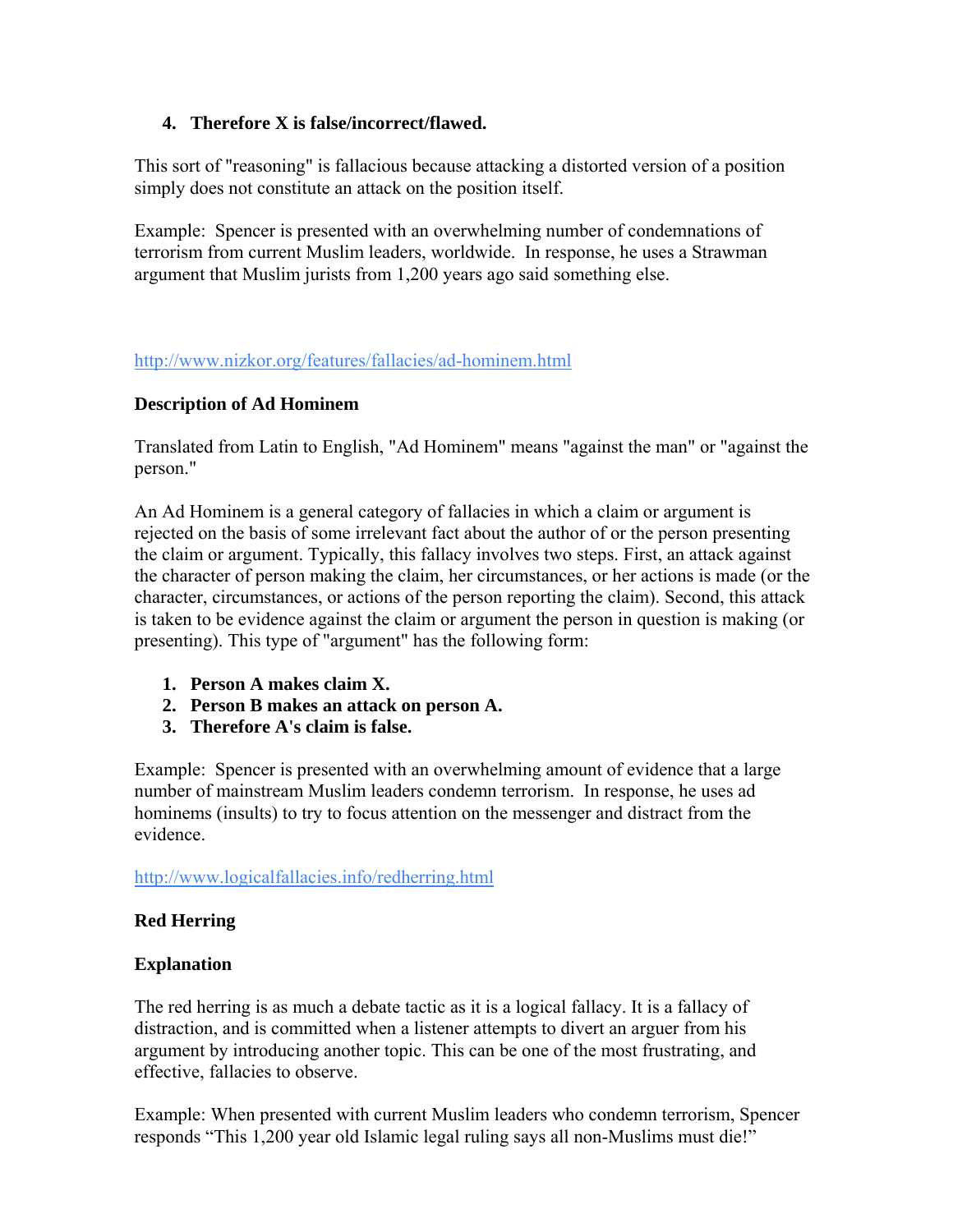### **4. Therefore X is false/incorrect/flawed.**

This sort of "reasoning" is fallacious because attacking a distorted version of a position simply does not constitute an attack on the position itself.

Example: Spencer is presented with an overwhelming number of condemnations of terrorism from current Muslim leaders, worldwide. In response, he uses a Strawman argument that Muslim jurists from 1,200 years ago said something else.

### <http://www.nizkor.org/features/fallacies/ad-hominem.html>

### **Description of Ad Hominem**

Translated from Latin to English, "Ad Hominem" means "against the man" or "against the person."

An Ad Hominem is a general category of fallacies in which a claim or argument is rejected on the basis of some irrelevant fact about the author of or the person presenting the claim or argument. Typically, this fallacy involves two steps. First, an attack against the character of person making the claim, her circumstances, or her actions is made (or the character, circumstances, or actions of the person reporting the claim). Second, this attack is taken to be evidence against the claim or argument the person in question is making (or presenting). This type of "argument" has the following form:

- **1. Person A makes claim X.**
- **2. Person B makes an attack on person A.**
- **3. Therefore A's claim is false.**

Example: Spencer is presented with an overwhelming amount of evidence that a large number of mainstream Muslim leaders condemn terrorism. In response, he uses ad hominems (insults) to try to focus attention on the messenger and distract from the evidence.

<http://www.logicalfallacies.info/redherring.html>

### **Red Herring**

### **Explanation**

The red herring is as much a debate tactic as it is a logical fallacy. It is a fallacy of distraction, and is committed when a listener attempts to divert an arguer from his argument by introducing another topic. This can be one of the most frustrating, and effective, fallacies to observe.

Example: When presented with current Muslim leaders who condemn terrorism, Spencer responds "This 1,200 year old Islamic legal ruling says all non-Muslims must die!"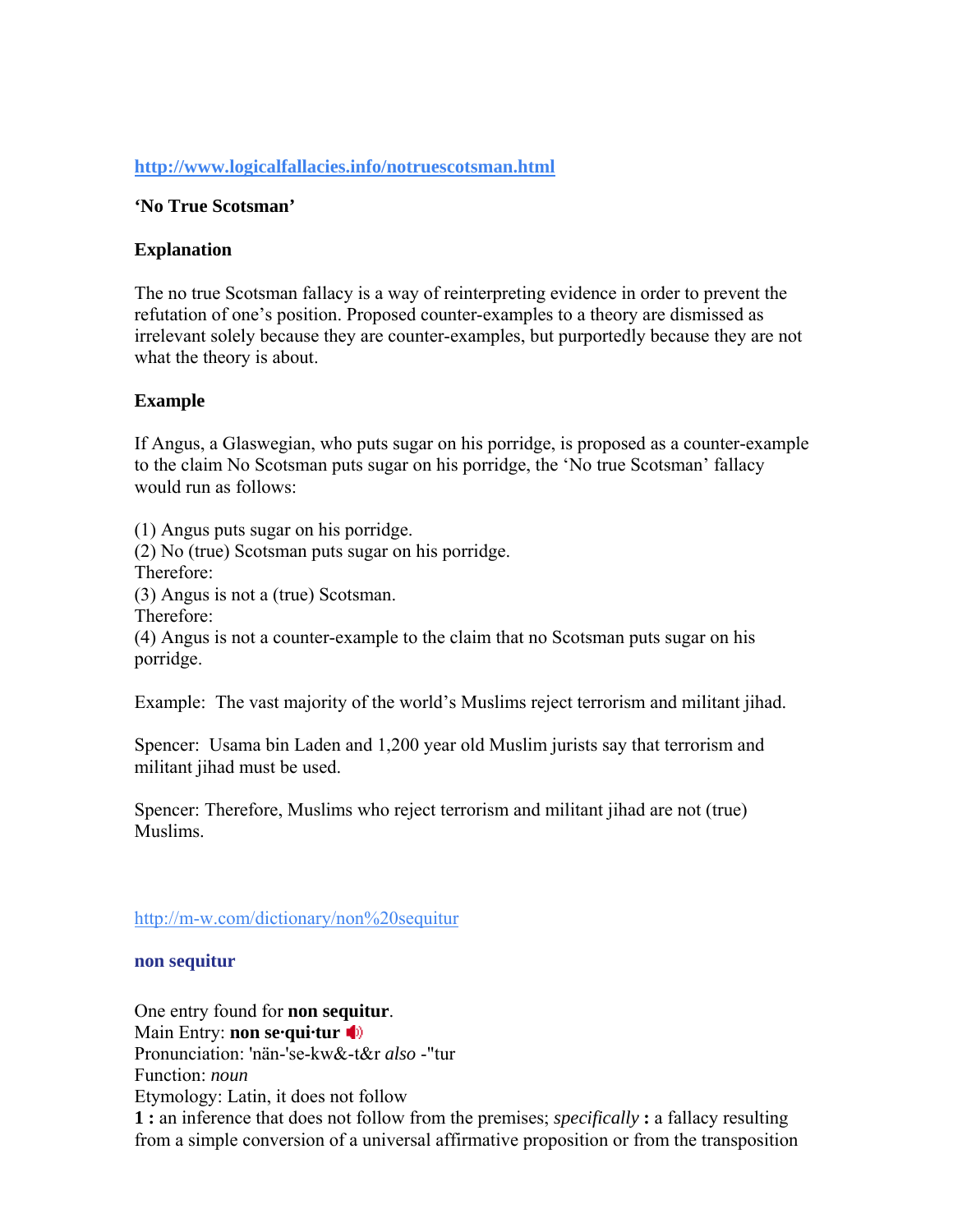### **<http://www.logicalfallacies.info/notruescotsman.html>**

### **'No True Scotsman'**

#### **Explanation**

The no true Scotsman fallacy is a way of reinterpreting evidence in order to prevent the refutation of one's position. Proposed counter-examples to a theory are dismissed as irrelevant solely because they are counter-examples, but purportedly because they are not what the theory is about.

### **Example**

If Angus, a Glaswegian, who puts sugar on his porridge, is proposed as a counter-example to the claim No Scotsman puts sugar on his porridge, the 'No true Scotsman' fallacy would run as follows:

(1) Angus puts sugar on his porridge.

(2) No (true) Scotsman puts sugar on his porridge.

Therefore:

(3) Angus is not a (true) Scotsman.

Therefore:

(4) Angus is not a counter-example to the claim that no Scotsman puts sugar on his porridge.

Example: The vast majority of the world's Muslims reject terrorism and militant jihad.

Spencer: Usama bin Laden and 1,200 year old Muslim jurists say that terrorism and militant jihad must be used.

Spencer: Therefore, Muslims who reject terrorism and militant jihad are not (true) Muslims.

<http://m-w.com/dictionary/non%20sequitur>

#### **non sequitur**

One entry found for **non se[quit](javascript:popWin()ur**. Main Entry: **non sequitur** Pronunciation: 'nän-'se-kw&-t&r *also* -"tur Function: *noun* Etymology: Latin, it does not follow **1 :** an inference that does not follow from the premises; *specifically* **:** a fallacy resulting from a simple conversion of a universal affirmative proposition or from the transposition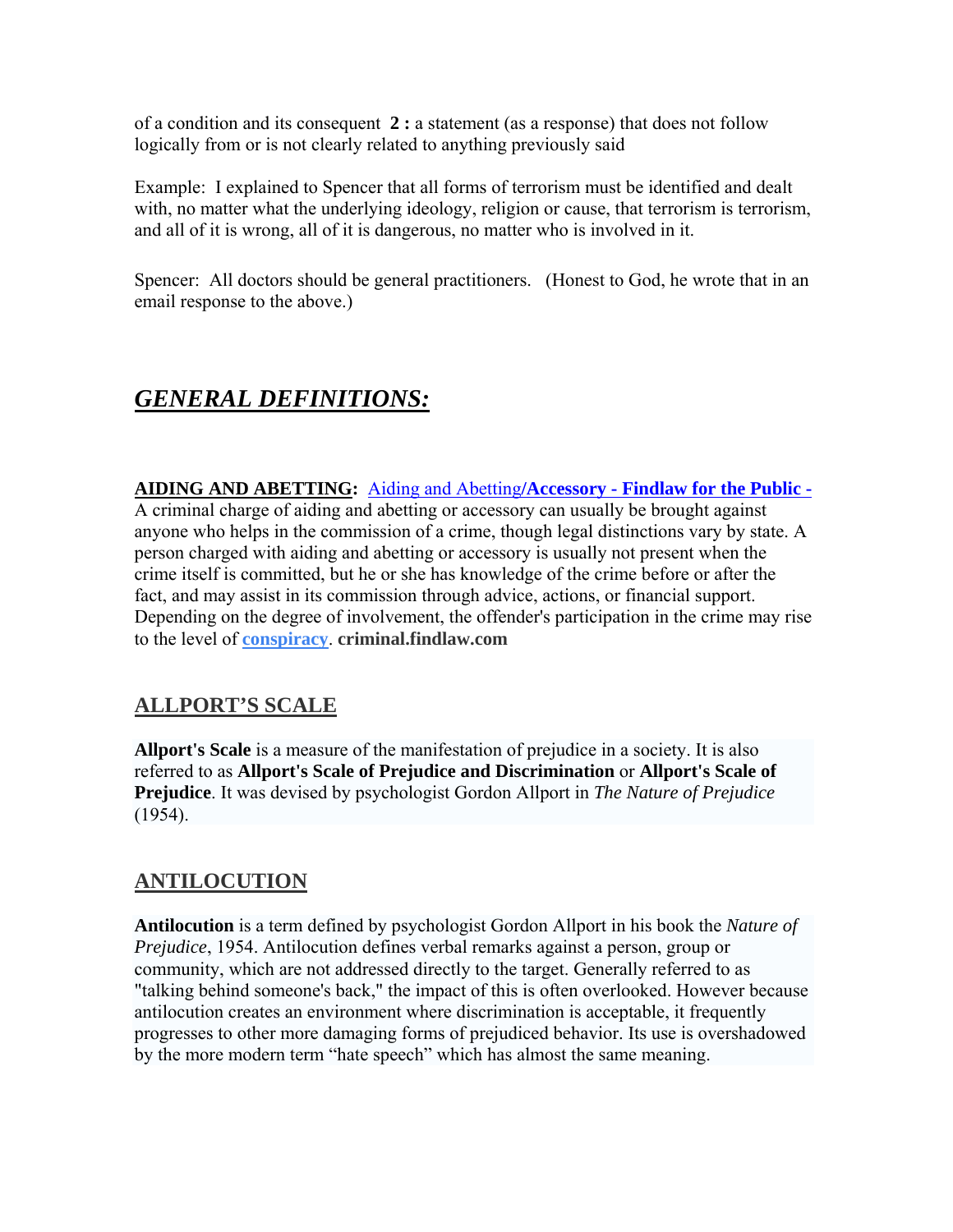of a condition and its consequent **2 :** a statement (as a response) that does not follow logically from or is not clearly related to anything previously said

Example: I explained to Spencer that all forms of terrorism must be identified and dealt with, no matter what the underlying ideology, religion or cause, that terrorism is terrorism, and all of it is wrong, all of it is dangerous, no matter who is involved in it.

Spencer: All doctors should be general practitioners. (Honest to God, he wrote that in an email response to the above.)

# *GENERAL DEFINITIONS:*

### **AIDING AND ABETTING:** Aiding and Abetting**[/Accessory - Findlaw for the Public -](http://criminal.findlaw.com/crimes/a-z/aiding_abetting_accessory.html)**

A criminal charge of aiding and abetting or accessory can usually be brought against anyone who helps in the commission of a crime, though legal distinctions vary by state. A person charged with aiding and abetting or accessory is usually not present when the crime itself is committed, but he or she has knowledge of the crime before or after the fact, and may assist in its commission through advice, actions, or financial support. Depending on the degree of involvement, the offender's participation in the crime may rise to the level of **[conspiracy](http://criminal.findlaw.com/crimes/a-z/conspiracy.html)**. **criminal.findlaw.com** 

## **ALLPORT'S SCALE**

**Allport's Scale** is a measure of the manifestation of prejudice in a society. It is also referred to as **Allport's Scale of Prejudice and Discrimination** or **Allport's Scale of Prejudice**. It was devised by psychologist Gordon Allport in *The Nature of Prejudice* (1954).

## **ANTILOCUTION**

**Antilocution** is a term defined by psychologist Gordon Allport in his book the *Nature of Prejudice*, 1954. Antilocution defines verbal remarks against a person, group or community, which are not addressed directly to the target. Generally referred to as "talking behind someone's back," the impact of this is often overlooked. However because antilocution creates an environment where discrimination is acceptable, it frequently progresses to other more damaging forms of prejudiced behavior. Its use is overshadowed by the more modern term "hate speech" which has almost the same meaning.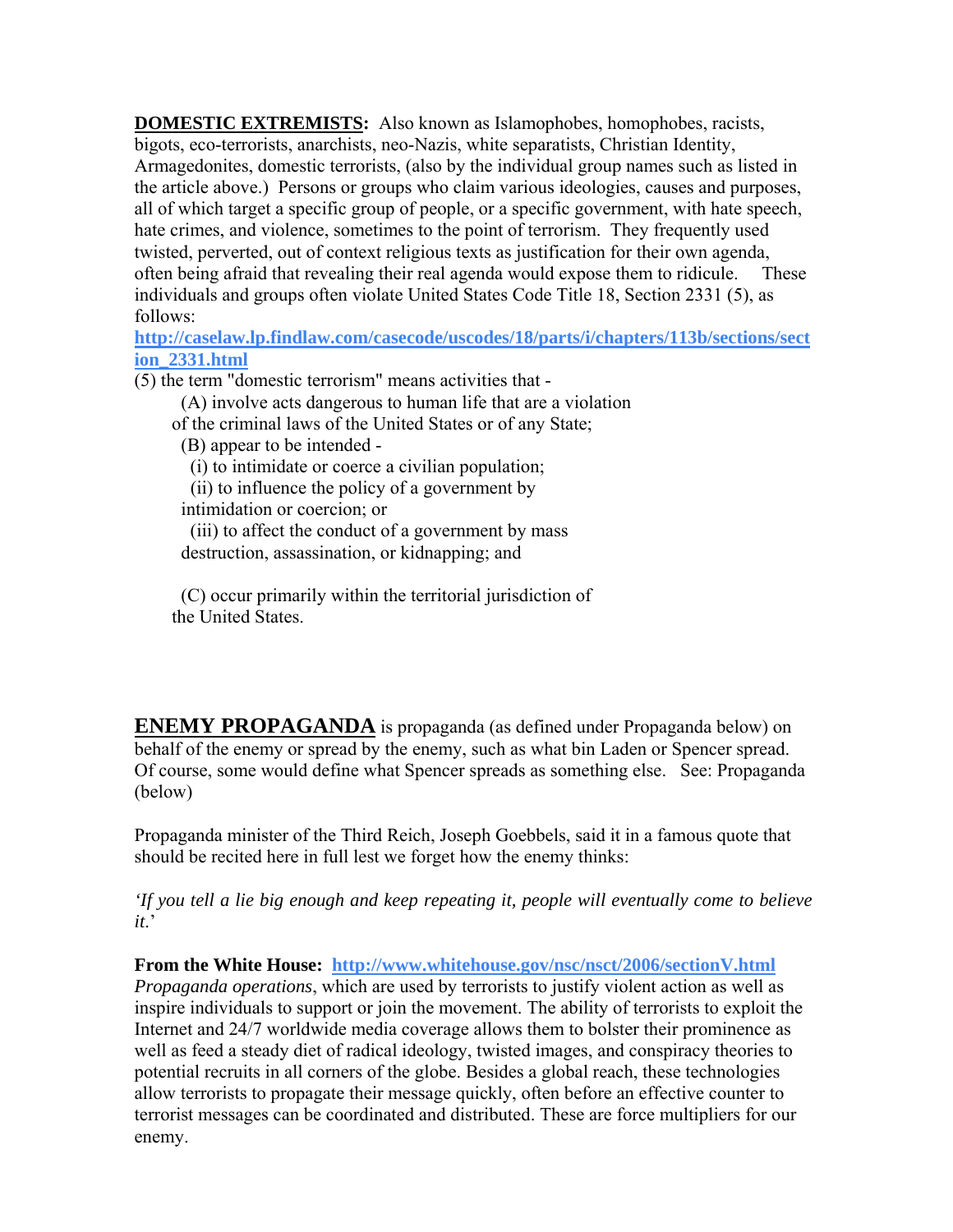**DOMESTIC EXTREMISTS:** Also known as Islamophobes, homophobes, racists, bigots, eco-terrorists, anarchists, neo-Nazis, white separatists, Christian Identity, Armagedonites, domestic terrorists, (also by the individual group names such as listed in the article above.) Persons or groups who claim various ideologies, causes and purposes, all of which target a specific group of people, or a specific government, with hate speech, hate crimes, and violence, sometimes to the point of terrorism. They frequently used twisted, perverted, out of context religious texts as justification for their own agenda, often being afraid that revealing their real agenda would expose them to ridicule. These individuals and groups often violate United States Code Title 18, Section 2331 (5), as follows:

**[http://caselaw.lp.findlaw.com/casecode/uscodes/18/parts/i/chapters/113b/sections/sect](http://caselaw.lp.findlaw.com/casecode/uscodes/18/parts/i/chapters/113b/sections/section_2331.html) [ion\\_2331.html](http://caselaw.lp.findlaw.com/casecode/uscodes/18/parts/i/chapters/113b/sections/section_2331.html)**

(5) the term "domestic terrorism" means activities that -

(A) involve acts dangerous to human life that are a violation

of the criminal laws of the United States or of any State;

(B) appear to be intended -

(i) to intimidate or coerce a civilian population;

(ii) to influence the policy of a government by

intimidation or coercion; or

 (iii) to affect the conduct of a government by mass destruction, assassination, or kidnapping; and

 (C) occur primarily within the territorial jurisdiction of the United States.

**ENEMY PROPAGANDA** is propaganda (as defined under Propaganda below) on behalf of the enemy or spread by the enemy, such as what bin Laden or Spencer spread. Of course, some would define what Spencer spreads as something else. See: Propaganda (below)

Propaganda minister of the Third Reich, Joseph Goebbels, said it in a famous quote that should be recited here in full lest we forget how the enemy thinks:

*'If you tell a lie big enough and keep repeating it, people will eventually come to believe it*.'

**From the White House: <http://www.whitehouse.gov/nsc/nsct/2006/sectionV.html>** 

*Propaganda operations*, which are used by terrorists to justify violent action as well as inspire individuals to support or join the movement. The ability of terrorists to exploit the Internet and 24/7 worldwide media coverage allows them to bolster their prominence as well as feed a steady diet of radical ideology, twisted images, and conspiracy theories to potential recruits in all corners of the globe. Besides a global reach, these technologies allow terrorists to propagate their message quickly, often before an effective counter to terrorist messages can be coordinated and distributed. These are force multipliers for our enemy.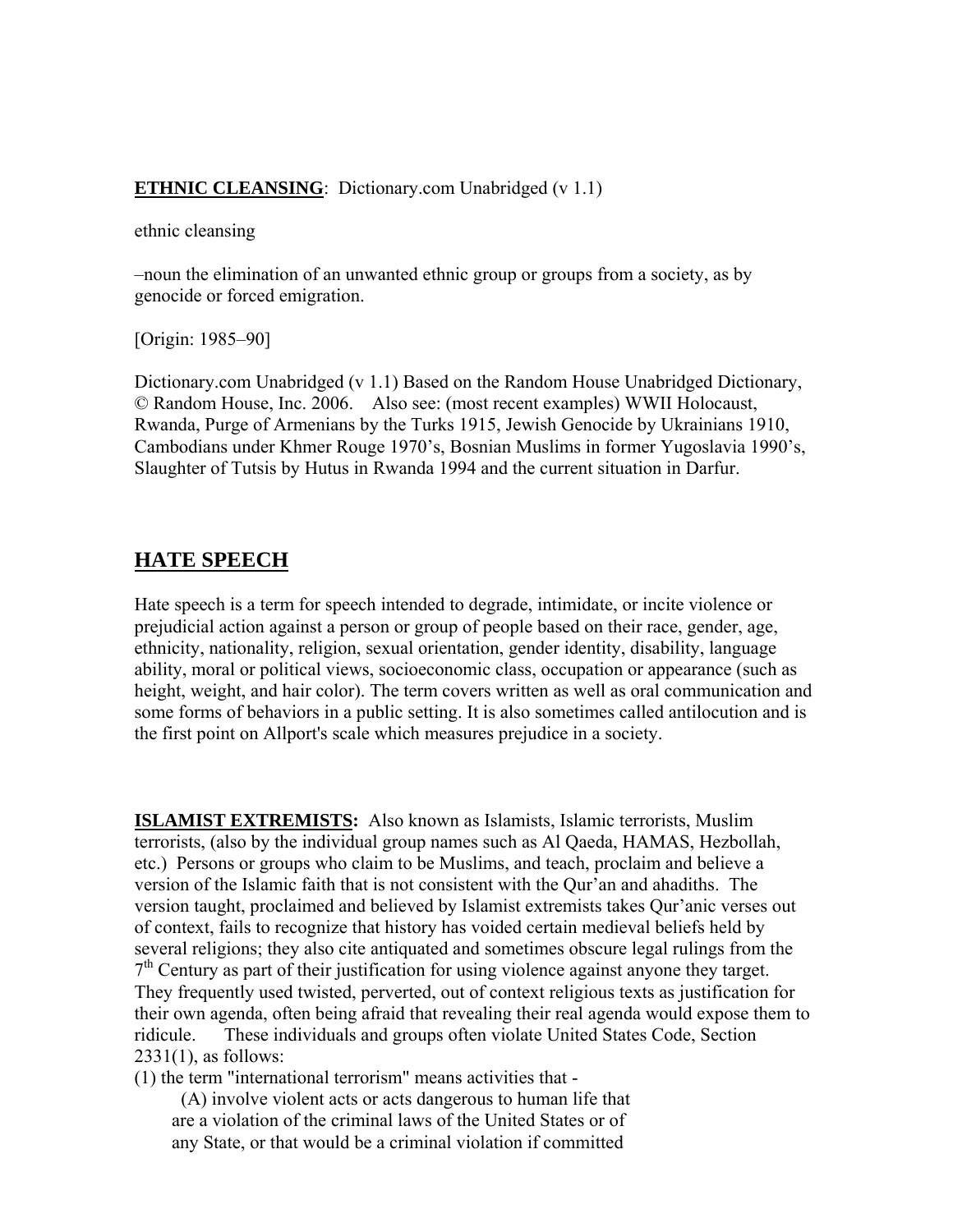### **ETHNIC CLEANSING**: Dictionary.com Unabridged (v 1.1)

ethnic cleansing

–noun the elimination of an unwanted ethnic group or groups from a society, as by genocide or forced emigration.

[Origin: 1985–90]

Dictionary.com Unabridged (v 1.1) Based on the Random House Unabridged Dictionary, © Random House, Inc. 2006. Also see: (most recent examples) WWII Holocaust, Rwanda, Purge of Armenians by the Turks 1915, Jewish Genocide by Ukrainians 1910, Cambodians under Khmer Rouge 1970's, Bosnian Muslims in former Yugoslavia 1990's, Slaughter of Tutsis by Hutus in Rwanda 1994 and the current situation in Darfur.

### **HATE SPEECH**

Hate speech is a term for speech intended to degrade, intimidate, or incite violence or prejudicial action against a person or group of people based on their race, gender, age, ethnicity, nationality, religion, sexual orientation, gender identity, disability, language ability, moral or political views, socioeconomic class, occupation or appearance (such as height, weight, and hair color). The term covers written as well as oral communication and some forms of behaviors in a public setting. It is also sometimes called antilocution and is the first point on Allport's scale which measures prejudice in a society.

**ISLAMIST EXTREMISTS:** Also known as Islamists, Islamic terrorists, Muslim terrorists, (also by the individual group names such as Al Qaeda, HAMAS, Hezbollah, etc.) Persons or groups who claim to be Muslims, and teach, proclaim and believe a version of the Islamic faith that is not consistent with the Qur'an and ahadiths. The version taught, proclaimed and believed by Islamist extremists takes Qur'anic verses out of context, fails to recognize that history has voided certain medieval beliefs held by several religions; they also cite antiquated and sometimes obscure legal rulings from the  $7<sup>th</sup>$  Century as part of their justification for using violence against anyone they target. They frequently used twisted, perverted, out of context religious texts as justification for their own agenda, often being afraid that revealing their real agenda would expose them to ridicule. These individuals and groups often violate United States Code, Section  $2331(1)$ , as follows:

(1) the term "international terrorism" means activities that -

 (A) involve violent acts or acts dangerous to human life that are a violation of the criminal laws of the United States or of any State, or that would be a criminal violation if committed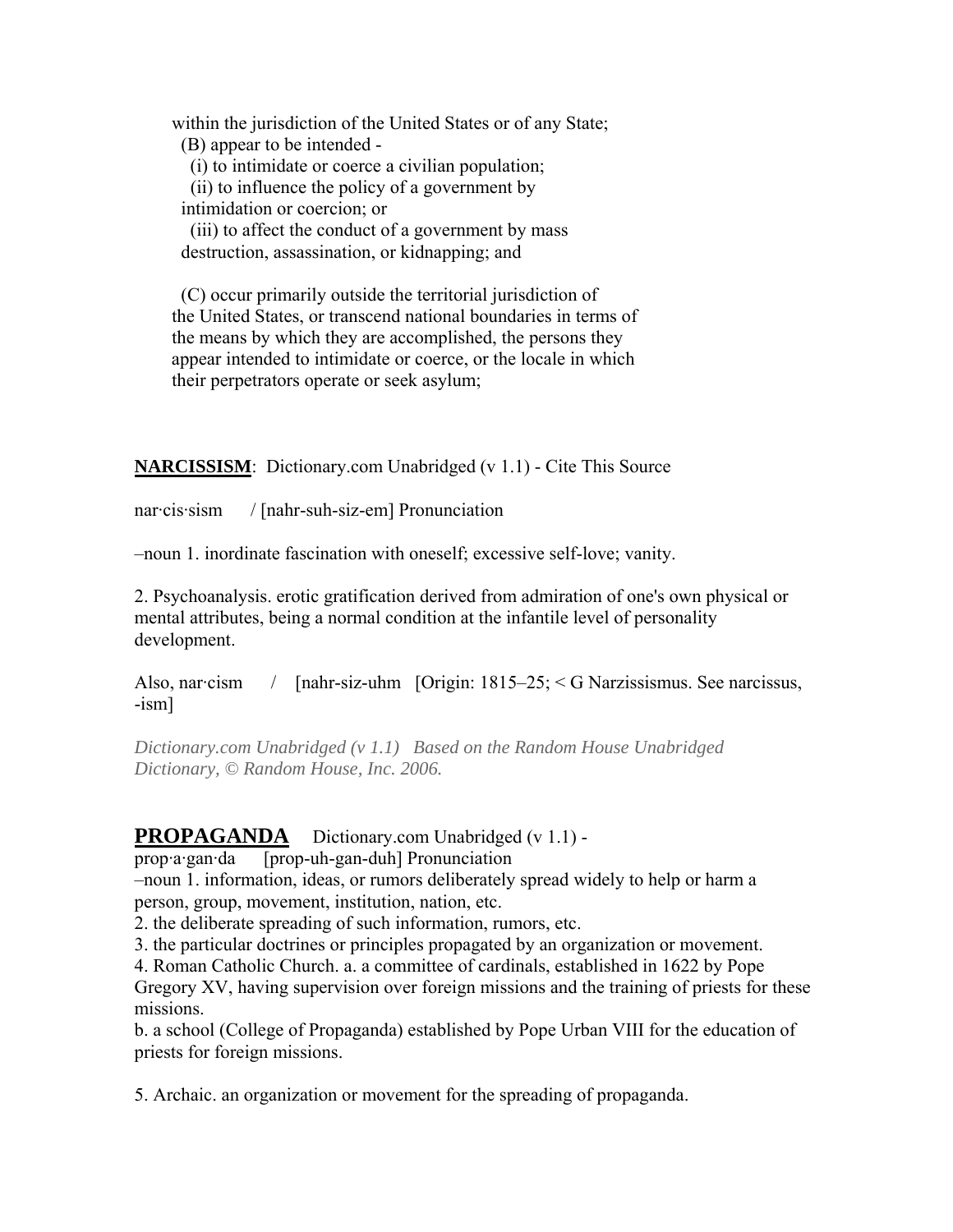within the jurisdiction of the United States or of any State; (B) appear to be intended -

(i) to intimidate or coerce a civilian population;

 (ii) to influence the policy of a government by intimidation or coercion; or

 (iii) to affect the conduct of a government by mass destruction, assassination, or kidnapping; and

 (C) occur primarily outside the territorial jurisdiction of the United States, or transcend national boundaries in terms of the means by which they are accomplished, the persons they appear intended to intimidate or coerce, or the locale in which their perpetrators operate or seek asylum;

**NARCISSISM**: Dictionary.com Unabridged (v 1.1) - Cite This Source

nar·cis·sism / [nahr-suh-siz-em] Pronunciation

–noun 1. inordinate fascination with oneself; excessive self-love; vanity.

2. Psychoanalysis. erotic gratification derived from admiration of one's own physical or mental attributes, being a normal condition at the infantile level of personality development.

Also, nar·cism / [nahr-siz-uhm [Origin: 1815–25; < G Narzissismus. See narcissus, -ism]

*Dictionary.com Unabridged (v 1.1) Based on the Random House Unabridged Dictionary, © Random House, Inc. 2006.*

### **PROPAGANDA** Dictionary.com Unabridged (v 1.1) -

prop·a·gan·da [prop-uh-gan-duh] Pronunciation

–noun 1. information, ideas, or rumors deliberately spread widely to help or harm a person, group, movement, institution, nation, etc.

2. the deliberate spreading of such information, rumors, etc.

3. the particular doctrines or principles propagated by an organization or movement.

4. Roman Catholic Church. a. a committee of cardinals, established in 1622 by Pope

Gregory XV, having supervision over foreign missions and the training of priests for these missions.

b. a school (College of Propaganda) established by Pope Urban VIII for the education of priests for foreign missions.

5. Archaic. an organization or movement for the spreading of propaganda.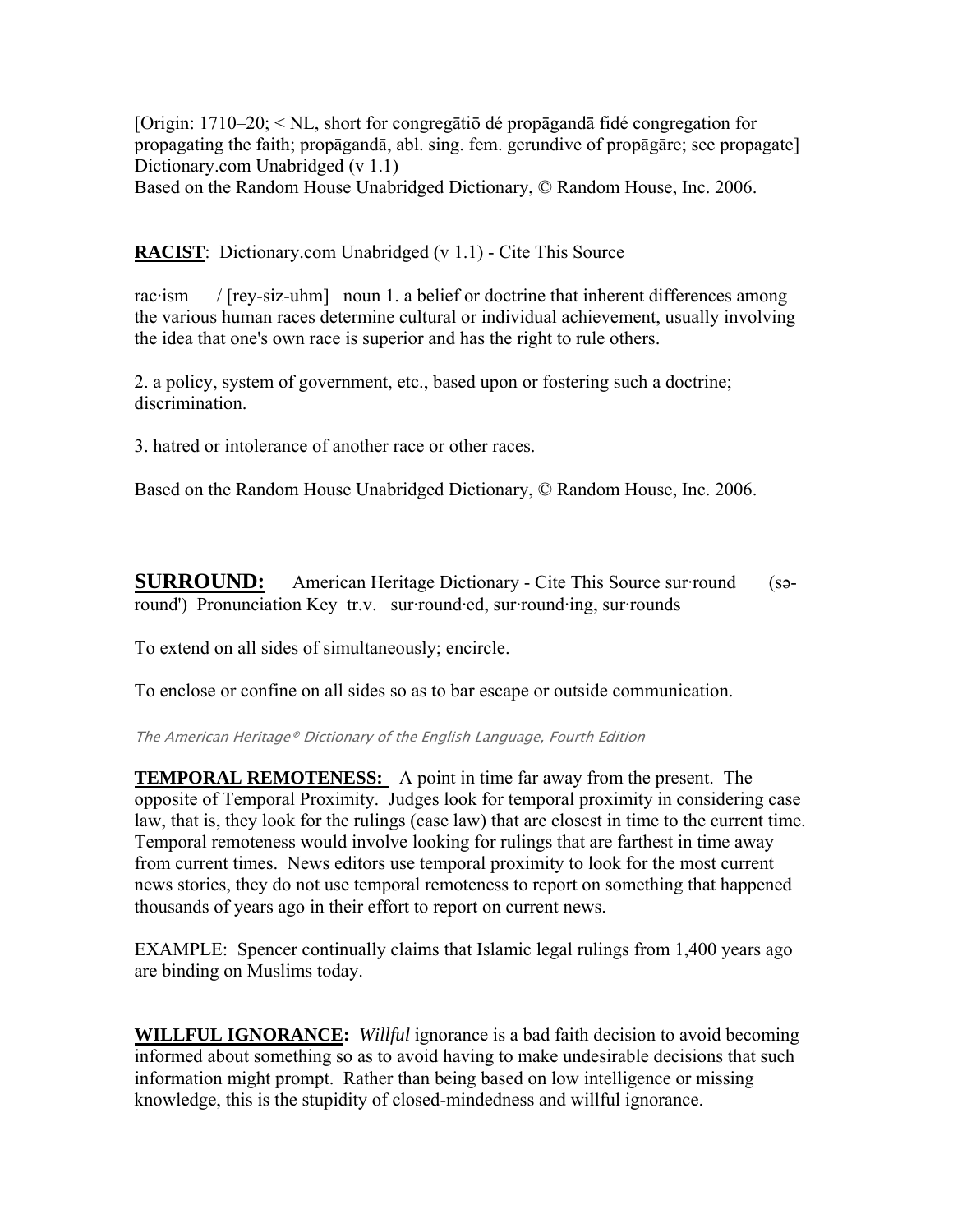[Origin: 1710–20; < NL, short for congregātiō dé propāgandā fidé congregation for propagating the faith; propāgandā, abl. sing. fem. gerundive of propāgāre; see propagate] Dictionary.com Unabridged (v 1.1)

Based on the Random House Unabridged Dictionary, © Random House, Inc. 2006.

**RACIST**: Dictionary.com Unabridged (v 1.1) - Cite This Source

rac·ism / [rey-siz-uhm] –noun 1. a belief or doctrine that inherent differences among the various human races determine cultural or individual achievement, usually involving the idea that one's own race is superior and has the right to rule others.

2. a policy, system of government, etc., based upon or fostering such a doctrine; discrimination.

3. hatred or intolerance of another race or other races.

Based on the Random House Unabridged Dictionary, © Random House, Inc. 2006.

**SURROUND:** American Heritage Dictionary - Cite This Source sur-round (saround') Pronunciation Key tr.v. sur·round·ed, sur·round·ing, sur·rounds

To extend on all sides of simultaneously; encircle.

To enclose or confine on all sides so as to bar escape or outside communication.

The American Heritage® Dictionary of the English Language, Fourth Edition

**TEMPORAL REMOTENESS:** A point in time far away from the present. The opposite of Temporal Proximity. Judges look for temporal proximity in considering case law, that is, they look for the rulings (case law) that are closest in time to the current time. Temporal remoteness would involve looking for rulings that are farthest in time away from current times. News editors use temporal proximity to look for the most current news stories, they do not use temporal remoteness to report on something that happened thousands of years ago in their effort to report on current news.

EXAMPLE: Spencer continually claims that Islamic legal rulings from 1,400 years ago are binding on Muslims today.

**WILLFUL IGNORANCE:** *Willful* ignorance is a bad faith decision to avoid becoming informed about something so as to avoid having to make undesirable decisions that such information might prompt. Rather than being based on low intelligence or missing knowledge, this is the stupidity of closed-mindedness and willful ignorance.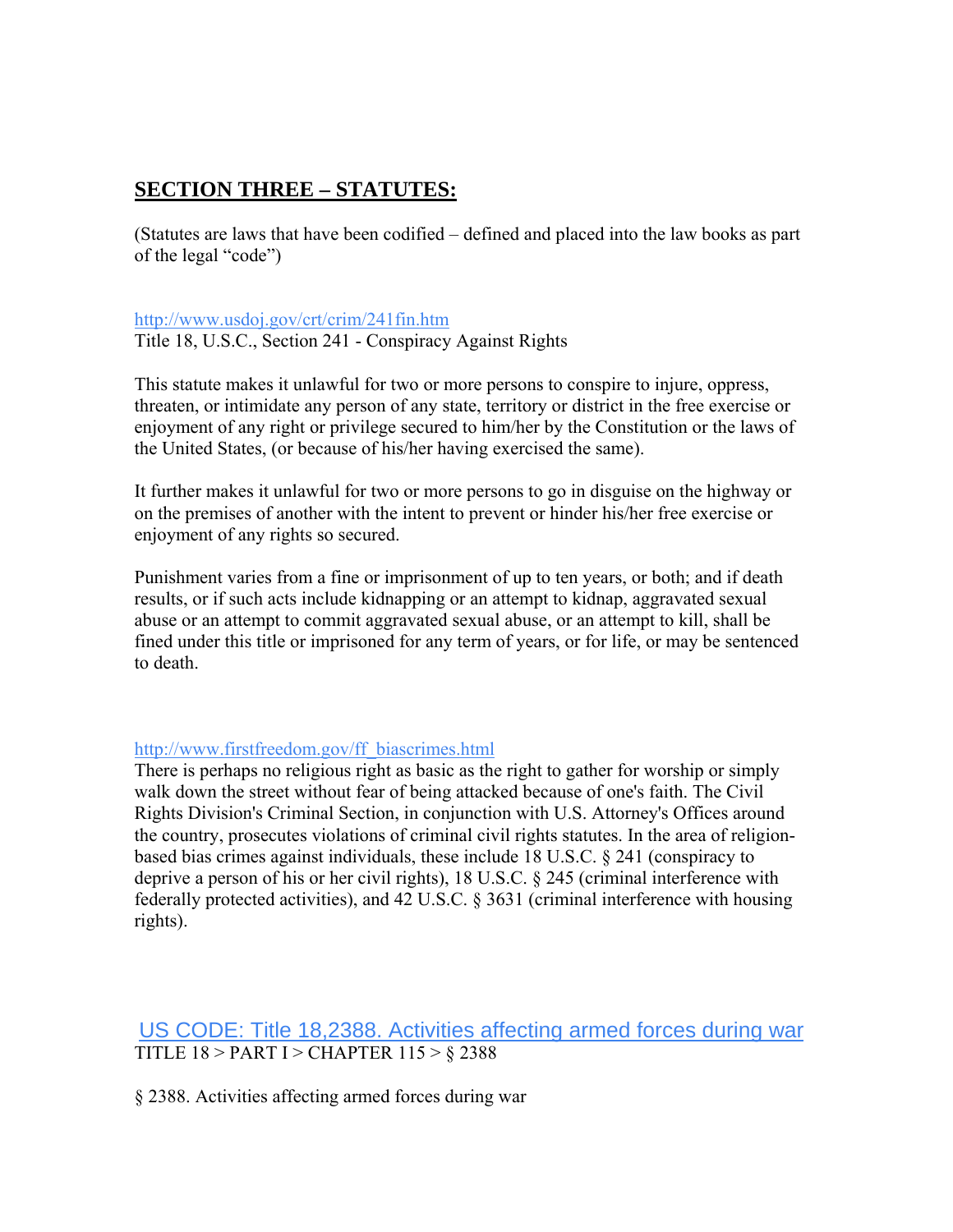# **SECTION THREE – STATUTES:**

(Statutes are laws that have been codified – defined and placed into the law books as part of the legal "code")

### <http://www.usdoj.gov/crt/crim/241fin.htm>

Title 18, U.S.C., Section 241 - Conspiracy Against Rights

This statute makes it unlawful for two or more persons to conspire to injure, oppress, threaten, or intimidate any person of any state, territory or district in the free exercise or enjoyment of any right or privilege secured to him/her by the Constitution or the laws of the United States, (or because of his/her having exercised the same).

It further makes it unlawful for two or more persons to go in disguise on the highway or on the premises of another with the intent to prevent or hinder his/her free exercise or enjoyment of any rights so secured.

Punishment varies from a fine or imprisonment of up to ten years, or both; and if death results, or if such acts include kidnapping or an attempt to kidnap, aggravated sexual abuse or an attempt to commit aggravated sexual abuse, or an attempt to kill, shall be fined under this title or imprisoned for any term of years, or for life, or may be sentenced to death.

### [http://www.firstfreedom.gov/ff\\_biascrimes.html](http://www.firstfreedom.gov/ff_biascrimes.html)

There is perhaps no religious right as basic as the right to gather for worship or simply walk down the street without fear of being attacked because of one's faith. The Civil Rights Division's Criminal Section, in conjunction with U.S. Attorney's Offices around the country, prosecutes violations of criminal civil rights statutes. In the area of religionbased bias crimes against individuals, these include 18 U.S.C. § 241 (conspiracy to deprive a person of his or her civil rights), 18 U.S.C. § 245 (criminal interference with federally protected activities), and 42 U.S.C. § 3631 (criminal interference with housing rights).

## [US CODE: Title 18,2388. Activities affecting armed forces during war](http://www.law.cornell.edu/uscode/html/uscode18/usc_sec_18_00002388----000-.html) TITLE 18 > PART I > CHAPTER 115 > § 2388

§ 2388. Activities affecting armed forces during war